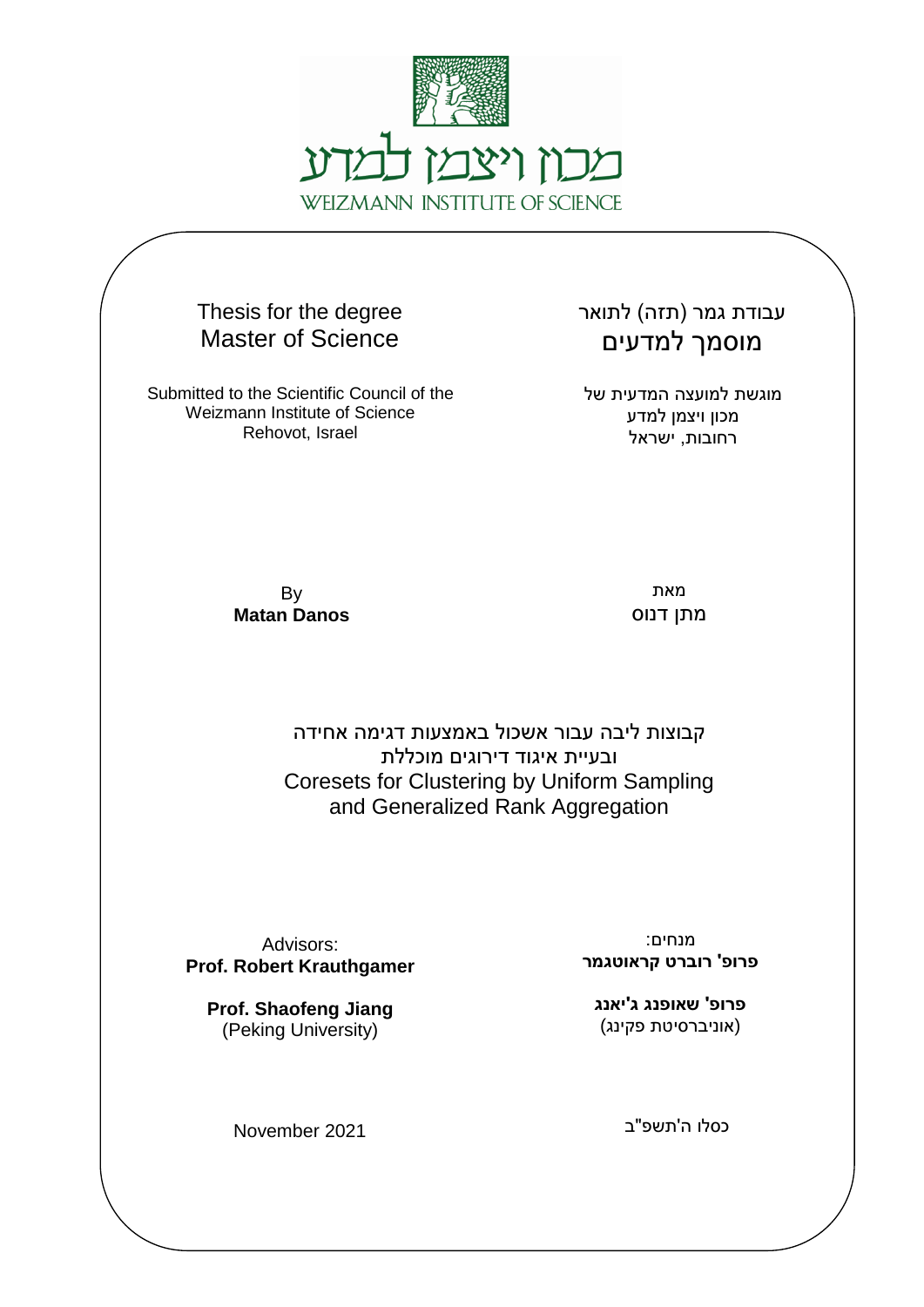

Thesis for the degree Master of Science

Submitted to the Scientific Council of the Weizmann Institute of Science Rehovot, Israel

עבודת גמר (תזה) לתואר מוסמך למדעים

מוגשת למועצה המדעית של מכון ויצמן למדע רחובות, ישראל

By **Matan Danos**

מאת מתן דנוס

קבוצות ליבה עבור אשכול באמצעות דגימה אחידה ובעיית איגוד דירוגים מוכללת Coresets for Clustering by Uniform Sampling and Generalized Rank Aggregation

Advisors: **Prof. Robert Krauthgamer**

**Prof. Shaofeng Jiang**  (Peking University)

November 2021

מנחים: **פרופ' רוברט קראוטגמר**

**פרופ' שאופנג ג'יאנג** (אוניברסיטת פקינג)

כסלו ה'תשפ"ב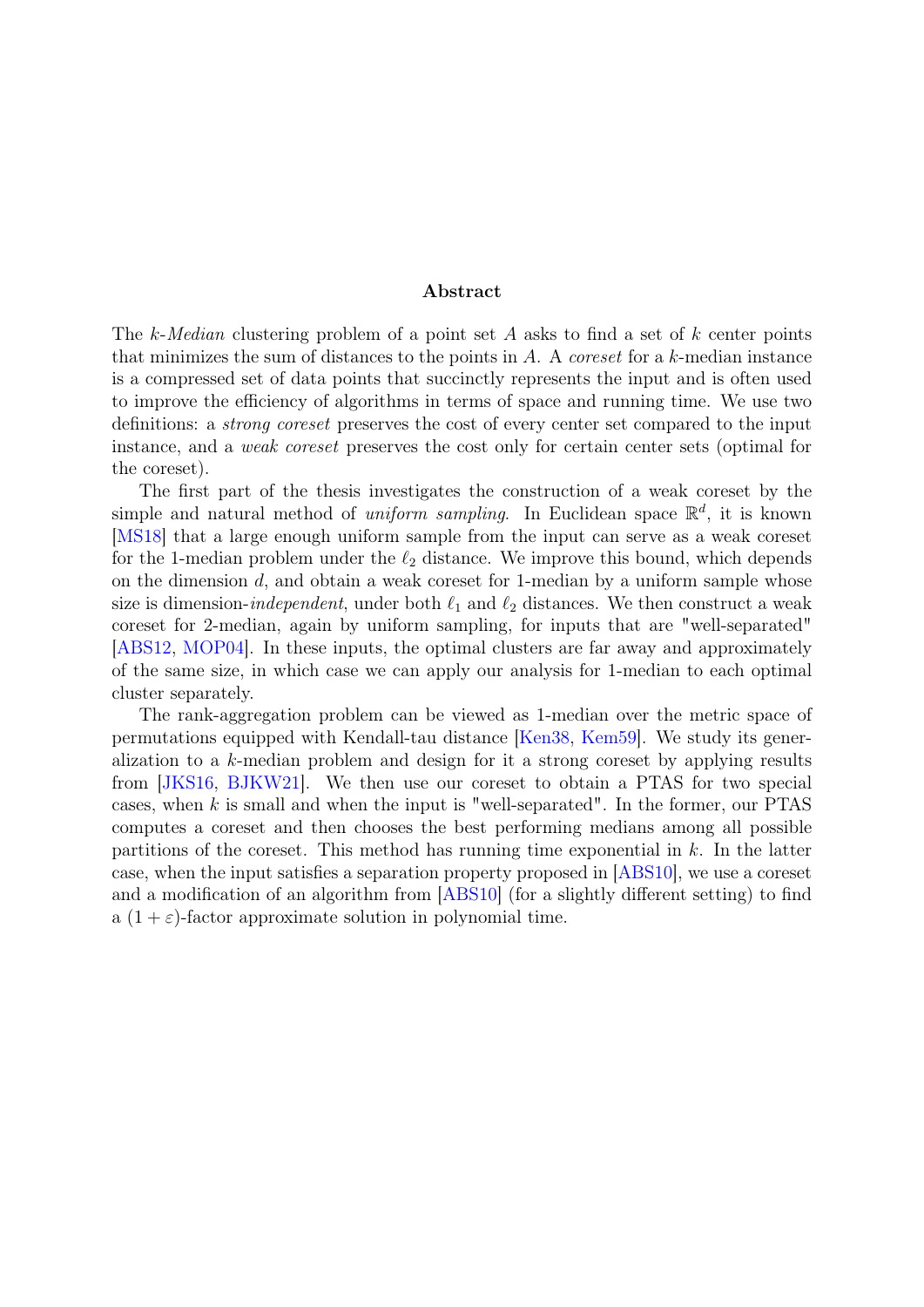#### Abstract

The k-Median clustering problem of a point set A asks to find a set of k center points that minimizes the sum of distances to the points in  $A$ . A *coreset* for a  $k$ -median instance is a compressed set of data points that succinctly represents the input and is often used to improve the efficiency of algorithms in terms of space and running time. We use two definitions: a strong coreset preserves the cost of every center set compared to the input instance, and a weak coreset preserves the cost only for certain center sets (optimal for the coreset).

The first part of the thesis investigates the construction of a weak coreset by the simple and natural method of *uniform sampling*. In Euclidean space  $\mathbb{R}^d$ , it is known [\[MS18\]](#page-45-0) that a large enough uniform sample from the input can serve as a weak coreset for the 1-median problem under the  $\ell_2$  distance. We improve this bound, which depends on the dimension  $d$ , and obtain a weak coreset for 1-median by a uniform sample whose size is dimension-*independent*, under both  $\ell_1$  and  $\ell_2$  distances. We then construct a weak coreset for 2-median, again by uniform sampling, for inputs that are "well-separated" [\[ABS12,](#page-40-0) [MOP04\]](#page-45-1). In these inputs, the optimal clusters are far away and approximately of the same size, in which case we can apply our analysis for 1-median to each optimal cluster separately.

The rank-aggregation problem can be viewed as 1-median over the metric space of permutations equipped with Kendall-tau distance [\[Ken38,](#page-44-0) [Kem59\]](#page-44-1). We study its generalization to a k-median problem and design for it a strong coreset by applying results from [\[JKS16,](#page-44-2) [BJKW21\]](#page-41-0). We then use our coreset to obtain a PTAS for two special cases, when  $k$  is small and when the input is "well-separated". In the former, our PTAS computes a coreset and then chooses the best performing medians among all possible partitions of the coreset. This method has running time exponential in  $k$ . In the latter case, when the input satisfies a separation property proposed in [\[ABS10\]](#page-40-1), we use a coreset and a modification of an algorithm from [\[ABS10\]](#page-40-1) (for a slightly different setting) to find a  $(1 + \varepsilon)$ -factor approximate solution in polynomial time.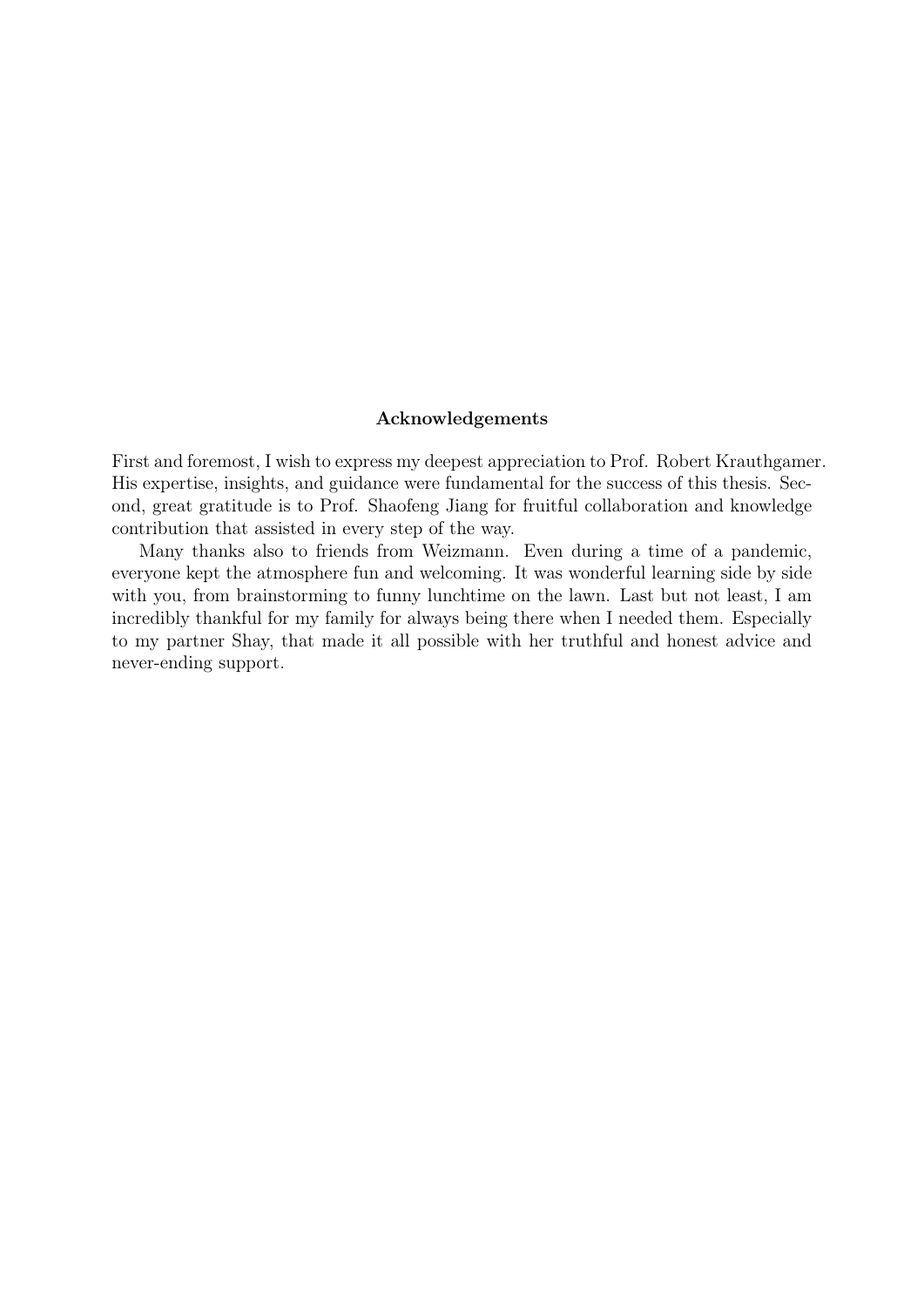#### Acknowledgements

First and foremost, I wish to express my deepest appreciation to Prof. Robert Krauthgamer. His expertise, insights, and guidance were fundamental for the success of this thesis. Second, great gratitude is to Prof. Shaofeng Jiang for fruitful collaboration and knowledge contribution that assisted in every step of the way.

Many thanks also to friends from Weizmann. Even during a time of a pandemic, everyone kept the atmosphere fun and welcoming. It was wonderful learning side by side with you, from brainstorming to funny lunchtime on the lawn. Last but not least, I am incredibly thankful for my family for always being there when I needed them. Especially to my partner Shay, that made it all possible with her truthful and honest advice and never-ending support.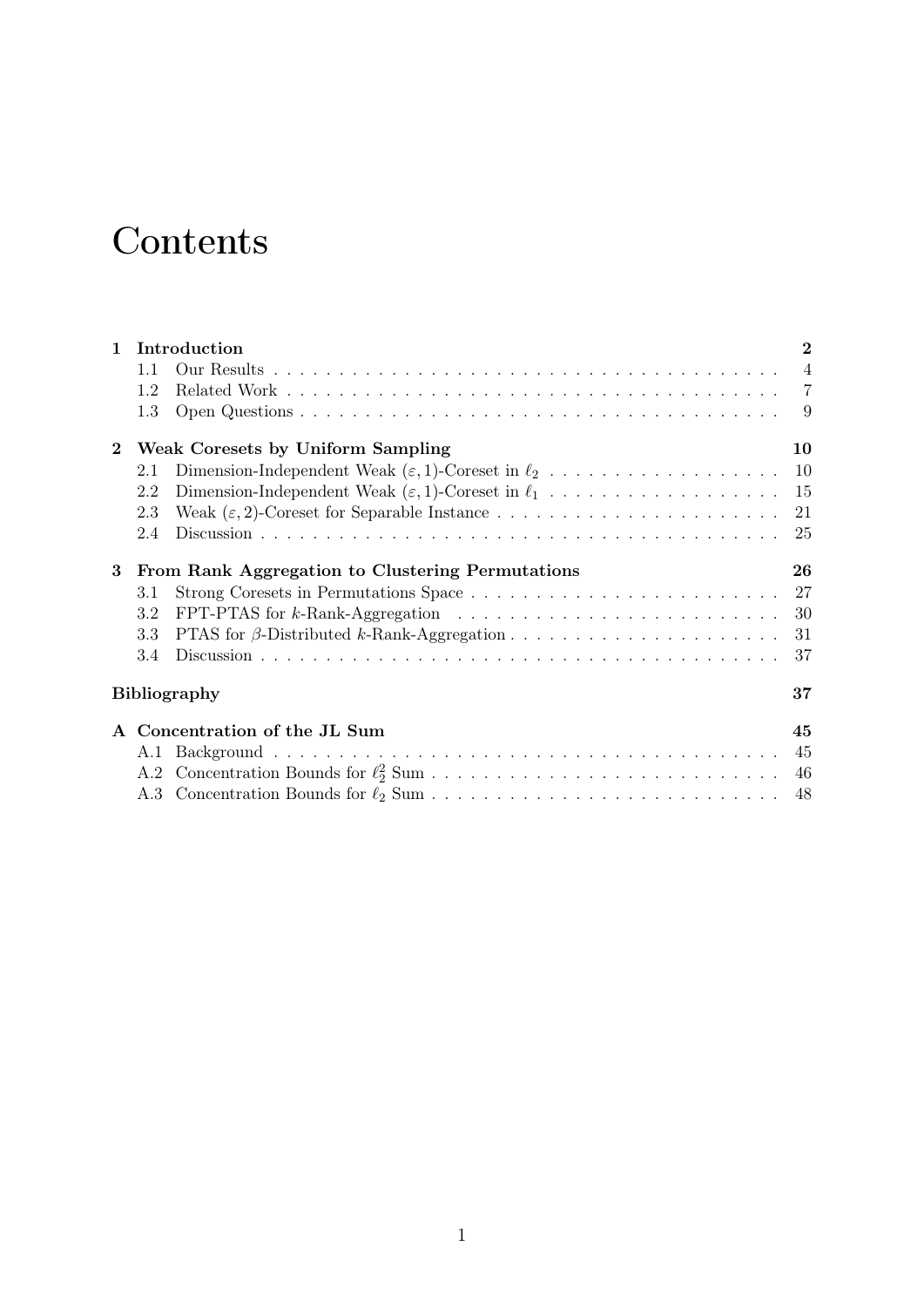# **Contents**

| $\mathbf{1}$                                                 | Introduction              |                                                                                                            |    |  |
|--------------------------------------------------------------|---------------------------|------------------------------------------------------------------------------------------------------------|----|--|
|                                                              | 1.1                       |                                                                                                            |    |  |
|                                                              | 1.2                       |                                                                                                            |    |  |
|                                                              | 1.3                       |                                                                                                            | -9 |  |
| $\bf{2}$                                                     |                           | Weak Coresets by Uniform Sampling                                                                          | 10 |  |
|                                                              | 2.1                       |                                                                                                            |    |  |
|                                                              | 2.2                       | Dimension-Independent Weak $(\varepsilon, 1)$ -Coreset in $\ell_1$ 15                                      |    |  |
|                                                              | 2.3                       |                                                                                                            |    |  |
|                                                              | 2.4                       |                                                                                                            |    |  |
| From Rank Aggregation to Clustering Permutations<br>$\bf{3}$ |                           |                                                                                                            | 26 |  |
|                                                              | 3.1                       |                                                                                                            |    |  |
|                                                              | 3.2                       | FPT-PTAS for k-Rank-Aggregation $\ldots \ldots \ldots \ldots \ldots \ldots \ldots \ldots \ldots \ldots 30$ |    |  |
|                                                              | 3.3                       |                                                                                                            | 31 |  |
|                                                              | 3.4                       |                                                                                                            | 37 |  |
|                                                              | 37<br><b>Bibliography</b> |                                                                                                            |    |  |
|                                                              |                           | A Concentration of the JL Sum                                                                              | 45 |  |
|                                                              | A.1                       |                                                                                                            |    |  |
|                                                              |                           |                                                                                                            |    |  |
|                                                              |                           |                                                                                                            |    |  |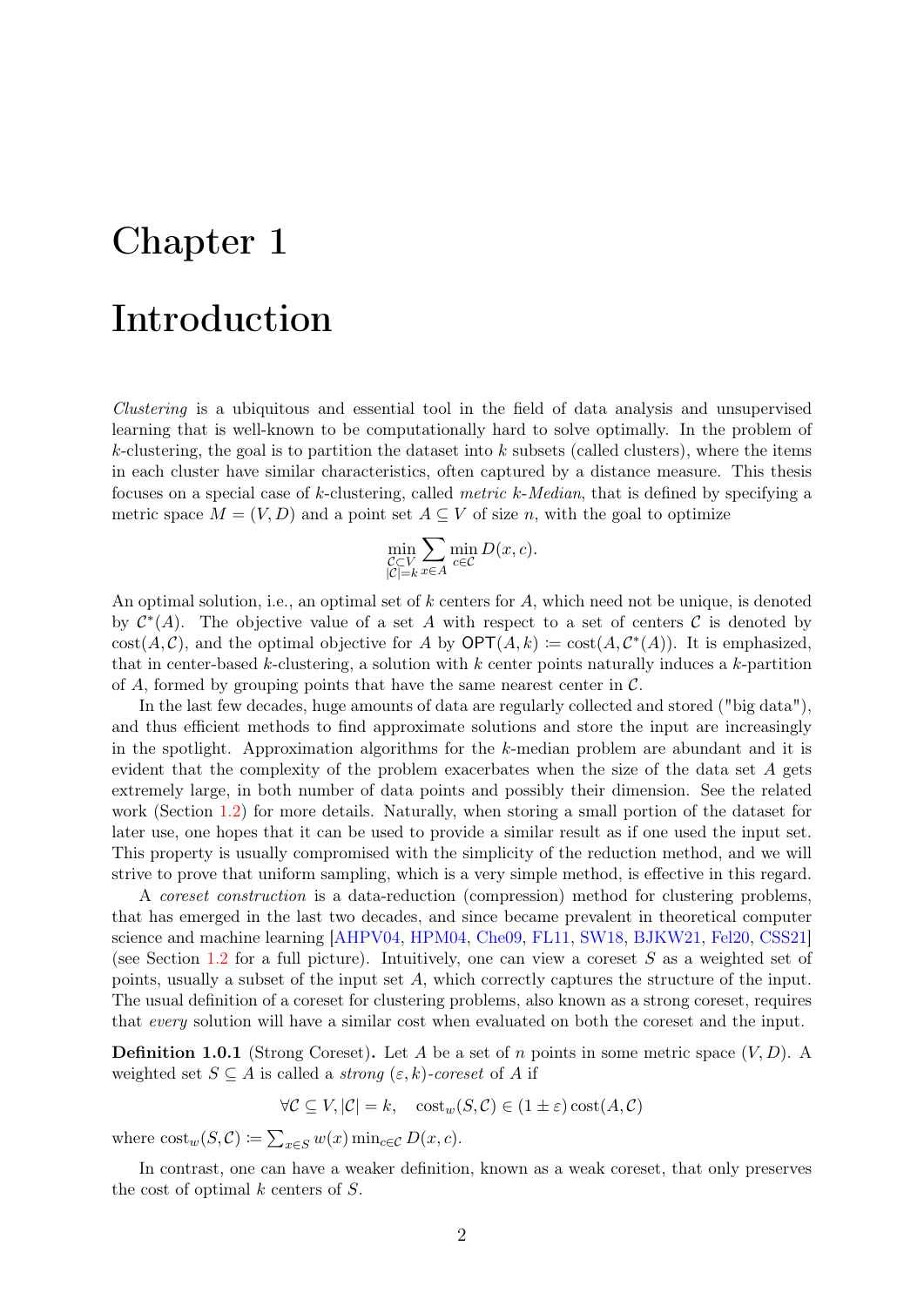# <span id="page-4-0"></span>Chapter 1

# Introduction

Clustering is a ubiquitous and essential tool in the field of data analysis and unsupervised learning that is well-known to be computationally hard to solve optimally. In the problem of k-clustering, the goal is to partition the dataset into  $k$  subsets (called clusters), where the items in each cluster have similar characteristics, often captured by a distance measure. This thesis focuses on a special case of k-clustering, called metric k-Median, that is defined by specifying a metric space  $M = (V, D)$  and a point set  $A \subseteq V$  of size n, with the goal to optimize

$$
\min_{\substack{C \subset V \\ |C|=k}} \sum_{x \in A} \min_{c \in C} D(x, c).
$$

An optimal solution, i.e., an optimal set of  $k$  centers for  $A$ , which need not be unique, is denoted by  $\mathcal{C}^*(A)$ . The objective value of a set A with respect to a set of centers C is denoted by  $cost(A, C)$ , and the optimal objective for A by  $\mathsf{OPT}(A, k) := cost(A, C^*(A))$ . It is emphasized, that in center-based k-clustering, a solution with  $k$  center points naturally induces a  $k$ -partition of A, formed by grouping points that have the same nearest center in  $\mathcal{C}$ .

In the last few decades, huge amounts of data are regularly collected and stored ("big data"), and thus efficient methods to find approximate solutions and store the input are increasingly in the spotlight. Approximation algorithms for the k-median problem are abundant and it is evident that the complexity of the problem exacerbates when the size of the data set A gets extremely large, in both number of data points and possibly their dimension. See the related work (Section [1.2\)](#page-9-0) for more details. Naturally, when storing a small portion of the dataset for later use, one hopes that it can be used to provide a similar result as if one used the input set. This property is usually compromised with the simplicity of the reduction method, and we will strive to prove that uniform sampling, which is a very simple method, is effective in this regard.

A coreset construction is a data-reduction (compression) method for clustering problems, that has emerged in the last two decades, and since became prevalent in theoretical computer science and machine learning [\[AHPV04,](#page-40-2) [HPM04,](#page-44-3) [Che09,](#page-42-0) [FL11,](#page-43-0) [SW18,](#page-46-0) [BJKW21,](#page-41-0) [Fel20,](#page-43-1) [CSS21\]](#page-43-2) (see Section [1.2](#page-9-0) for a full picture). Intuitively, one can view a coreset  $S$  as a weighted set of points, usually a subset of the input set A, which correctly captures the structure of the input. The usual definition of a coreset for clustering problems, also known as a strong coreset, requires that every solution will have a similar cost when evaluated on both the coreset and the input.

<span id="page-4-1"></span>**Definition 1.0.1** (Strong Coreset). Let A be a set of n points in some metric space  $(V, D)$ . A weighted set  $S \subseteq A$  is called a *strong*  $(\varepsilon, k)$ -coreset of A if

$$
\forall \mathcal{C} \subseteq V, |\mathcal{C}| = k, \quad \text{cost}_w(S, \mathcal{C}) \in (1 \pm \varepsilon) \text{cost}(A, \mathcal{C})
$$

where  $\text{cost}_{w}(S, C) \coloneqq \sum_{x \in S} w(x) \min_{c \in C} D(x, c)$ .

In contrast, one can have a weaker definition, known as a weak coreset, that only preserves the cost of optimal  $k$  centers of  $S$ .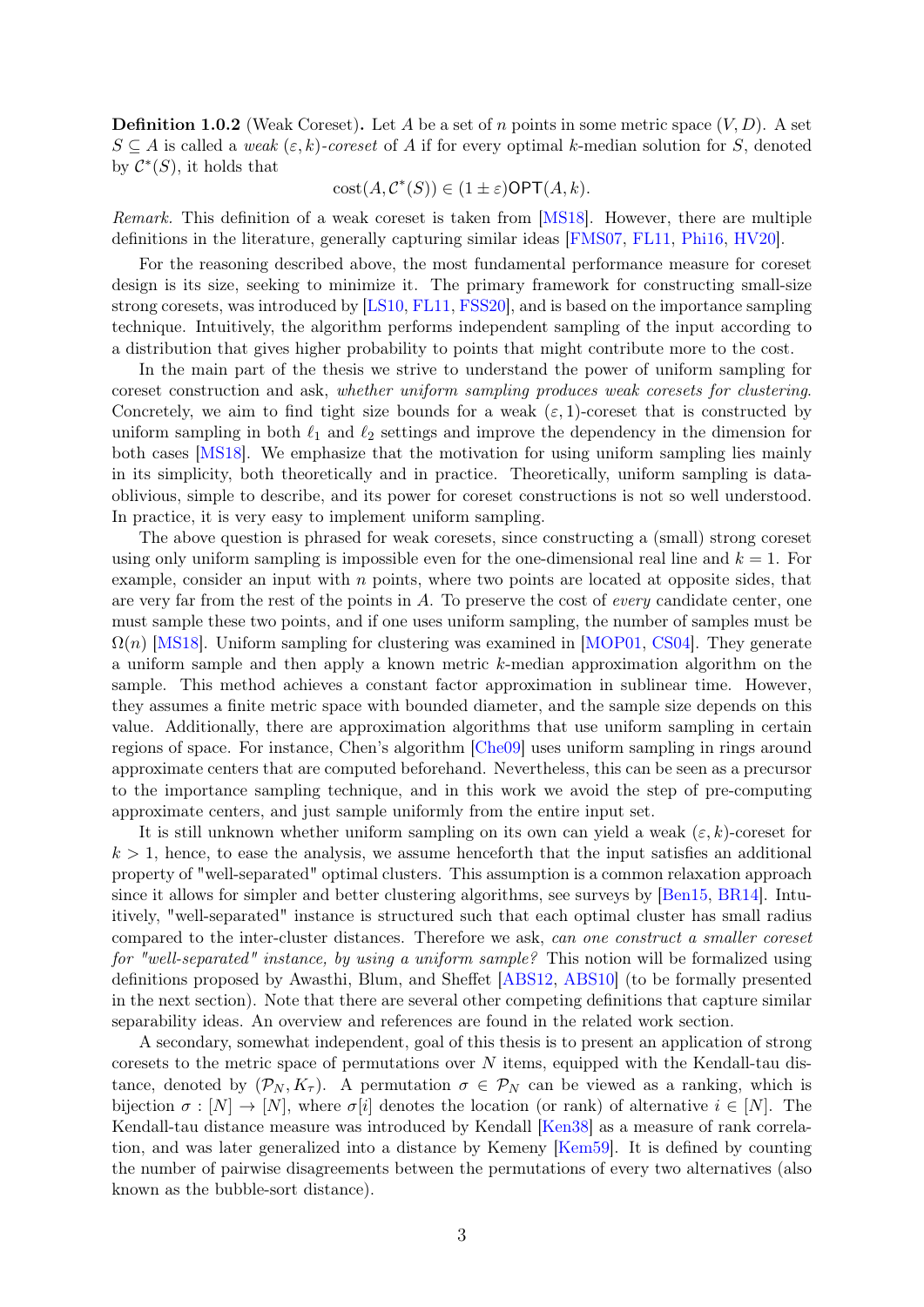**Definition 1.0.2** (Weak Coreset). Let A be a set of n points in some metric space  $(V, D)$ . A set  $S \subseteq A$  is called a weak  $(\varepsilon, k)$ -coreset of A if for every optimal k-median solution for S, denoted by  $\mathcal{C}^*(S)$ , it holds that

$$
cost(A, \mathcal{C}^*(S)) \in (1 \pm \varepsilon) \mathsf{OPT}(A, k).
$$

Remark. This definition of a weak coreset is taken from [\[MS18\]](#page-45-0). However, there are multiple definitions in the literature, generally capturing similar ideas [\[FMS07,](#page-43-3) [FL11,](#page-43-0) [Phi16,](#page-45-2) [HV20\]](#page-44-4).

For the reasoning described above, the most fundamental performance measure for coreset design is its size, seeking to minimize it. The primary framework for constructing small-size strong coresets, was introduced by [\[LS10,](#page-45-3) [FL11,](#page-43-0) [FSS20\]](#page-43-4), and is based on the importance sampling technique. Intuitively, the algorithm performs independent sampling of the input according to a distribution that gives higher probability to points that might contribute more to the cost.

In the main part of the thesis we strive to understand the power of uniform sampling for coreset construction and ask, whether uniform sampling produces weak coresets for clustering. Concretely, we aim to find tight size bounds for a weak  $(\varepsilon, 1)$ -coreset that is constructed by uniform sampling in both  $\ell_1$  and  $\ell_2$  settings and improve the dependency in the dimension for both cases [\[MS18\]](#page-45-0). We emphasize that the motivation for using uniform sampling lies mainly in its simplicity, both theoretically and in practice. Theoretically, uniform sampling is dataoblivious, simple to describe, and its power for coreset constructions is not so well understood. In practice, it is very easy to implement uniform sampling.

The above question is phrased for weak coresets, since constructing a (small) strong coreset using only uniform sampling is impossible even for the one-dimensional real line and  $k = 1$ . For example, consider an input with  $n$  points, where two points are located at opposite sides, that are very far from the rest of the points in A. To preserve the cost of every candidate center, one must sample these two points, and if one uses uniform sampling, the number of samples must be  $\Omega(n)$  [\[MS18\]](#page-45-0). Uniform sampling for clustering was examined in [\[MOP01,](#page-45-4) [CS04\]](#page-42-1). They generate a uniform sample and then apply a known metric k-median approximation algorithm on the sample. This method achieves a constant factor approximation in sublinear time. However, they assumes a finite metric space with bounded diameter, and the sample size depends on this value. Additionally, there are approximation algorithms that use uniform sampling in certain regions of space. For instance, Chen's algorithm [\[Che09\]](#page-42-0) uses uniform sampling in rings around approximate centers that are computed beforehand. Nevertheless, this can be seen as a precursor to the importance sampling technique, and in this work we avoid the step of pre-computing approximate centers, and just sample uniformly from the entire input set.

It is still unknown whether uniform sampling on its own can yield a weak  $(\varepsilon, k)$ -coreset for  $k > 1$ , hence, to ease the analysis, we assume henceforth that the input satisfies an additional property of "well-separated" optimal clusters. This assumption is a common relaxation approach since it allows for simpler and better clustering algorithms, see surveys by [\[Ben15,](#page-41-1) [BR14\]](#page-42-2). Intuitively, "well-separated" instance is structured such that each optimal cluster has small radius compared to the inter-cluster distances. Therefore we ask, can one construct a smaller coreset for "well-separated" instance, by using a uniform sample? This notion will be formalized using definitions proposed by Awasthi, Blum, and Sheffet [\[ABS12,](#page-40-0) [ABS10\]](#page-40-1) (to be formally presented in the next section). Note that there are several other competing definitions that capture similar separability ideas. An overview and references are found in the related work section.

A secondary, somewhat independent, goal of this thesis is to present an application of strong coresets to the metric space of permutations over  $N$  items, equipped with the Kendall-tau distance, denoted by  $(\mathcal{P}_N, K_\tau)$ . A permutation  $\sigma \in \mathcal{P}_N$  can be viewed as a ranking, which is bijection  $\sigma : [N] \to [N]$ , where  $\sigma[i]$  denotes the location (or rank) of alternative  $i \in [N]$ . The Kendall-tau distance measure was introduced by Kendall [\[Ken38\]](#page-44-0) as a measure of rank correlation, and was later generalized into a distance by Kemeny [\[Kem59\]](#page-44-1). It is defined by counting the number of pairwise disagreements between the permutations of every two alternatives (also known as the bubble-sort distance).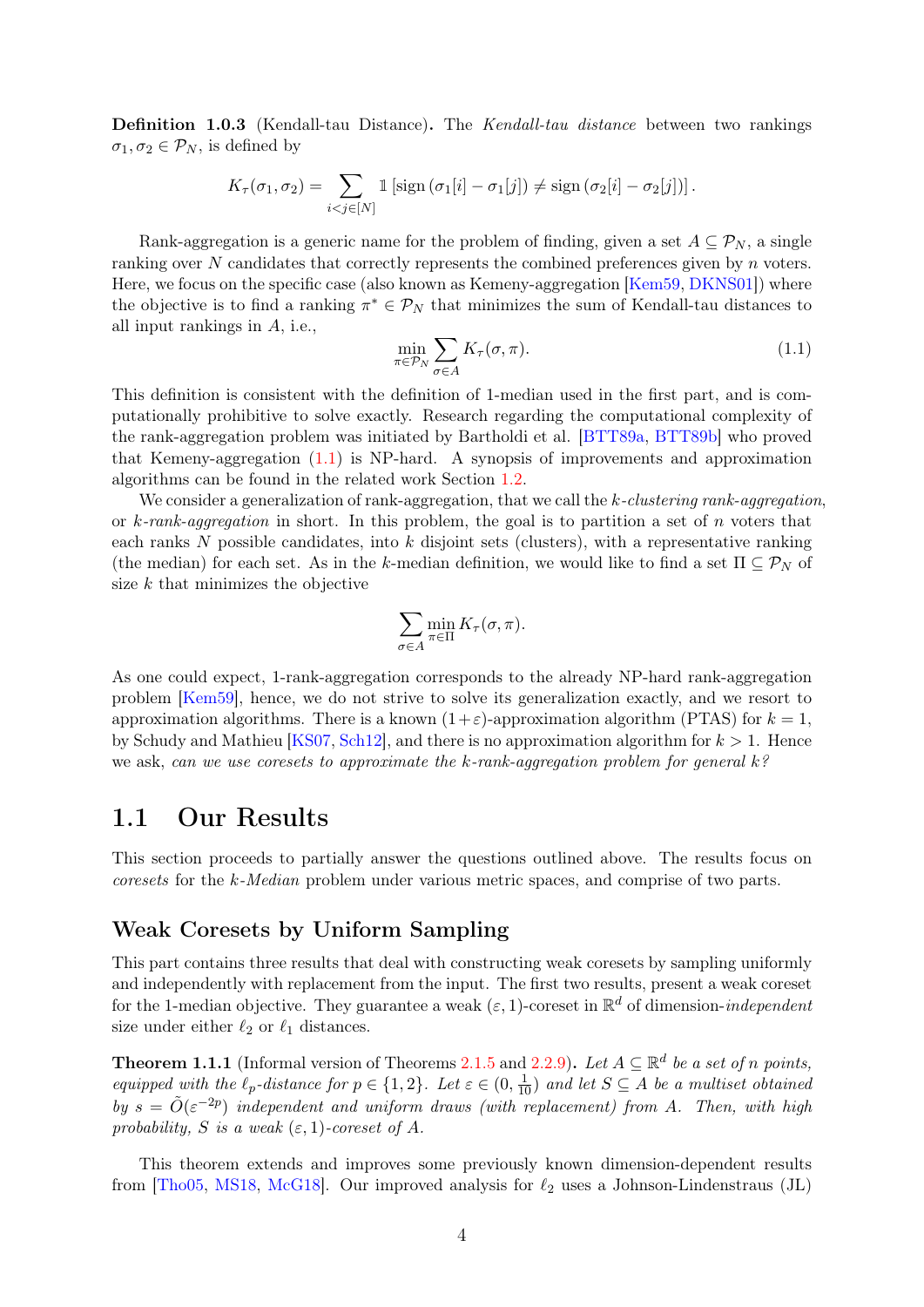Definition 1.0.3 (Kendall-tau Distance). The Kendall-tau distance between two rankings  $\sigma_1, \sigma_2 \in \mathcal{P}_N$ , is defined by

$$
K_{\tau}(\sigma_1, \sigma_2) = \sum_{i < j \in [N]} \mathbb{1} \left[ \operatorname{sign} \left( \sigma_1[i] - \sigma_1[j] \right) \neq \operatorname{sign} \left( \sigma_2[i] - \sigma_2[j] \right) \right].
$$

Rank-aggregation is a generic name for the problem of finding, given a set  $A \subseteq \mathcal{P}_N$ , a single ranking over  $N$  candidates that correctly represents the combined preferences given by  $n$  voters. Here, we focus on the specific case (also known as Kemeny-aggregation [\[Kem59,](#page-44-1) [DKNS01\]](#page-43-5)) where the objective is to find a ranking  $\pi^* \in \mathcal{P}_N$  that minimizes the sum of Kendall-tau distances to all input rankings in A, i.e.,

<span id="page-6-1"></span>
$$
\min_{\pi \in \mathcal{P}_N} \sum_{\sigma \in A} K_{\tau}(\sigma, \pi). \tag{1.1}
$$

This definition is consistent with the definition of 1-median used in the first part, and is computationally prohibitive to solve exactly. Research regarding the computational complexity of the rank-aggregation problem was initiated by Bartholdi et al. [\[BTT89a,](#page-42-3) [BTT89b\]](#page-42-4) who proved that Kemeny-aggregation [\(1.1\)](#page-6-1) is NP-hard. A synopsis of improvements and approximation algorithms can be found in the related work Section [1.2.](#page-9-0)

We consider a generalization of rank-aggregation, that we call the k-clustering rank-aggregation, or k-rank-aggregation in short. In this problem, the goal is to partition a set of n voters that each ranks  $N$  possible candidates, into  $k$  disjoint sets (clusters), with a representative ranking (the median) for each set. As in the k-median definition, we would like to find a set  $\Pi \subseteq \mathcal{P}_N$  of size  $k$  that minimizes the objective

$$
\sum_{\sigma \in A} \min_{\pi \in \Pi} K_{\tau}(\sigma, \pi).
$$

As one could expect, 1-rank-aggregation corresponds to the already NP-hard rank-aggregation problem [\[Kem59\]](#page-44-1), hence, we do not strive to solve its generalization exactly, and we resort to approximation algorithms. There is a known  $(1+\varepsilon)$ -approximation algorithm (PTAS) for  $k = 1$ , by Schudy and Mathieu [\[KS07,](#page-44-5) [Sch12\]](#page-45-5), and there is no approximation algorithm for  $k > 1$ . Hence we ask, can we use coresets to approximate the k-rank-aggregation problem for general k?

### <span id="page-6-0"></span>1.1 Our Results

This section proceeds to partially answer the questions outlined above. The results focus on coresets for the k-Median problem under various metric spaces, and comprise of two parts.

#### Weak Coresets by Uniform Sampling

This part contains three results that deal with constructing weak coresets by sampling uniformly and independently with replacement from the input. The first two results, present a weak coreset for the 1-median objective. They guarantee a weak  $(\varepsilon, 1)$ -coreset in  $\mathbb{R}^d$  of dimension-*independent* size under either  $\ell_2$  or  $\ell_1$  distances.

**Theorem 1.1.1** (Informal version of Theorems [2.1.5](#page-14-0) and [2.2.9\)](#page-20-0). Let  $A \subseteq \mathbb{R}^d$  be a set of n points, equipped with the  $\ell_p$ -distance for  $p \in \{1,2\}$ . Let  $\varepsilon \in (0, \frac{1}{10})$  and let  $S \subseteq A$  be a multiset obtained by  $s = \tilde{O}(\varepsilon^{-2p})$  independent and uniform draws (with replacement) from A. Then, with high probability, S is a weak  $(\varepsilon, 1)$ -coreset of A.

This theorem extends and improves some previously known dimension-dependent results from [\[Tho05,](#page-46-1) [MS18,](#page-45-0) [McG18\]](#page-45-6). Our improved analysis for  $\ell_2$  uses a Johnson-Lindenstraus (JL)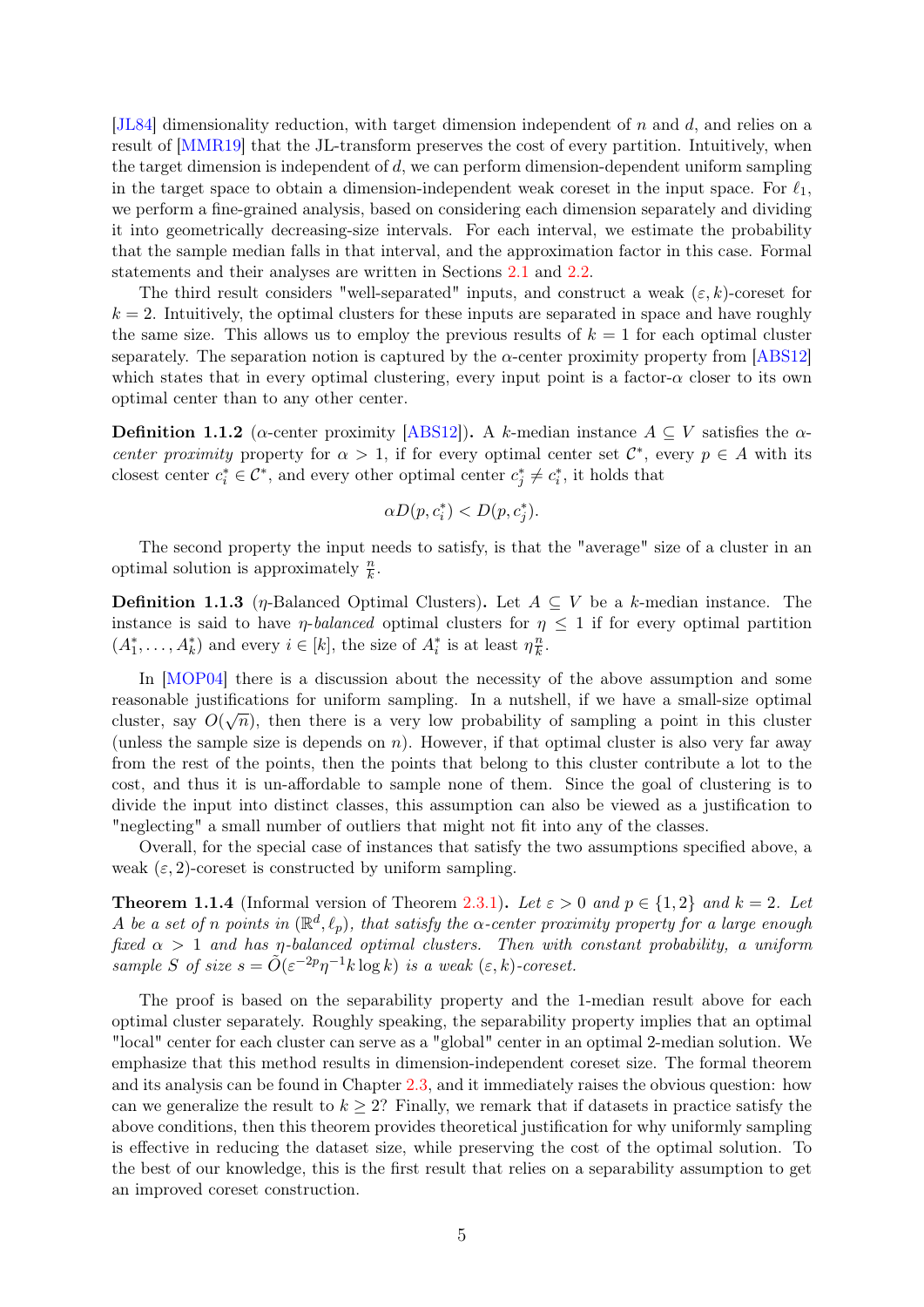[\[JL84\]](#page-44-6) dimensionality reduction, with target dimension independent of n and d, and relies on a result of [\[MMR19\]](#page-45-7) that the JL-transform preserves the cost of every partition. Intuitively, when the target dimension is independent of d, we can perform dimension-dependent uniform sampling in the target space to obtain a dimension-independent weak coreset in the input space. For  $\ell_1$ , we perform a fine-grained analysis, based on considering each dimension separately and dividing it into geometrically decreasing-size intervals. For each interval, we estimate the probability that the sample median falls in that interval, and the approximation factor in this case. Formal statements and their analyses are written in Sections [2.1](#page-12-1) and [2.2.](#page-17-0)

The third result considers "well-separated" inputs, and construct a weak  $(\varepsilon, k)$ -coreset for  $k = 2$ . Intuitively, the optimal clusters for these inputs are separated in space and have roughly the same size. This allows us to employ the previous results of  $k = 1$  for each optimal cluster separately. The separation notion is captured by the  $\alpha$ -center proximity property from [\[ABS12\]](#page-40-0) which states that in every optimal clustering, every input point is a factor- $\alpha$  closer to its own optimal center than to any other center.

<span id="page-7-0"></span>**Definition 1.1.2** ( $\alpha$ -center proximity [\[ABS12\]](#page-40-0)). A k-median instance  $A \subseteq V$  satisfies the  $\alpha$ center proximity property for  $\alpha > 1$ , if for every optimal center set  $\mathcal{C}^*$ , every  $p \in A$  with its closest center  $c_i^* \in \mathcal{C}^*$ , and every other optimal center  $c_j^* \neq c_i^*$ , it holds that

$$
\alpha D(p, c_i^*) < D(p, c_j^*).
$$

The second property the input needs to satisfy, is that the "average" size of a cluster in an optimal solution is approximately  $\frac{n}{k}$ .

<span id="page-7-1"></span>**Definition 1.1.3** (*η*-Balanced Optimal Clusters). Let  $A \subseteq V$  be a k-median instance. The instance is said to have *η-balanced* optimal clusters for  $\eta \leq 1$  if for every optimal partition  $(A_1^*, \ldots, A_k^*)$  and every  $i \in [k]$ , the size of  $A_i^*$  is at least  $\eta_{\overline{k}}^n$  $\frac{n}{k}$ .

In [\[MOP04\]](#page-45-1) there is a discussion about the necessity of the above assumption and some reasonable justifications for uniform sampling. In a nutshell, if we have a small-size optimal cluster, say  $O(\sqrt{n})$ , then there is a very low probability of sampling a point in this cluster (unless the sample size is depends on  $n$ ). However, if that optimal cluster is also very far away from the rest of the points, then the points that belong to this cluster contribute a lot to the cost, and thus it is un-affordable to sample none of them. Since the goal of clustering is to divide the input into distinct classes, this assumption can also be viewed as a justification to "neglecting" a small number of outliers that might not fit into any of the classes.

Overall, for the special case of instances that satisfy the two assumptions specified above, a weak  $(\varepsilon, 2)$ -coreset is constructed by uniform sampling.

**Theorem 1.1.4** (Informal version of Theorem [2.3.1\)](#page-23-1). Let  $\varepsilon > 0$  and  $p \in \{1,2\}$  and  $k = 2$ . Let A be a set of n points in  $(\mathbb{R}^d, \ell_p)$ , that satisfy the  $\alpha$ -center proximity property for a large enough fixed  $\alpha > 1$  and has  $\eta$ -balanced optimal clusters. Then with constant probability, a uniform sample S of size  $s = \tilde{O}(\varepsilon^{-2p} \eta^{-1} k \log k)$  is a weak  $(\varepsilon, k)$ -coreset.

The proof is based on the separability property and the 1-median result above for each optimal cluster separately. Roughly speaking, the separability property implies that an optimal "local" center for each cluster can serve as a "global" center in an optimal 2-median solution. We emphasize that this method results in dimension-independent coreset size. The formal theorem and its analysis can be found in Chapter [2.3,](#page-23-0) and it immediately raises the obvious question: how can we generalize the result to  $k \geq 2$ ? Finally, we remark that if datasets in practice satisfy the above conditions, then this theorem provides theoretical justification for why uniformly sampling is effective in reducing the dataset size, while preserving the cost of the optimal solution. To the best of our knowledge, this is the first result that relies on a separability assumption to get an improved coreset construction.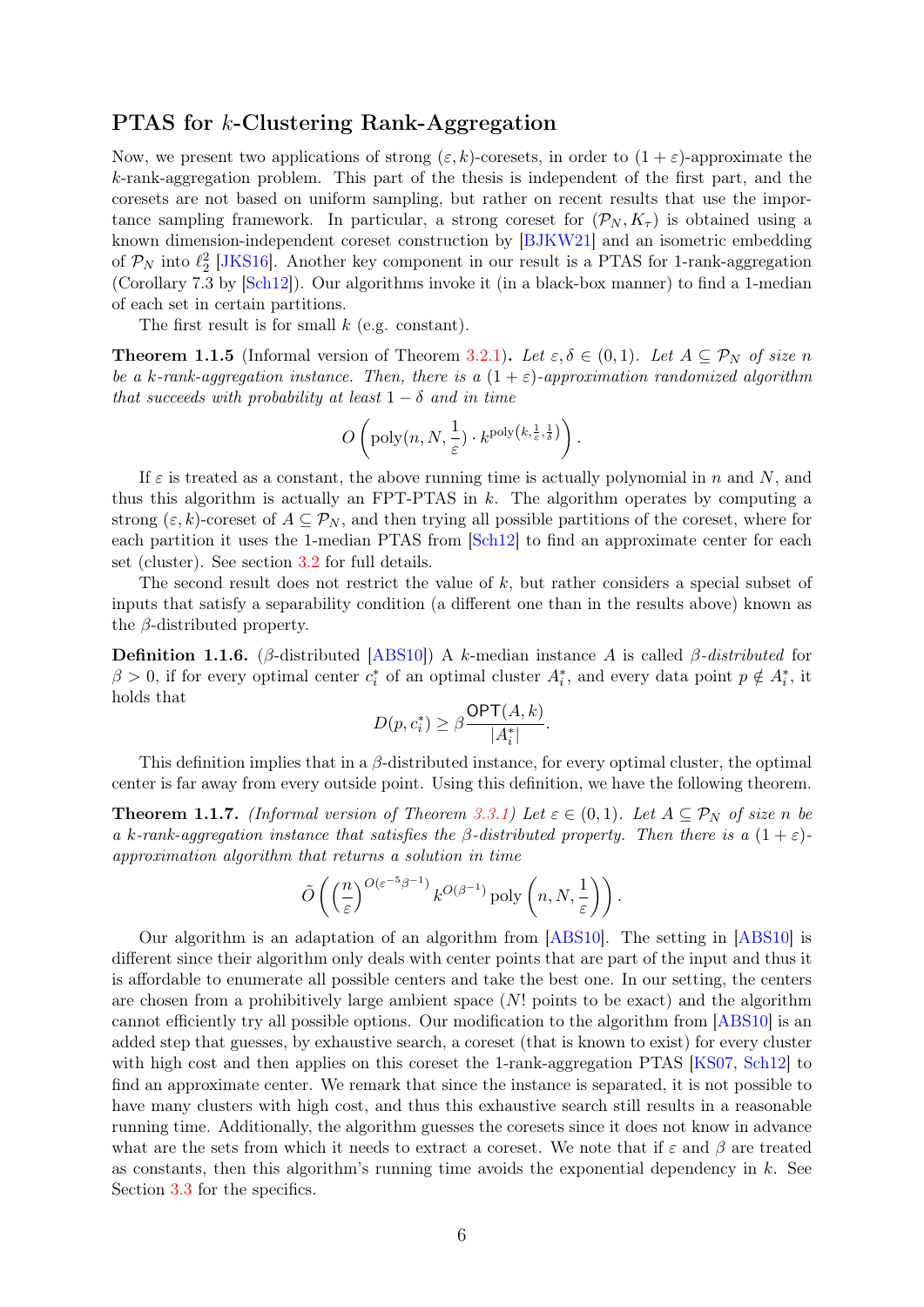#### PTAS for k-Clustering Rank-Aggregation

Now, we present two applications of strong  $(\varepsilon, k)$ -coresets, in order to  $(1 + \varepsilon)$ -approximate the k-rank-aggregation problem. This part of the thesis is independent of the first part, and the coresets are not based on uniform sampling, but rather on recent results that use the importance sampling framework. In particular, a strong coreset for  $(\mathcal{P}_N, K_\tau)$  is obtained using a known dimension-independent coreset construction by [\[BJKW21\]](#page-41-0) and an isometric embedding of  $P_N$  into  $\ell_2^2$  [\[JKS16\]](#page-44-2). Another key component in our result is a PTAS for 1-rank-aggregation (Corollary 7.3 by [\[Sch12\]](#page-45-5)). Our algorithms invoke it (in a black-box manner) to find a 1-median of each set in certain partitions.

The first result is for small  $k$  (e.g. constant).

**Theorem 1.1.5** (Informal version of Theorem [3.2.1\)](#page-32-1). Let  $\varepsilon, \delta \in (0,1)$ . Let  $A \subseteq \mathcal{P}_N$  of size n be a k-rank-aggregation instance. Then, there is a  $(1 + \varepsilon)$ -approximation randomized algorithm that succeeds with probability at least  $1 - \delta$  and in time

$$
O\left(\mathrm{poly}(n, N, \frac{1}{\varepsilon}) \cdot k^{\mathrm{poly}\left(k, \frac{1}{\varepsilon}, \frac{1}{\delta}\right)}\right).
$$

If  $\varepsilon$  is treated as a constant, the above running time is actually polynomial in n and N, and thus this algorithm is actually an FPT-PTAS in  $k$ . The algorithm operates by computing a strong  $(\varepsilon, k)$ -coreset of  $A \subseteq \mathcal{P}_N$ , and then trying all possible partitions of the coreset, where for each partition it uses the 1-median PTAS from [\[Sch12\]](#page-45-5) to find an approximate center for each set (cluster). See section [3.2](#page-32-0) for full details.

The second result does not restrict the value of k, but rather considers a special subset of inputs that satisfy a separability condition (a different one than in the results above) known as the  $\beta$ -distributed property.

<span id="page-8-0"></span>**Definition 1.1.6.** (β-distributed [\[ABS10\]](#page-40-1)) A k-median instance A is called β-distributed for  $\beta > 0$ , if for every optimal center  $c_i^*$  of an optimal cluster  $A_i^*$ , and every data point  $p \notin A_i^*$ , it holds that

$$
D(p, c_i^*) \ge \beta \frac{\mathsf{OPT}(A, k)}{|A_i^*|}.
$$

This definition implies that in a  $\beta$ -distributed instance, for every optimal cluster, the optimal center is far away from every outside point. Using this definition, we have the following theorem.

**Theorem 1.1.7.** (Informal version of Theorem [3.3.1\)](#page-35-0) Let  $\varepsilon \in (0,1)$ . Let  $A \subseteq \mathcal{P}_N$  of size n be a k-rank-aggregation instance that satisfies the  $\beta$ -distributed property. Then there is a  $(1 + \varepsilon)$ approximation algorithm that returns a solution in time

$$
\tilde{O}\left(\left(\frac{n}{\varepsilon}\right)^{O(\varepsilon^{-5}\beta^{-1})} k^{O(\beta^{-1})} \text{poly}\left(n, N, \frac{1}{\varepsilon}\right)\right).
$$

Our algorithm is an adaptation of an algorithm from [\[ABS10\]](#page-40-1). The setting in [\[ABS10\]](#page-40-1) is different since their algorithm only deals with center points that are part of the input and thus it is affordable to enumerate all possible centers and take the best one. In our setting, the centers are chosen from a prohibitively large ambient space  $(N!)$  points to be exact) and the algorithm cannot efficiently try all possible options. Our modification to the algorithm from [\[ABS10\]](#page-40-1) is an added step that guesses, by exhaustive search, a coreset (that is known to exist) for every cluster with high cost and then applies on this coreset the 1-rank-aggregation PTAS [\[KS07,](#page-44-5) [Sch12\]](#page-45-5) to find an approximate center. We remark that since the instance is separated, it is not possible to have many clusters with high cost, and thus this exhaustive search still results in a reasonable running time. Additionally, the algorithm guesses the coresets since it does not know in advance what are the sets from which it needs to extract a coreset. We note that if  $\varepsilon$  and  $\beta$  are treated as constants, then this algorithm's running time avoids the exponential dependency in  $k$ . See Section [3.3](#page-33-0) for the specifics.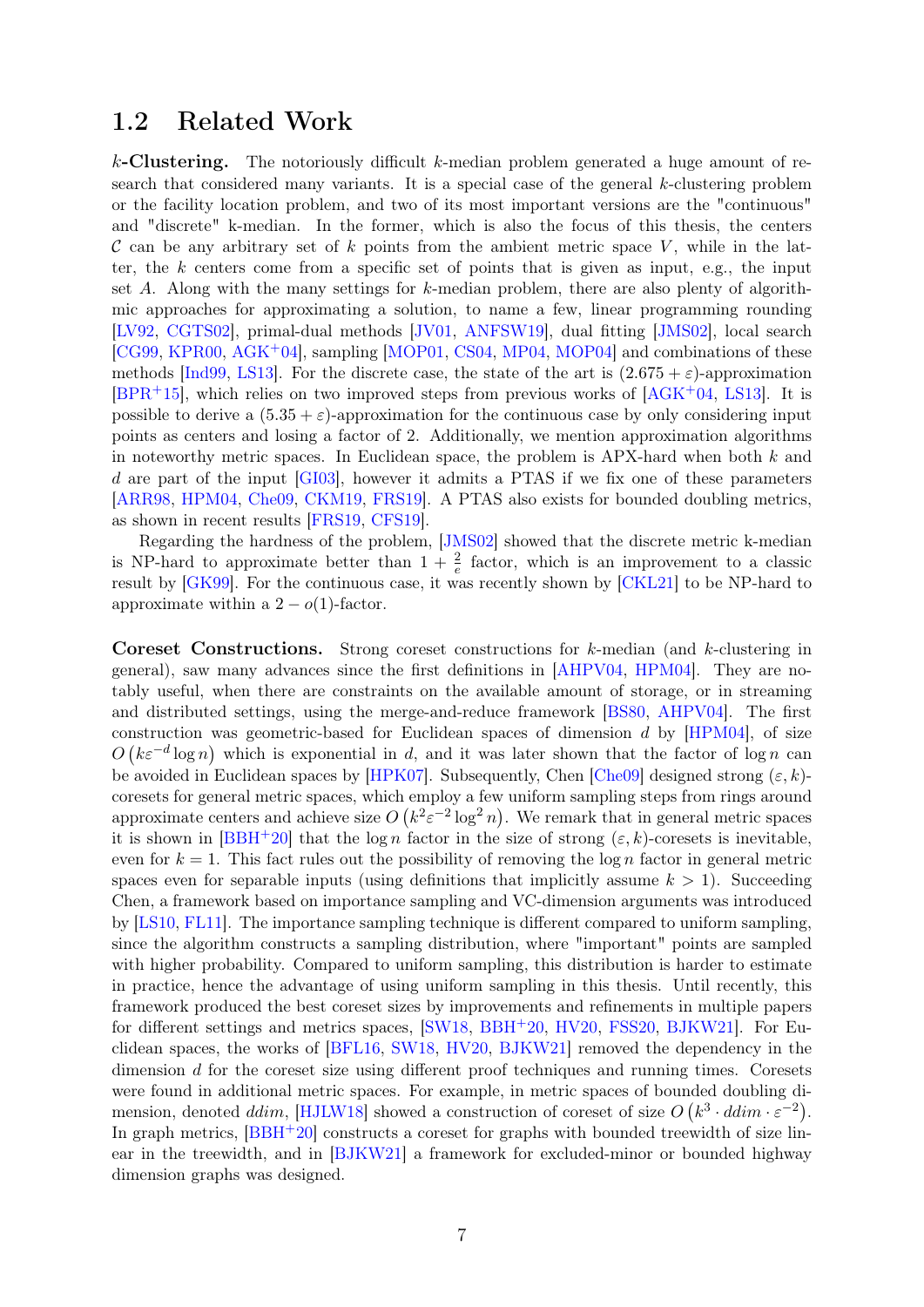### <span id="page-9-0"></span>1.2 Related Work

 $k$ -Clustering. The notoriously difficult k-median problem generated a huge amount of research that considered many variants. It is a special case of the general  $k$ -clustering problem or the facility location problem, and two of its most important versions are the "continuous" and "discrete" k-median. In the former, which is also the focus of this thesis, the centers  $\mathcal C$  can be any arbitrary set of k points from the ambient metric space V, while in the latter, the  $k$  centers come from a specific set of points that is given as input, e.g., the input set A. Along with the many settings for  $k$ -median problem, there are also plenty of algorithmic approaches for approximating a solution, to name a few, linear programming rounding [\[LV92,](#page-45-8) [CGTS02\]](#page-42-5), primal-dual methods [\[JV01,](#page-44-7) [ANFSW19\]](#page-40-3), dual fitting [\[JMS02\]](#page-44-8), local search [\[CG99,](#page-42-6) [KPR00,](#page-44-9) [AGK](#page-40-4)+04], sampling [\[MOP01,](#page-45-4) [CS04,](#page-42-1) [MP04,](#page-45-9) [MOP04\]](#page-45-1) and combinations of these methods [\[Ind99,](#page-44-10) [LS13\]](#page-45-10). For the discrete case, the state of the art is  $(2.675 + \varepsilon)$ -approximation  $[BPR<sup>+</sup>15]$  $[BPR<sup>+</sup>15]$ , which relies on two improved steps from previous works of  $[AGK<sup>+</sup>04, LS13]$  $[AGK<sup>+</sup>04, LS13]$  $[AGK<sup>+</sup>04, LS13]$ . It is possible to derive a  $(5.35 + \varepsilon)$ -approximation for the continuous case by only considering input points as centers and losing a factor of 2. Additionally, we mention approximation algorithms in noteworthy metric spaces. In Euclidean space, the problem is APX-hard when both  $k$  and d are part of the input [\[GI03\]](#page-43-6), however it admits a PTAS if we fix one of these parameters [\[ARR98,](#page-41-2) [HPM04,](#page-44-3) [Che09,](#page-42-0) [CKM19,](#page-42-8) [FRS19\]](#page-43-7). A PTAS also exists for bounded doubling metrics, as shown in recent results [\[FRS19,](#page-43-7) [CFS19\]](#page-42-9).

Regarding the hardness of the problem, [\[JMS02\]](#page-44-8) showed that the discrete metric k-median is NP-hard to approximate better than  $1 + \frac{2}{e}$  factor, which is an improvement to a classic result by [\[GK99\]](#page-44-11). For the continuous case, it was recently shown by [\[CKL21\]](#page-42-10) to be NP-hard to approximate within a  $2 - o(1)$ -factor.

Coreset Constructions. Strong coreset constructions for k-median (and k-clustering in general), saw many advances since the first definitions in [\[AHPV04,](#page-40-2) [HPM04\]](#page-44-3). They are notably useful, when there are constraints on the available amount of storage, or in streaming and distributed settings, using the merge-and-reduce framework [\[BS80,](#page-42-11) [AHPV04\]](#page-40-2). The first construction was geometric-based for Euclidean spaces of dimension  $d$  by  $[HPM04]$ , of size  $O(k\varepsilon^{-d}\log n)$  which is exponential in d, and it was later shown that the factor of log n can be avoided in Euclidean spaces by [\[HPK07\]](#page-44-12). Subsequently, Chen [\[Che09\]](#page-42-0) designed strong  $(\varepsilon, k)$ coresets for general metric spaces, which employ a few uniform sampling steps from rings around approximate centers and achieve size  $O(k^2 \varepsilon^{-2} \log^2 n)$ . We remark that in general metric spaces it is shown in  $[BBH+20]$  $[BBH+20]$  that the log n factor in the size of strong  $(\varepsilon, k)$ -coresets is inevitable, even for  $k = 1$ . This fact rules out the possibility of removing the log n factor in general metric spaces even for separable inputs (using definitions that implicitly assume  $k > 1$ ). Succeeding Chen, a framework based on importance sampling and VC-dimension arguments was introduced by [\[LS10,](#page-45-3) [FL11\]](#page-43-0). The importance sampling technique is different compared to uniform sampling, since the algorithm constructs a sampling distribution, where "important" points are sampled with higher probability. Compared to uniform sampling, this distribution is harder to estimate in practice, hence the advantage of using uniform sampling in this thesis. Until recently, this framework produced the best coreset sizes by improvements and refinements in multiple papers for different settings and metrics spaces, [\[SW18,](#page-46-0) [BBH](#page-41-3)<sup>+</sup>20, [HV20,](#page-44-4) [FSS20,](#page-43-4) [BJKW21\]](#page-41-0). For Euclidean spaces, the works of [\[BFL16,](#page-41-4) [SW18,](#page-46-0) [HV20,](#page-44-4) [BJKW21\]](#page-41-0) removed the dependency in the dimension d for the coreset size using different proof techniques and running times. Coresets were found in additional metric spaces. For example, in metric spaces of bounded doubling di-mension, denoted ddim, [\[HJLW18\]](#page-44-13) showed a construction of coreset of size  $O(k^3 \cdot ddim \cdot \varepsilon^{-2})$ . In graph metrics,  $[BBH+20]$  $[BBH+20]$  constructs a coreset for graphs with bounded treewidth of size linear in the treewidth, and in [\[BJKW21\]](#page-41-0) a framework for excluded-minor or bounded highway dimension graphs was designed.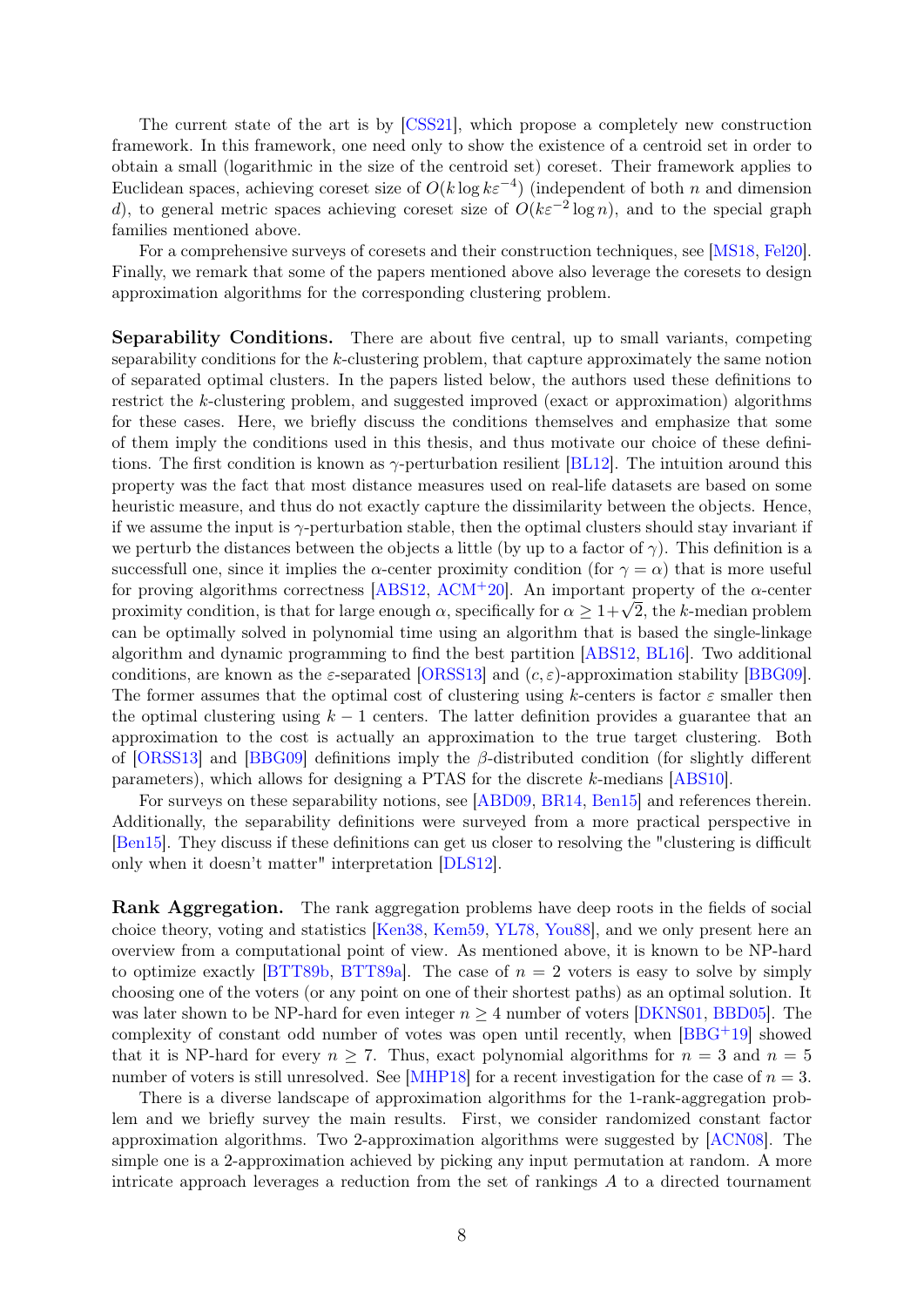The current state of the art is by [\[CSS21\]](#page-43-2), which propose a completely new construction framework. In this framework, one need only to show the existence of a centroid set in order to obtain a small (logarithmic in the size of the centroid set) coreset. Their framework applies to Euclidean spaces, achieving coreset size of  $O(k \log k \varepsilon^{-4})$  (independent of both n and dimension d), to general metric spaces achieving coreset size of  $O(k\varepsilon^{-2} \log n)$ , and to the special graph families mentioned above.

For a comprehensive surveys of coresets and their construction techniques, see [\[MS18,](#page-45-0) [Fel20\]](#page-43-1). Finally, we remark that some of the papers mentioned above also leverage the coresets to design approximation algorithms for the corresponding clustering problem.

Separability Conditions. There are about five central, up to small variants, competing separability conditions for the k-clustering problem, that capture approximately the same notion of separated optimal clusters. In the papers listed below, the authors used these definitions to restrict the k-clustering problem, and suggested improved (exact or approximation) algorithms for these cases. Here, we briefly discuss the conditions themselves and emphasize that some of them imply the conditions used in this thesis, and thus motivate our choice of these definitions. The first condition is known as  $\gamma$ -perturbation resilient [\[BL12\]](#page-41-5). The intuition around this property was the fact that most distance measures used on real-life datasets are based on some heuristic measure, and thus do not exactly capture the dissimilarity between the objects. Hence, if we assume the input is  $\gamma$ -perturbation stable, then the optimal clusters should stay invariant if we perturb the distances between the objects a little (by up to a factor of  $\gamma$ ). This definition is a successfull one, since it implies the  $\alpha$ -center proximity condition (for  $\gamma = \alpha$ ) that is more useful for proving algorithms correctness [\[ABS12,](#page-40-0) [ACM](#page-40-5)<sup>+</sup>20]. An important property of the  $\alpha$ -center for proving algorithms correctness  $[AB512, ACM/20]$ . An important property of the  $\alpha$ -center proximity condition, is that for large enough  $\alpha$ , specifically for  $\alpha \geq 1 + \sqrt{2}$ , the k-median problem can be optimally solved in polynomial time using an algorithm that is based the single-linkage algorithm and dynamic programming to find the best partition [\[ABS12,](#page-40-0) [BL16\]](#page-41-6). Two additional conditions, are known as the  $\varepsilon$ -separated [\[ORSS13\]](#page-45-11) and  $(c, \varepsilon)$ -approximation stability [\[BBG09\]](#page-41-7). The former assumes that the optimal cost of clustering using k-centers is factor  $\varepsilon$  smaller then the optimal clustering using  $k - 1$  centers. The latter definition provides a guarantee that an approximation to the cost is actually an approximation to the true target clustering. Both of  $[ORSS13]$  and  $[BBG09]$  definitions imply the  $\beta$ -distributed condition (for slightly different parameters), which allows for designing a PTAS for the discrete k-medians [\[ABS10\]](#page-40-1).

For surveys on these separability notions, see [\[ABD09,](#page-40-6) [BR14,](#page-42-2) [Ben15\]](#page-41-1) and references therein. Additionally, the separability definitions were surveyed from a more practical perspective in [\[Ben15\]](#page-41-1). They discuss if these definitions can get us closer to resolving the "clustering is difficult only when it doesn't matter" interpretation [\[DLS12\]](#page-43-8).

Rank Aggregation. The rank aggregation problems have deep roots in the fields of social choice theory, voting and statistics [\[Ken38,](#page-44-0) [Kem59,](#page-44-1) [YL78,](#page-46-2) [You88\]](#page-46-3), and we only present here an overview from a computational point of view. As mentioned above, it is known to be NP-hard to optimize exactly [\[BTT89b,](#page-42-4) [BTT89a\]](#page-42-3). The case of  $n = 2$  voters is easy to solve by simply choosing one of the voters (or any point on one of their shortest paths) as an optimal solution. It was later shown to be NP-hard for even integer  $n \geq 4$  number of voters [\[DKNS01,](#page-43-5) [BBD05\]](#page-41-8). The complexity of constant odd number of votes was open until recently, when [\[BBG](#page-41-9)+19] showed that it is NP-hard for every  $n \geq 7$ . Thus, exact polynomial algorithms for  $n = 3$  and  $n = 5$ number of voters is still unresolved. See [\[MHP18\]](#page-45-12) for a recent investigation for the case of  $n = 3$ .

There is a diverse landscape of approximation algorithms for the 1-rank-aggregation problem and we briefly survey the main results. First, we consider randomized constant factor approximation algorithms. Two 2-approximation algorithms were suggested by [\[ACN08\]](#page-40-7). The simple one is a 2-approximation achieved by picking any input permutation at random. A more intricate approach leverages a reduction from the set of rankings A to a directed tournament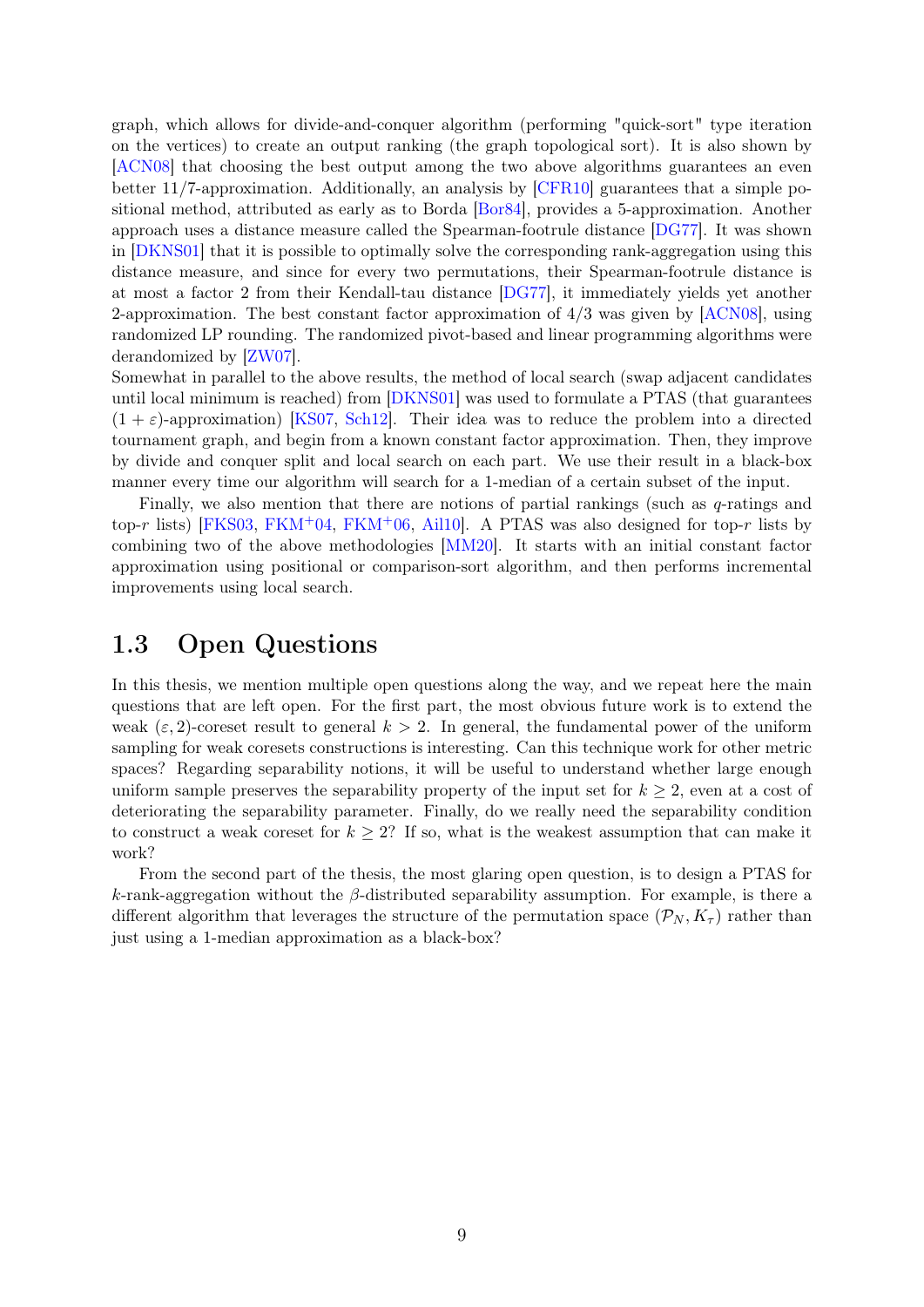graph, which allows for divide-and-conquer algorithm (performing "quick-sort" type iteration on the vertices) to create an output ranking (the graph topological sort). It is also shown by [\[ACN08\]](#page-40-7) that choosing the best output among the two above algorithms guarantees an even better 11/7-approximation. Additionally, an analysis by [\[CFR10\]](#page-42-12) guarantees that a simple positional method, attributed as early as to Borda [\[Bor84\]](#page-41-10), provides a 5-approximation. Another approach uses a distance measure called the Spearman-footrule distance [\[DG77\]](#page-43-9). It was shown in [\[DKNS01\]](#page-43-5) that it is possible to optimally solve the corresponding rank-aggregation using this distance measure, and since for every two permutations, their Spearman-footrule distance is at most a factor 2 from their Kendall-tau distance [\[DG77\]](#page-43-9), it immediately yields yet another 2-approximation. The best constant factor approximation of 4/3 was given by [\[ACN08\]](#page-40-7), using randomized LP rounding. The randomized pivot-based and linear programming algorithms were derandomized by [\[ZW07\]](#page-46-4).

Somewhat in parallel to the above results, the method of local search (swap adjacent candidates until local minimum is reached) from [\[DKNS01\]](#page-43-5) was used to formulate a PTAS (that guarantees  $(1 + \varepsilon)$ -approximation) [\[KS07,](#page-44-5) [Sch12\]](#page-45-5). Their idea was to reduce the problem into a directed tournament graph, and begin from a known constant factor approximation. Then, they improve by divide and conquer split and local search on each part. We use their result in a black-box manner every time our algorithm will search for a 1-median of a certain subset of the input.

Finally, we also mention that there are notions of partial rankings (such as  $q$ -ratings and top-r lists) [\[FKS03,](#page-43-10) [FKM](#page-43-12)<sup>+</sup>04, FKM<sup>+</sup>06, [Ail10\]](#page-40-8). A PTAS was also designed for top-r lists by combining two of the above methodologies [\[MM20\]](#page-45-13). It starts with an initial constant factor approximation using positional or comparison-sort algorithm, and then performs incremental improvements using local search.

### <span id="page-11-0"></span>1.3 Open Questions

In this thesis, we mention multiple open questions along the way, and we repeat here the main questions that are left open. For the first part, the most obvious future work is to extend the weak  $(\varepsilon, 2)$ -coreset result to general  $k > 2$ . In general, the fundamental power of the uniform sampling for weak coresets constructions is interesting. Can this technique work for other metric spaces? Regarding separability notions, it will be useful to understand whether large enough uniform sample preserves the separability property of the input set for  $k \geq 2$ , even at a cost of deteriorating the separability parameter. Finally, do we really need the separability condition to construct a weak coreset for  $k \geq 2$ ? If so, what is the weakest assumption that can make it work?

From the second part of the thesis, the most glaring open question, is to design a PTAS for k-rank-aggregation without the  $\beta$ -distributed separability assumption. For example, is there a different algorithm that leverages the structure of the permutation space  $(\mathcal{P}_N, K_{\tau})$  rather than just using a 1-median approximation as a black-box?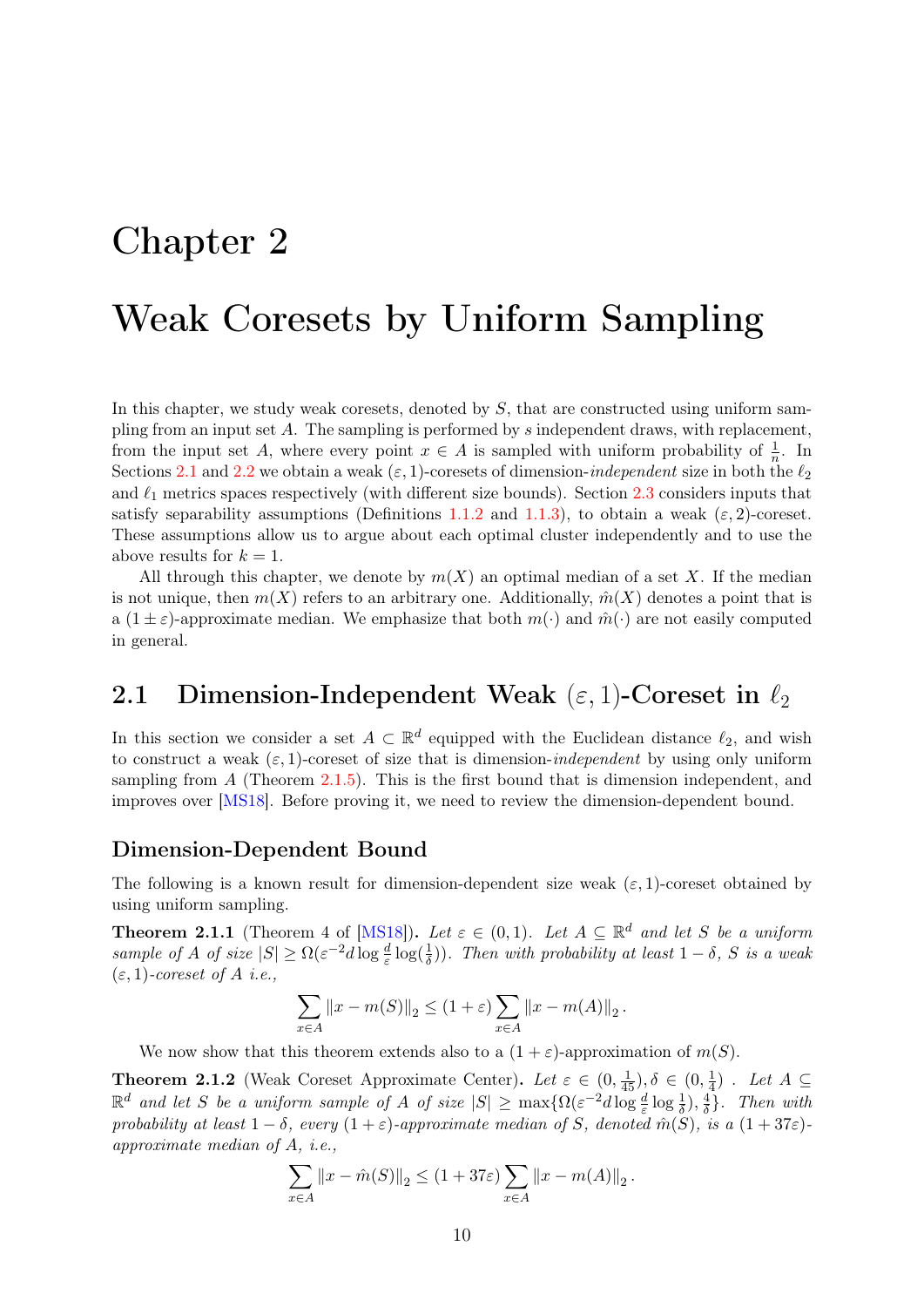# <span id="page-12-0"></span>Chapter 2

# Weak Coresets by Uniform Sampling

In this chapter, we study weak coresets, denoted by  $S$ , that are constructed using uniform sampling from an input set  $A$ . The sampling is performed by  $s$  independent draws, with replacement, from the input set A, where every point  $x \in A$  is sampled with uniform probability of  $\frac{1}{n}$ . In Sections [2.1](#page-12-1) and [2.2](#page-17-0) we obtain a weak  $(\varepsilon, 1)$ -coresets of dimension-*independent* size in both the  $\ell_2$ and  $\ell_1$  metrics spaces respectively (with different size bounds). Section [2.3](#page-23-0) considers inputs that satisfy separability assumptions (Definitions [1.1.2](#page-7-0) and [1.1.3\)](#page-7-1), to obtain a weak ( $\varepsilon$ , 2)-coreset. These assumptions allow us to argue about each optimal cluster independently and to use the above results for  $k = 1$ .

All through this chapter, we denote by  $m(X)$  an optimal median of a set X. If the median is not unique, then  $m(X)$  refers to an arbitrary one. Additionally,  $\hat{m}(X)$  denotes a point that is a  $(1 \pm \varepsilon)$ -approximate median. We emphasize that both  $m(\cdot)$  and  $\hat{m}(\cdot)$  are not easily computed in general.

### <span id="page-12-1"></span>2.1 Dimension-Independent Weak  $(\varepsilon, 1)$ -Coreset in  $\ell_2$

In this section we consider a set  $A \subset \mathbb{R}^d$  equipped with the Euclidean distance  $\ell_2$ , and wish to construct a weak  $(\varepsilon, 1)$ -coreset of size that is dimension-*independent* by using only uniform sampling from  $A$  (Theorem [2.1.5\)](#page-14-0). This is the first bound that is dimension independent, and improves over [\[MS18\]](#page-45-0). Before proving it, we need to review the dimension-dependent bound.

#### Dimension-Dependent Bound

The following is a known result for dimension-dependent size weak  $(\varepsilon, 1)$ -coreset obtained by using uniform sampling.

<span id="page-12-2"></span>**Theorem 2.1.1** (Theorem 4 of [\[MS18\]](#page-45-0)). Let  $\varepsilon \in (0,1)$ . Let  $A \subseteq \mathbb{R}^d$  and let S be a uniform sample of A of size  $|S| \ge \Omega(\varepsilon^{-2}d \log \frac{d}{\varepsilon} \log(\frac{1}{\delta}))$ . Then with probability at least  $1-\delta$ , S is a weak  $(\varepsilon, 1)$ -coreset of A i.e.,

$$
\sum_{x \in A} ||x - m(S)||_2 \le (1 + \varepsilon) \sum_{x \in A} ||x - m(A)||_2.
$$

We now show that this theorem extends also to a  $(1 + \varepsilon)$ -approximation of  $m(S)$ .

<span id="page-12-3"></span>**Theorem 2.1.2** (Weak Coreset Approximate Center). Let  $\varepsilon \in (0, \frac{1}{45})$ ,  $\delta \in (0, \frac{1}{45})$  $\frac{1}{4}$ ). Let  $A \subseteq$  $\mathbb{R}^d$  and let S be a uniform sample of A of size  $|S| \ge \max\{\Omega(\varepsilon^{-2}d\log\frac{d}{\varepsilon}\log\frac{1}{\delta}), \frac{4}{\delta}$  $\frac{4}{\delta}$ . Then with probability at least  $1 - \delta$ , every  $(1 + \varepsilon)$ -approximate median of S, denoted  $\hat{m}(S)$ , is a  $(1 + 37\varepsilon)$ approximate median of A, i.e.,

$$
\sum_{x \in A} ||x - \hat{m}(S)||_2 \le (1 + 37\varepsilon) \sum_{x \in A} ||x - m(A)||_2.
$$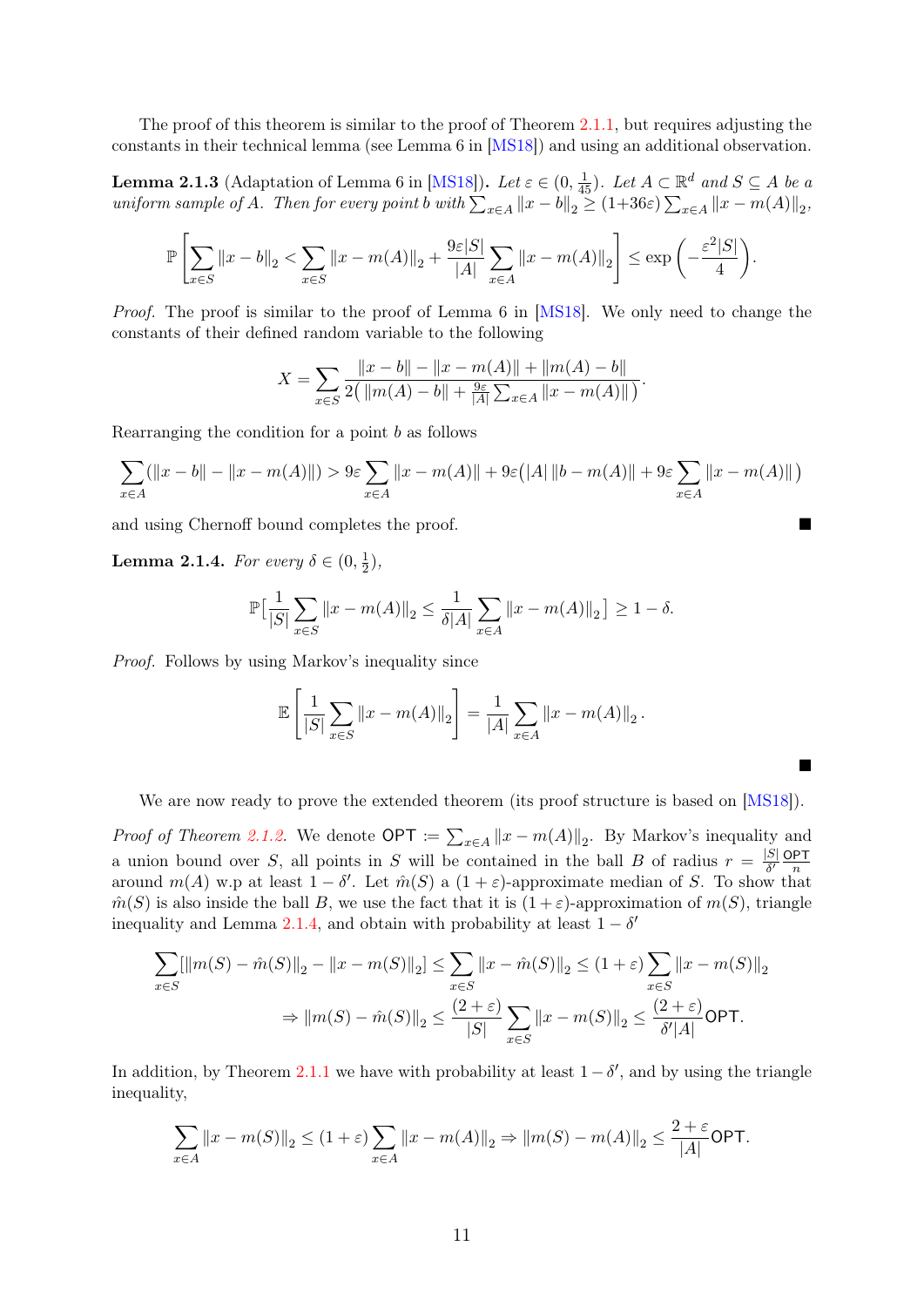The proof of this theorem is similar to the proof of Theorem [2.1.1,](#page-12-2) but requires adjusting the constants in their technical lemma (see Lemma 6 in [\[MS18\]](#page-45-0)) and using an additional observation.

<span id="page-13-1"></span>**Lemma 2.1.3** (Adaptation of Lemma 6 in [\[MS18\]](#page-45-0)). Let  $\varepsilon \in (0, \frac{1}{45})$ . Let  $A \subset \mathbb{R}^d$  and  $S \subseteq A$  be a uniform sample of A. Then for every point b with  $\sum_{x \in A} ||x - b||_2 \ge (1+36\varepsilon) \sum_{x \in A} ||x - m(A)||_2$ ,

$$
\mathbb{P}\left[\sum_{x \in S} \|x - b\|_2 < \sum_{x \in S} \|x - m(A)\|_2 + \frac{9\varepsilon|S|}{|A|} \sum_{x \in A} \|x - m(A)\|_2\right] \le \exp\left(-\frac{\varepsilon^2|S|}{4}\right).
$$

Proof. The proof is similar to the proof of Lemma 6 in [\[MS18\]](#page-45-0). We only need to change the constants of their defined random variable to the following

$$
X = \sum_{x \in S} \frac{||x - b|| - ||x - m(A)|| + ||m(A) - b||}{2(||m(A) - b|| + \frac{9\varepsilon}{|A|} \sum_{x \in A} ||x - m(A)||)}.
$$

Rearranging the condition for a point  $b$  as follows

$$
\sum_{x\in A}(\|x-b\|-\|x-m(A)\|)>9\varepsilon\sum_{x\in A}\|x-m(A)\|+9\varepsilon\big(|A|\,\|b-m(A)\|+9\varepsilon\sum_{x\in A}\|x-m(A)\|\,\big)
$$

and using Chernoff bound completes the proof.

<span id="page-13-0"></span>**Lemma 2.1.4.** For every  $\delta \in (0, \frac{1}{2})$  $(\frac{1}{2}),$ 

$$
\mathbb{P}\big[\frac{1}{|S|}\sum_{x\in S}||x - m(A)||_2 \le \frac{1}{\delta|A|}\sum_{x\in A}||x - m(A)||_2\big] \ge 1 - \delta.
$$

Proof. Follows by using Markov's inequality since

$$
\mathbb{E}\left[\frac{1}{|S|}\sum_{x\in S}||x-m(A)||_2\right] = \frac{1}{|A|}\sum_{x\in A}||x-m(A)||_2.
$$

We are now ready to prove the extended theorem (its proof structure is based on [\[MS18\]](#page-45-0)).

 $\blacksquare$ 

*Proof of Theorem [2.1.2.](#page-12-3)* We denote  $\mathsf{OPT} \coloneqq \sum_{x \in A} ||x - m(A)||_2$ . By Markov's inequality and a union bound over S, all points in S will be contained in the ball B of radius  $r = \frac{|S|}{\delta'}$  $\frac{|S|}{\delta'}\frac{\mathsf{OPT}}{n}$ n around  $m(A)$  w.p at least  $1 - \delta'$ . Let  $\hat{m}(S)$  a  $(1 + \varepsilon)$ -approximate median of S. To show that  $\hat{m}(S)$  is also inside the ball B, we use the fact that it is  $(1+\varepsilon)$ -approximation of  $m(S)$ , triangle inequality and Lemma [2.1.4,](#page-13-0) and obtain with probability at least  $1 - \delta'$ 

$$
\sum_{x \in S} [\|m(S) - \hat{m}(S)\|_2 - \|x - m(S)\|_2] \le \sum_{x \in S} \|x - \hat{m}(S)\|_2 \le (1 + \varepsilon) \sum_{x \in S} \|x - m(S)\|_2
$$
  
\n
$$
\Rightarrow \|m(S) - \hat{m}(S)\|_2 \le \frac{(2 + \varepsilon)}{|S|} \sum_{x \in S} \|x - m(S)\|_2 \le \frac{(2 + \varepsilon)}{\delta' |A|} \text{OPT}.
$$

In addition, by Theorem [2.1.1](#page-12-2) we have with probability at least  $1 - \delta'$ , and by using the triangle inequality,

$$
\sum_{x \in A} ||x - m(S)||_2 \le (1 + \varepsilon) \sum_{x \in A} ||x - m(A)||_2 \Rightarrow ||m(S) - m(A)||_2 \le \frac{2 + \varepsilon}{|A|} \text{OPT}.
$$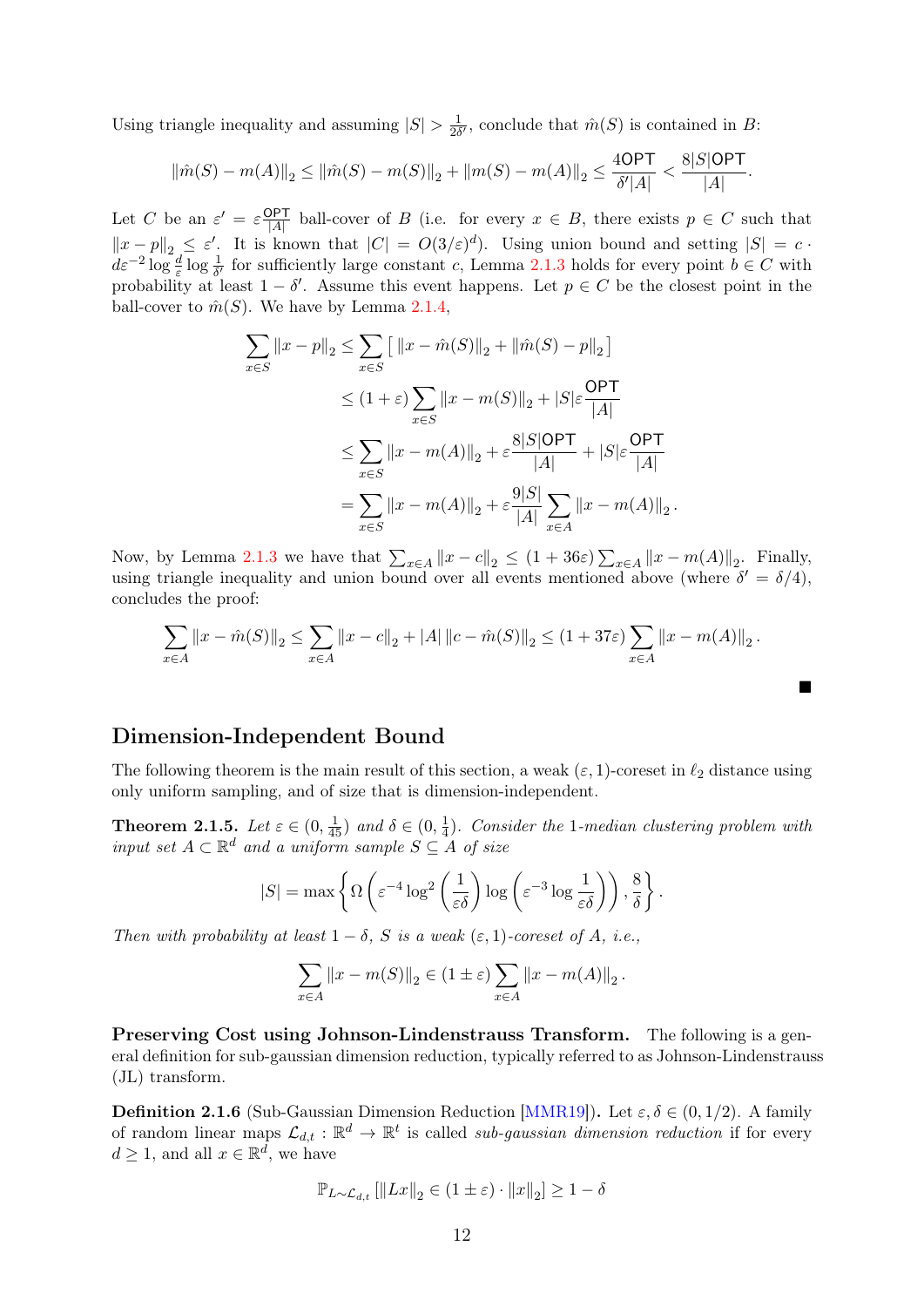Using triangle inequality and assuming  $|S| > \frac{1}{2\delta}$  $\frac{1}{2\delta'}$ , conclude that  $\hat{m}(S)$  is contained in B:

$$
\|\hat{m}(S) - m(A)\|_2 \le \|\hat{m}(S) - m(S)\|_2 + \|m(S) - m(A)\|_2 \le \frac{4\text{OPT}}{\delta'|A|} < \frac{8|S|\text{OPT}}{|A|}.
$$

Let C be an  $\varepsilon' = \varepsilon \frac{\text{OPT}}{|A|}$  $\frac{dP}{|A|}$  ball-cover of B (i.e. for every  $x \in B$ , there exists  $p \in C$  such that  $||x-p||_2 \leq \varepsilon'$ . It is known that  $|C| = O(3/\varepsilon)^d$ . Using union bound and setting  $|S| = c$ .  $d\varepsilon^{-2} \log \frac{d}{\varepsilon} \log \frac{1}{\delta'}$  for sufficiently large constant c, Lemma [2.1.3](#page-13-1) holds for every point  $b \in C$  with probability at least  $1 - \delta'$ . Assume this event happens. Let  $p \in C$  be the closest point in the ball-cover to  $\hat{m}(S)$ . We have by Lemma [2.1.4,](#page-13-0)

$$
\sum_{x \in S} ||x - p||_2 \le \sum_{x \in S} [||x - \hat{m}(S)||_2 + ||\hat{m}(S) - p||_2]
$$
  
\n
$$
\le (1 + \varepsilon) \sum_{x \in S} ||x - m(S)||_2 + |S|\varepsilon \frac{\text{OPT}}{|A|}
$$
  
\n
$$
\le \sum_{x \in S} ||x - m(A)||_2 + \varepsilon \frac{8|S|\text{OPT}}{|A|} + |S|\varepsilon \frac{\text{OPT}}{|A|}
$$
  
\n
$$
= \sum_{x \in S} ||x - m(A)||_2 + \varepsilon \frac{9|S|}{|A|} \sum_{x \in A} ||x - m(A)||_2.
$$

Now, by Lemma [2.1.3](#page-13-1) we have that  $\sum_{x \in A} ||x - c||_2 \le (1 + 36\varepsilon) \sum_{x \in A} ||x - m(A)||_2$ . Finally, using triangle inequality and union bound over all events mentioned above (where  $\delta' = \delta/4$ ), concludes the proof:

$$
\sum_{x \in A} ||x - \hat{m}(S)||_2 \le \sum_{x \in A} ||x - c||_2 + |A| ||c - \hat{m}(S)||_2 \le (1 + 37\varepsilon) \sum_{x \in A} ||x - m(A)||_2.
$$

 $\blacksquare$ 

#### Dimension-Independent Bound

The following theorem is the main result of this section, a weak  $(\varepsilon, 1)$ -coreset in  $\ell_2$  distance using only uniform sampling, and of size that is dimension-independent.

<span id="page-14-0"></span>**Theorem 2.1.5.** Let  $\varepsilon \in (0, \frac{1}{45})$  and  $\delta \in (0, \frac{1}{4})$  $\frac{1}{4}$ ). Consider the 1-median clustering problem with input set  $A \subset \mathbb{R}^d$  and a uniform sample  $S \subseteq A$  of size

$$
|S| = \max \left\{ \Omega \left( \varepsilon^{-4} \log^2 \left( \frac{1}{\varepsilon \delta} \right) \log \left( \varepsilon^{-3} \log \frac{1}{\varepsilon \delta} \right) \right), \frac{8}{\delta} \right\}.
$$

Then with probability at least  $1 - \delta$ , S is a weak  $(\varepsilon, 1)$ -coreset of A, i.e.,

$$
\sum_{x \in A} ||x - m(S)||_2 \in (1 \pm \varepsilon) \sum_{x \in A} ||x - m(A)||_2.
$$

Preserving Cost using Johnson-Lindenstrauss Transform. The following is a general definition for sub-gaussian dimension reduction, typically referred to as Johnson-Lindenstrauss (JL) transform.

<span id="page-14-1"></span>**Definition 2.1.6** (Sub-Gaussian Dimension Reduction [\[MMR19\]](#page-45-7)). Let  $\varepsilon, \delta \in (0, 1/2)$ . A family of random linear maps  $\mathcal{L}_{d,t} : \mathbb{R}^d \to \mathbb{R}^t$  is called *sub-gaussian dimension reduction* if for every  $d \geq 1$ , and all  $x \in \mathbb{R}^d$ , we have

$$
\mathbb{P}_{L \sim \mathcal{L}_{d,t}} \left[ \left\| Lx \right\|_2 \in (1 \pm \varepsilon) \cdot \left\| x \right\|_2 \right] \ge 1 - \delta
$$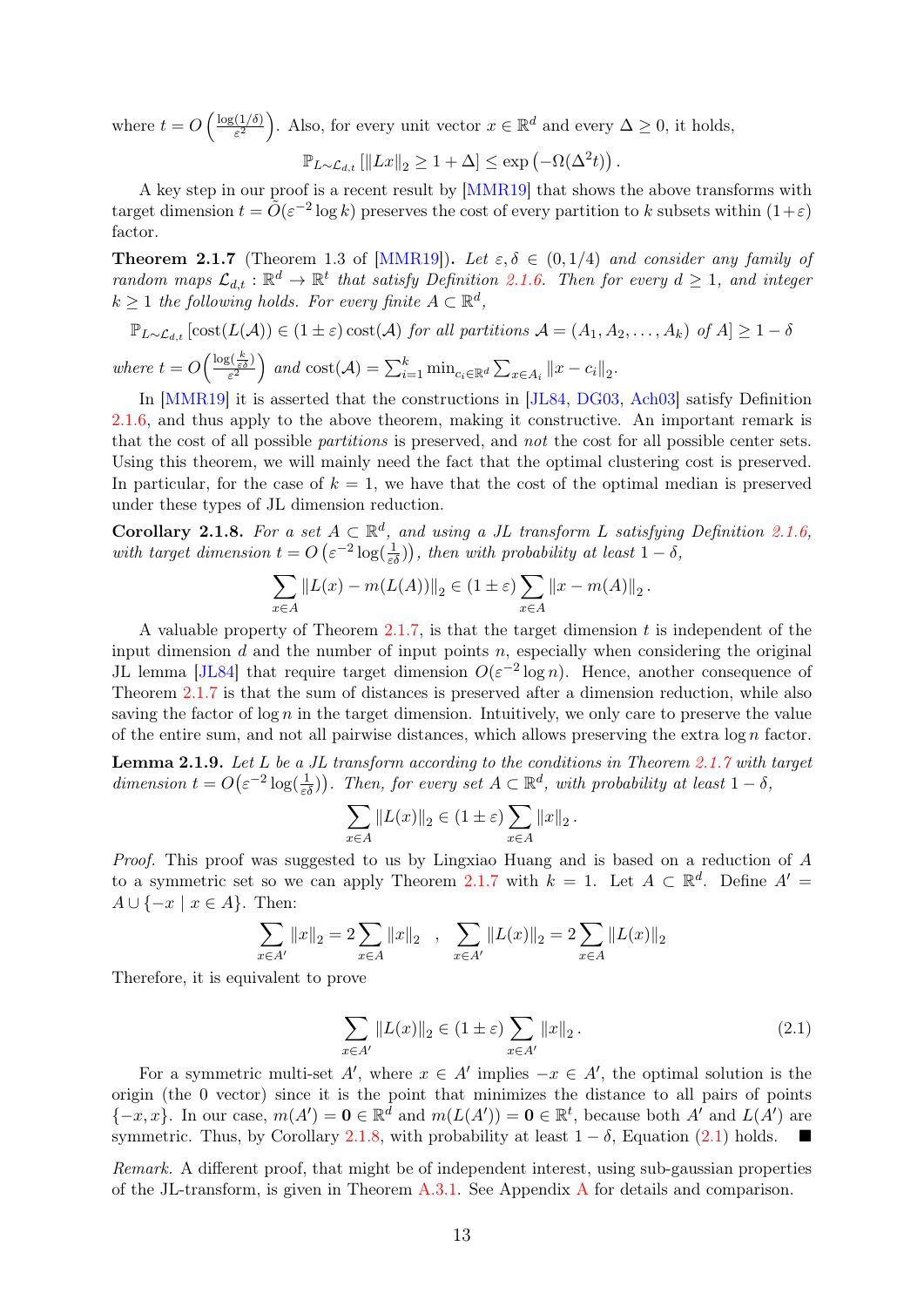where  $t = O\left(\frac{\log(1/\delta)}{\epsilon^2}\right)$  $\frac{(1/\delta)}{\varepsilon^2}$ . Also, for every unit vector  $x \in \mathbb{R}^d$  and every  $\Delta \geq 0$ , it holds,

$$
\mathbb{P}_{L\sim\mathcal{L}_{d,t}}\left[\|Lx\|_2\geq 1+\Delta\right]\leq \exp\left(-\Omega(\Delta^2 t)\right).
$$

A key step in our proof is a recent result by [\[MMR19\]](#page-45-7) that shows the above transforms with target dimension  $t = \tilde{O}(\varepsilon^{-2} \log k)$  preserves the cost of every partition to k subsets within  $(1+\varepsilon)$ factor.

<span id="page-15-0"></span>**Theorem 2.1.7** (Theorem 1.3 of [\[MMR19\]](#page-45-7)). Let  $\varepsilon, \delta \in (0, 1/4)$  and consider any family of random maps  $\mathcal{L}_{d,t} : \mathbb{R}^d \to \mathbb{R}^t$  that satisfy Definition [2.1.6.](#page-14-1) Then for every  $d \geq 1$ , and integer  $k \geq 1$  the following holds. For every finite  $A \subset \mathbb{R}^d$ ,

$$
\mathbb{P}_{L \sim \mathcal{L}_{d,t}}\left[\text{cost}(L(\mathcal{A})) \in (1 \pm \varepsilon)\text{cost}(\mathcal{A}) \text{ for all partitions } \mathcal{A} = (A_1, A_2, \dots, A_k) \text{ of } A\right] \ge 1 - \delta
$$
  
where  $t = O\left(\frac{\log(\frac{k}{\varepsilon \delta})}{\varepsilon^2}\right)$  and  $\text{cost}(\mathcal{A}) = \sum_{i=1}^k \min_{c_i \in \mathbb{R}^d} \sum_{x \in A_i} ||x - c_i||_2$ .

In [\[MMR19\]](#page-45-7) it is asserted that the constructions in [\[JL84,](#page-44-6) [DG03,](#page-43-13) [Ach03\]](#page-40-9) satisfy Definition [2.1.6,](#page-14-1) and thus apply to the above theorem, making it constructive. An important remark is that the cost of all possible partitions is preserved, and not the cost for all possible center sets. Using this theorem, we will mainly need the fact that the optimal clustering cost is preserved. In particular, for the case of  $k = 1$ , we have that the cost of the optimal median is preserved under these types of JL dimension reduction.

<span id="page-15-1"></span>Corollary 2.1.8. For a set  $A \subset \mathbb{R}^d$ , and using a JL transform L satisfying Definition [2.1.6,](#page-14-1) with target dimension  $t = O\left(\varepsilon^{-2} \log(\frac{1}{\varepsilon \delta})\right)$ , then with probability at least  $1 - \delta$ ,

$$
\sum_{x \in A} ||L(x) - m(L(A))||_2 \in (1 \pm \varepsilon) \sum_{x \in A} ||x - m(A)||_2.
$$

A valuable property of Theorem [2.1.7,](#page-15-0) is that the target dimension  $t$  is independent of the input dimension  $d$  and the number of input points  $n$ , especially when considering the original JL lemma [\[JL84\]](#page-44-6) that require target dimension  $O(\varepsilon^{-2} \log n)$ . Hence, another consequence of Theorem [2.1.7](#page-15-0) is that the sum of distances is preserved after a dimension reduction, while also saving the factor of  $\log n$  in the target dimension. Intuitively, we only care to preserve the value of the entire sum, and not all pairwise distances, which allows preserving the extra  $\log n$  factor.

<span id="page-15-3"></span>**Lemma 2.1.9.** Let L be a JL transform according to the conditions in Theorem [2.1.7](#page-15-0) with target dimension  $t = O(\varepsilon^{-2} \log(\frac{1}{\varepsilon \delta}))$ . Then, for every set  $A \subset \mathbb{R}^d$ , with probability at least  $1 - \delta$ ,

$$
\sum_{x \in A} ||L(x)||_2 \in (1 \pm \varepsilon) \sum_{x \in A} ||x||_2.
$$

Proof. This proof was suggested to us by Lingxiao Huang and is based on a reduction of A to a symmetric set so we can apply Theorem [2.1.7](#page-15-0) with  $k = 1$ . Let  $A \subset \mathbb{R}^d$ . Define  $A' =$  $A \cup \{-x \mid x \in A\}.$  Then:

$$
\sum_{x \in A'} ||x||_2 = 2 \sum_{x \in A} ||x||_2 , \sum_{x \in A'} ||L(x)||_2 = 2 \sum_{x \in A} ||L(x)||_2
$$

Therefore, it is equivalent to prove

<span id="page-15-2"></span>
$$
\sum_{x \in A'} \|L(x)\|_2 \in (1 \pm \varepsilon) \sum_{x \in A'} \|x\|_2.
$$
 (2.1)

For a symmetric multi-set A', where  $x \in A'$  implies  $-x \in A'$ , the optimal solution is the origin (the 0 vector) since it is the point that minimizes the distance to all pairs of points  $\{-x, x\}$ . In our case,  $m(A') = \mathbf{0} \in \mathbb{R}^d$  and  $m(L(A')) = \mathbf{0} \in \mathbb{R}^t$ , because both A' and  $L(A')$  are symmetric. Thus, by Corollary [2.1.8,](#page-15-1) with probability at least  $1 - \delta$ , Equation [\(2.1\)](#page-15-2) holds.

Remark. A different proof, that might be of independent interest, using sub-gaussian properties of the JL-transform, is given in Theorem [A.3.1.](#page-50-1) See Appendix [A](#page-47-0) for details and comparison.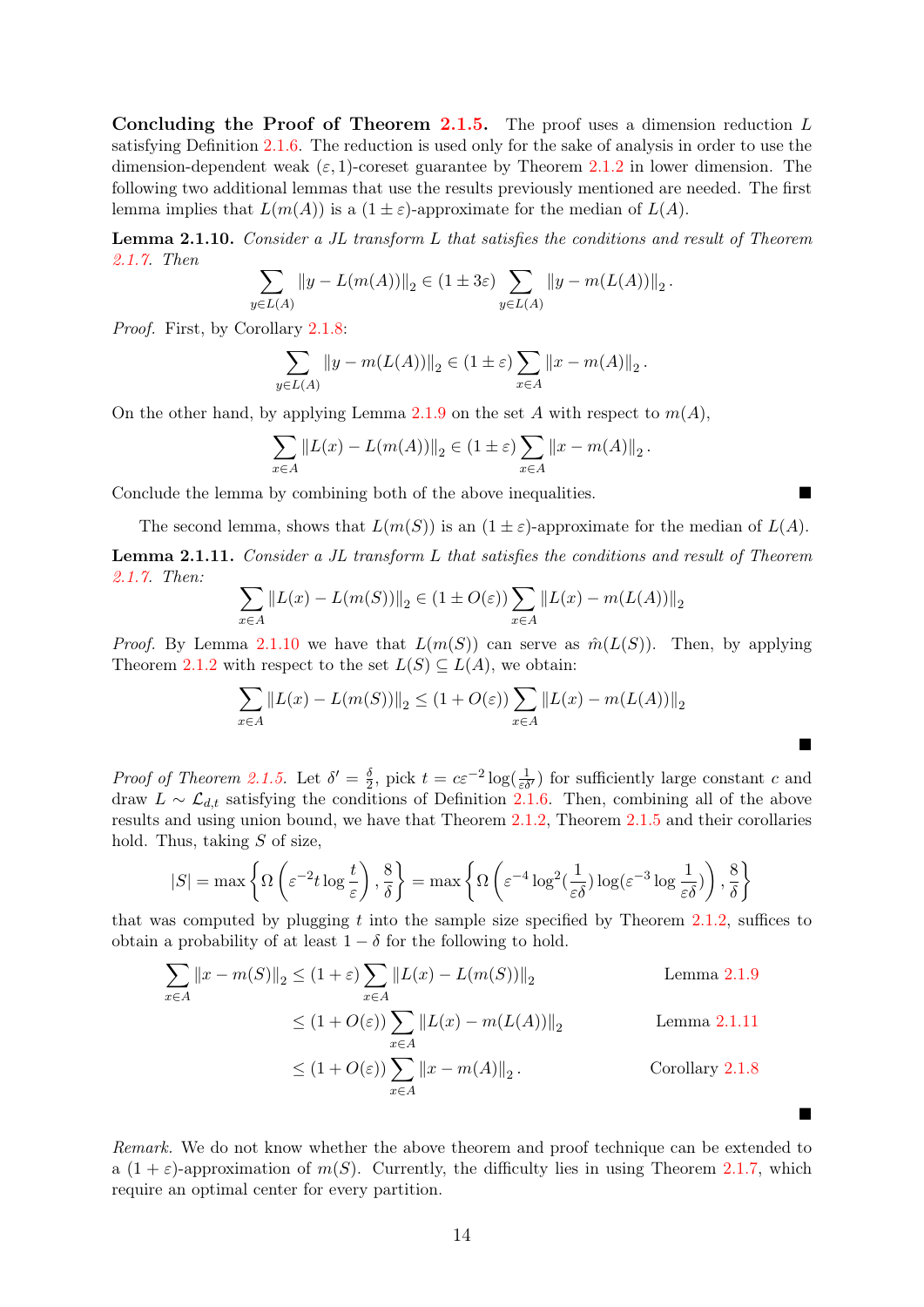Concluding the Proof of Theorem [2.1.5.](#page-14-0) The proof uses a dimension reduction  $L$ satisfying Definition [2.1.6.](#page-14-1) The reduction is used only for the sake of analysis in order to use the dimension-dependent weak  $(\varepsilon, 1)$ -coreset guarantee by Theorem [2.1.2](#page-12-3) in lower dimension. The following two additional lemmas that use the results previously mentioned are needed. The first lemma implies that  $L(m(A))$  is a  $(1 \pm \varepsilon)$ -approximate for the median of  $L(A)$ .

<span id="page-16-0"></span>Lemma 2.1.10. Consider a JL transform L that satisfies the conditions and result of Theorem [2.1.7.](#page-15-0) Then

$$
\sum_{y \in L(A)} \|y - L(m(A))\|_2 \in (1 \pm 3\varepsilon) \sum_{y \in L(A)} \|y - m(L(A))\|_2.
$$

Proof. First, by Corollary [2.1.8:](#page-15-1)

$$
\sum_{y \in L(A)} \|y - m(L(A))\|_2 \in (1 \pm \varepsilon) \sum_{x \in A} \|x - m(A)\|_2.
$$

On the other hand, by applying Lemma [2.1.9](#page-15-3) on the set A with respect to  $m(A)$ ,

$$
\sum_{x \in A} ||L(x) - L(m(A))||_2 \in (1 \pm \varepsilon) \sum_{x \in A} ||x - m(A)||_2.
$$

Conclude the lemma by combining both of the above inequalities.

The second lemma, shows that  $L(m(S))$  is an  $(1 \pm \varepsilon)$ -approximate for the median of  $L(A)$ .

<span id="page-16-1"></span>Lemma 2.1.11. Consider a JL transform L that satisfies the conditions and result of Theorem [2.1.7.](#page-15-0) Then:

$$
\sum_{x \in A} ||L(x) - L(m(S))||_2 \in (1 \pm O(\varepsilon)) \sum_{x \in A} ||L(x) - m(L(A))||_2
$$

*Proof.* By Lemma [2.1.10](#page-16-0) we have that  $L(m(S))$  can serve as  $\hat{m}(L(S))$ . Then, by applying Theorem [2.1.2](#page-12-3) with respect to the set  $L(S) \subseteq L(A)$ , we obtain:

$$
\sum_{x \in A} ||L(x) - L(m(S))||_2 \le (1 + O(\varepsilon)) \sum_{x \in A} ||L(x) - m(L(A))||_2
$$

 $\blacksquare$ 

 $\blacksquare$ 

*Proof of Theorem [2.1.5.](#page-14-0)* Let  $\delta' = \frac{\delta}{2}$  $\frac{\delta}{2}$ , pick  $t = c \varepsilon^{-2} \log(\frac{1}{\varepsilon \delta})$  for sufficiently large constant c and draw  $L \sim \mathcal{L}_{d,t}$  satisfying the conditions of Definition [2.1.6.](#page-14-1) Then, combining all of the above results and using union bound, we have that Theorem [2.1.2,](#page-12-3) Theorem [2.1.5](#page-14-0) and their corollaries hold. Thus, taking  $S$  of size,

$$
|S| = \max \left\{ \Omega \left( \varepsilon^{-2} t \log \frac{t}{\varepsilon} \right), \frac{8}{\delta} \right\} = \max \left\{ \Omega \left( \varepsilon^{-4} \log^2(\frac{1}{\varepsilon \delta}) \log(\varepsilon^{-3} \log \frac{1}{\varepsilon \delta}) \right), \frac{8}{\delta} \right\}
$$

that was computed by plugging t into the sample size specified by Theorem [2.1.2,](#page-12-3) suffices to obtain a probability of at least  $1 - \delta$  for the following to hold.

$$
\sum_{x \in A} ||x - m(S)||_2 \le (1 + \varepsilon) \sum_{x \in A} ||L(x) - L(m(S))||_2
$$
\nLemma 2.1.9  
\n
$$
\le (1 + O(\varepsilon)) \sum_{x \in A} ||L(x) - m(L(A))||_2
$$
\nLemma 2.1.11  
\n
$$
\le (1 + O(\varepsilon)) \sum_{x \in A} ||x - m(A)||_2.
$$
\nCorollary 2.1.8

Remark. We do not know whether the above theorem and proof technique can be extended to a  $(1 + \varepsilon)$ -approximation of  $m(S)$ . Currently, the difficulty lies in using Theorem [2.1.7,](#page-15-0) which require an optimal center for every partition.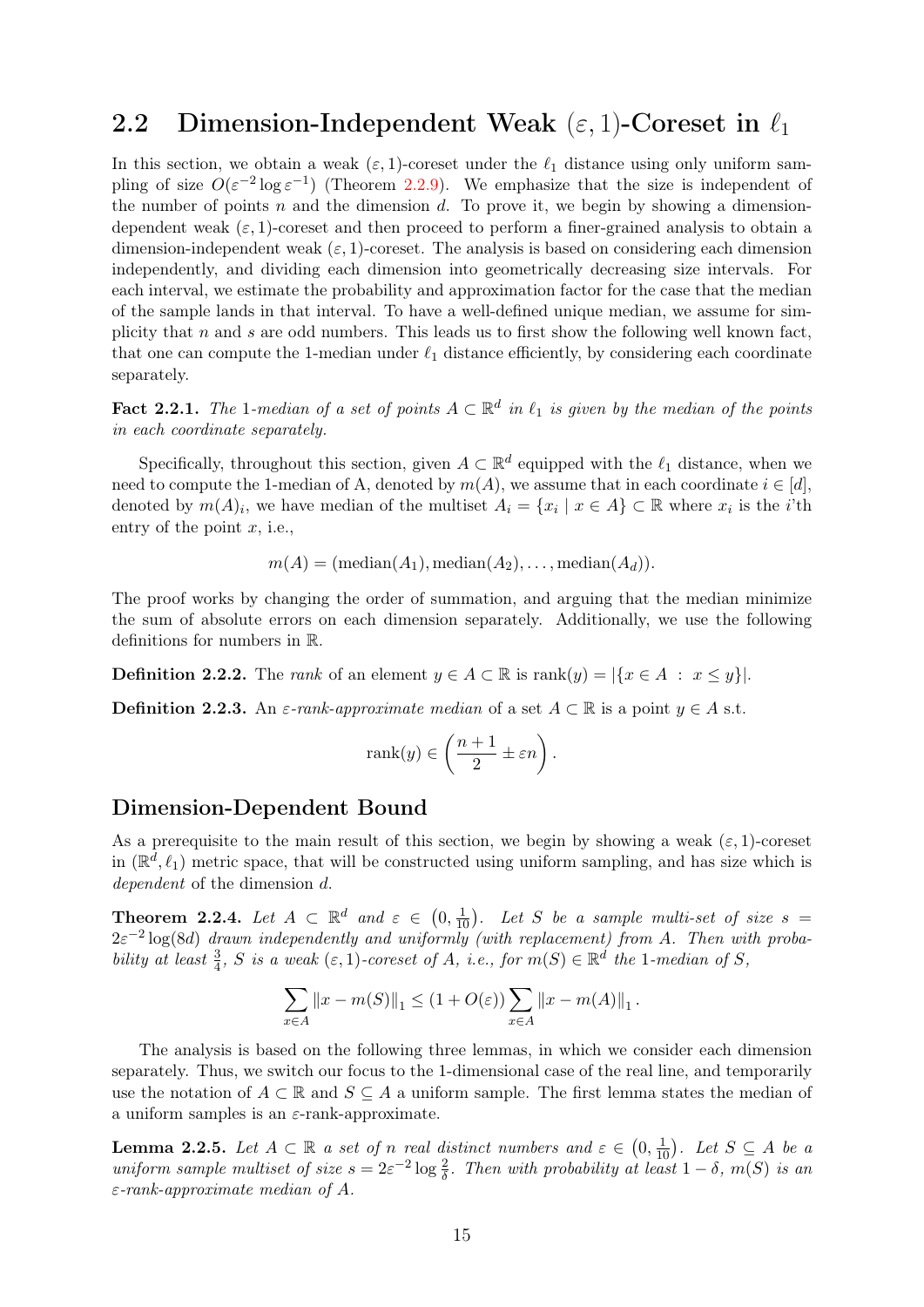### <span id="page-17-0"></span>2.2 Dimension-Independent Weak  $(\varepsilon, 1)$ -Coreset in  $\ell_1$

In this section, we obtain a weak  $(\varepsilon, 1)$ -coreset under the  $\ell_1$  distance using only uniform sampling of size  $O(\varepsilon^{-2} \log \varepsilon^{-1})$  (Theorem [2.2.9\)](#page-20-0). We emphasize that the size is independent of the number of points n and the dimension d. To prove it, we begin by showing a dimensiondependent weak  $(\varepsilon, 1)$ -coreset and then proceed to perform a finer-grained analysis to obtain a dimension-independent weak  $(\varepsilon, 1)$ -coreset. The analysis is based on considering each dimension independently, and dividing each dimension into geometrically decreasing size intervals. For each interval, we estimate the probability and approximation factor for the case that the median of the sample lands in that interval. To have a well-defined unique median, we assume for simplicity that n and s are odd numbers. This leads us to first show the following well known fact, that one can compute the 1-median under  $\ell_1$  distance efficiently, by considering each coordinate separately.

<span id="page-17-3"></span>Fact 2.2.1. The 1-median of a set of points  $A \subset \mathbb{R}^d$  in  $\ell_1$  is given by the median of the points in each coordinate separately.

Specifically, throughout this section, given  $A \subset \mathbb{R}^d$  equipped with the  $\ell_1$  distance, when we need to compute the 1-median of A, denoted by  $m(A)$ , we assume that in each coordinate  $i \in [d]$ , denoted by  $m(A)_i$ , we have median of the multiset  $A_i = \{x_i \mid x \in A\} \subset \mathbb{R}$  where  $x_i$  is the *i*'th entry of the point  $x$ , i.e.,

$$
m(A) = (\text{median}(A_1), \text{median}(A_2), \dots, \text{median}(A_d)).
$$

The proof works by changing the order of summation, and arguing that the median minimize the sum of absolute errors on each dimension separately. Additionally, we use the following definitions for numbers in R.

**Definition 2.2.2.** The *rank* of an element  $y \in A \subset \mathbb{R}$  is  $\text{rank}(y) = |\{x \in A : x \leq y\}|$ .

**Definition 2.2.3.** An  $\varepsilon$ -rank-approximate median of a set  $A \subset \mathbb{R}$  is a point  $y \in A$  s.t.

$$
rank(y) \in \left(\frac{n+1}{2} \pm \varepsilon n\right).
$$

#### Dimension-Dependent Bound

As a prerequisite to the main result of this section, we begin by showing a weak  $(\varepsilon, 1)$ -coreset in  $(\mathbb{R}^d, \ell_1)$  metric space, that will be constructed using uniform sampling, and has size which is dependent of the dimension d.

<span id="page-17-2"></span>**Theorem 2.2.4.** Let  $A \subset \mathbb{R}^d$  and  $\varepsilon \in (0, \frac{1}{10})$ . Let S be a sample multi-set of size  $s =$  $2\varepsilon^{-2}\log(8d)$  drawn independently and uniformly (with replacement) from A. Then with probability at least  $\frac{3}{4}$ , S is a weak  $(\varepsilon, 1)$ -coreset of A, i.e., for  $m(S) \in \mathbb{R}^d$  the 1-median of S,

$$
\sum_{x \in A} ||x - m(S)||_1 \le (1 + O(\varepsilon)) \sum_{x \in A} ||x - m(A)||_1.
$$

The analysis is based on the following three lemmas, in which we consider each dimension separately. Thus, we switch our focus to the 1-dimensional case of the real line, and temporarily use the notation of  $A \subset \mathbb{R}$  and  $S \subset A$  a uniform sample. The first lemma states the median of a uniform samples is an  $\varepsilon$ -rank-approximate.

<span id="page-17-1"></span>**Lemma 2.2.5.** Let  $A \subset \mathbb{R}$  a set of n real distinct numbers and  $\varepsilon \in (0, \frac{1}{10})$ . Let  $S \subseteq A$  be a uniform sample multiset of size  $s = 2\varepsilon^{-2} \log \frac{2}{\delta}$ . Then with probability at least  $1 - \delta$ ,  $m(S)$  is an  $\varepsilon$ -rank-approximate median of A.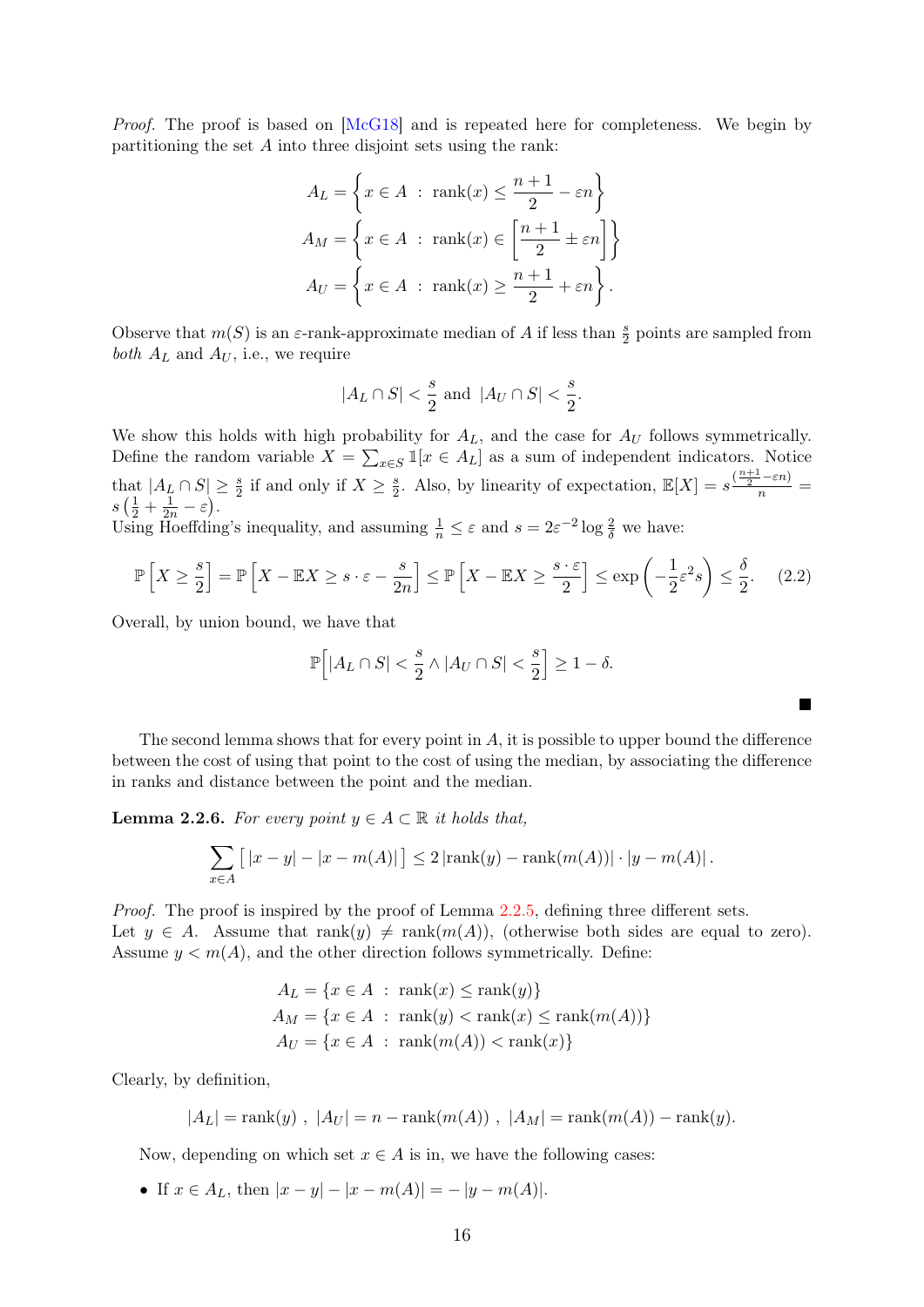Proof. The proof is based on [\[McG18\]](#page-45-6) and is repeated here for completeness. We begin by partitioning the set  $A$  into three disjoint sets using the rank:

$$
A_L = \left\{ x \in A : \text{rank}(x) \le \frac{n+1}{2} - \varepsilon n \right\}
$$
  

$$
A_M = \left\{ x \in A : \text{rank}(x) \in \left[ \frac{n+1}{2} \pm \varepsilon n \right] \right\}
$$
  

$$
A_U = \left\{ x \in A : \text{rank}(x) \ge \frac{n+1}{2} + \varepsilon n \right\}.
$$

Observe that  $m(S)$  is an  $\varepsilon$ -rank-approximate median of A if less than  $\frac{s}{2}$  points are sampled from *both*  $A_L$  and  $A_U$ , i.e., we require

$$
|A_L \cap S| < \frac{s}{2}
$$
 and  $|A_U \cap S| < \frac{s}{2}$ .

We show this holds with high probability for  $A_L$ , and the case for  $A_U$  follows symmetrically. Define the random variable  $X = \sum_{x \in S} \mathbb{1}[x \in A_L]$  as a sum of independent indicators. Notice that  $|A_L \cap S| \geq \frac{s}{2}$  if and only if  $X \geq \frac{s}{2}$ at  $|A_L \cap S| \ge \frac{s}{2}$  if and only if  $X \ge \frac{s}{2}$ . Also, by linearity of expectation,  $\mathbb{E}[X] = s \frac{\frac{n+1}{2} - \varepsilon n}{n} = \frac{1}{2} + \frac{1}{2} - \varepsilon$  $s\left(\frac{1}{2}+\frac{1}{2n}-\varepsilon\right).$ Using Hoeffding's inequality, and assuming  $\frac{1}{n} \leq \varepsilon$  and  $s = 2\varepsilon^{-2} \log \frac{2}{\delta}$  we have:

$$
\mathbb{P}\left[X \geq \frac{s}{2}\right] = \mathbb{P}\left[X - \mathbb{E}X \geq s \cdot \varepsilon - \frac{s}{2n}\right] \leq \mathbb{P}\left[X - \mathbb{E}X \geq \frac{s \cdot \varepsilon}{2}\right] \leq \exp\left(-\frac{1}{2}\varepsilon^2 s\right) \leq \frac{\delta}{2}.\tag{2.2}
$$

Overall, by union bound, we have that

$$
\mathbb{P}\Big[ |A_L \cap S| < \frac{s}{2} \wedge |A_U \cap S| < \frac{s}{2} \Big] \geq 1 - \delta.
$$

<span id="page-18-1"></span>П

The second lemma shows that for every point in  $A$ , it is possible to upper bound the difference between the cost of using that point to the cost of using the median, by associating the difference in ranks and distance between the point and the median.

<span id="page-18-0"></span>**Lemma 2.2.6.** For every point  $y \in A \subset \mathbb{R}$  it holds that,

$$
\sum_{x \in A} [(x - y) - |x - m(A)|] \le 2 |\text{rank}(y) - \text{rank}(m(A))| \cdot |y - m(A)|.
$$

Proof. The proof is inspired by the proof of Lemma [2.2.5,](#page-17-1) defining three different sets. Let  $y \in A$ . Assume that  $\text{rank}(y) \neq \text{rank}(m(A))$ , (otherwise both sides are equal to zero). Assume  $y < m(A)$ , and the other direction follows symmetrically. Define:

$$
A_L = \{x \in A : \operatorname{rank}(x) \le \operatorname{rank}(y)\}
$$
  
\n
$$
A_M = \{x \in A : \operatorname{rank}(y) < \operatorname{rank}(x) \le \operatorname{rank}(m(A))\}
$$
  
\n
$$
A_U = \{x \in A : \operatorname{rank}(m(A)) < \operatorname{rank}(x)\}
$$

Clearly, by definition,

$$
|A_L| = \text{rank}(y) , |A_U| = n - \text{rank}(m(A)) , |A_M| = \text{rank}(m(A)) - \text{rank}(y).
$$

Now, depending on which set  $x \in A$  is in, we have the following cases:

• If  $x \in A_L$ , then  $|x - y| - |x - m(A)| = -|y - m(A)|$ .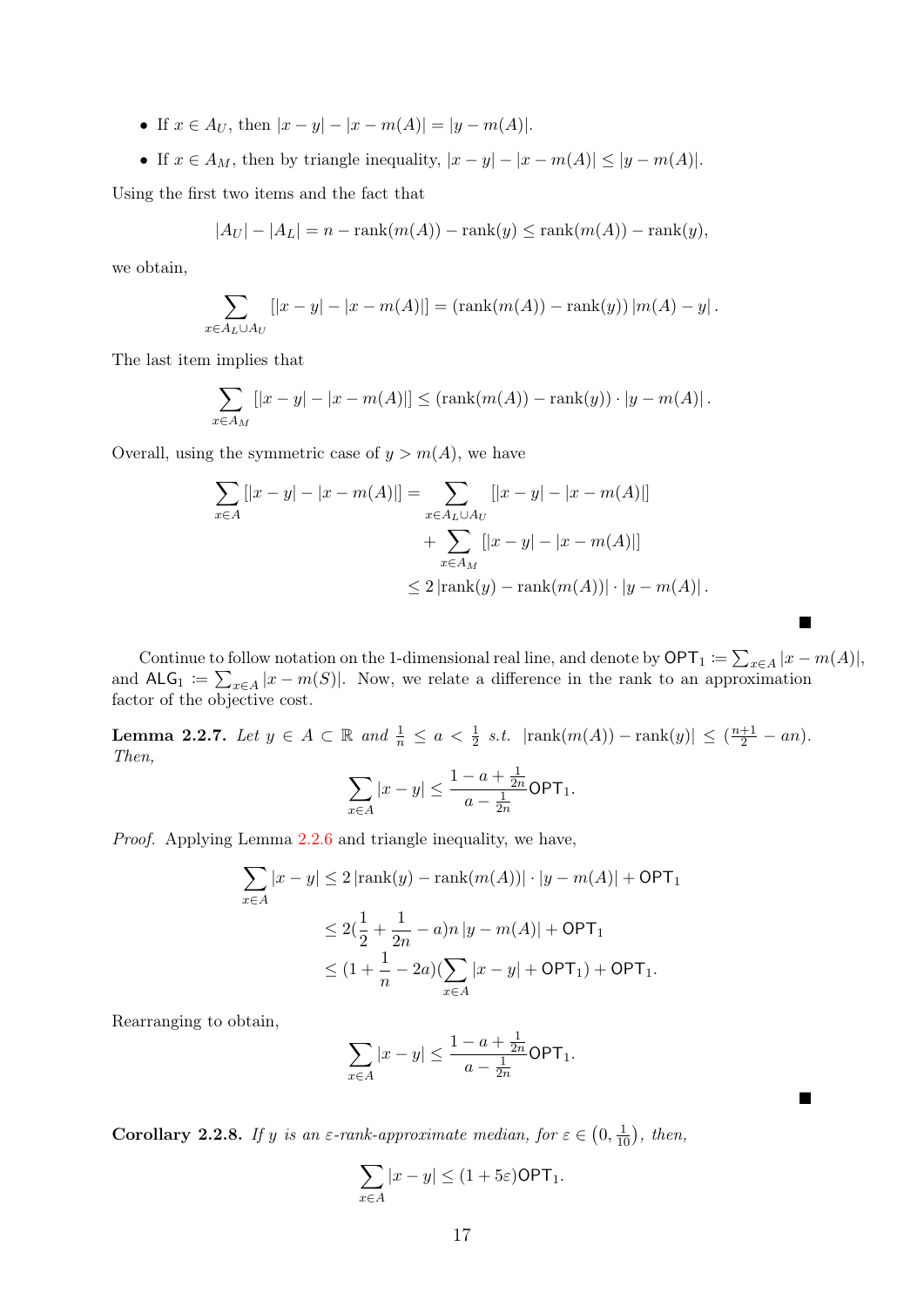- If  $x \in A_U$ , then  $|x y| |x m(A)| = |y m(A)|$ .
- If  $x \in A_M$ , then by triangle inequality,  $|x y| |x m(A)| \le |y m(A)|$ .

Using the first two items and the fact that

$$
|A_U| - |A_L| = n - \operatorname{rank}(m(A)) - \operatorname{rank}(y) \le \operatorname{rank}(m(A)) - \operatorname{rank}(y),
$$

we obtain,

$$
\sum_{x \in A_L \cup A_U} [|x - y| - |x - m(A)|] = (\text{rank}(m(A)) - \text{rank}(y)) |m(A) - y|.
$$

The last item implies that

$$
\sum_{x \in A_M} [|x - y| - |x - m(A)|] \leq (\text{rank}(m(A)) - \text{rank}(y)) \cdot |y - m(A)|.
$$

Overall, using the symmetric case of  $y > m(A)$ , we have

$$
\sum_{x \in A} [|x - y| - |x - m(A)|] = \sum_{x \in A_L \cup A_U} [|x - y| - |x - m(A)|]
$$
  
+ 
$$
\sum_{x \in A_M} [|x - y| - |x - m(A)|]
$$
  

$$
\leq 2 |\text{rank}(y) - \text{rank}(m(A))| \cdot |y - m(A)|.
$$

Continue to follow notation on the 1-dimensional real line, and denote by  $\mathsf{OPT}_1 := \sum_{x \in A} |x - m(A)|$ , and  $\mathsf{ALG}_1 := \sum_{x \in A} |x - m(S)|$ . Now, we relate a difference in the rank to an approximation factor of the objective cost.

 $\blacksquare$ 

 $\blacksquare$ 

<span id="page-19-0"></span>**Lemma 2.2.7.** Let  $y \in A \subset \mathbb{R}$  and  $\frac{1}{n} \le a < \frac{1}{2}$  s.t.  $|\text{rank}(m(A)) - \text{rank}(y)| \le (\frac{n+1}{2} - an)$ . Then, 1

$$
\sum_{x \in A} |x - y| \le \frac{1 - a + \frac{1}{2n}}{a - \frac{1}{2n}} \text{OPT}_1.
$$

Proof. Applying Lemma [2.2.6](#page-18-0) and triangle inequality, we have,

$$
\sum_{x \in A} |x - y| \le 2 |\text{rank}(y) - \text{rank}(m(A))| \cdot |y - m(A)| + \text{OPT}_1
$$
  
\n
$$
\le 2(\frac{1}{2} + \frac{1}{2n} - a)n |y - m(A)| + \text{OPT}_1
$$
  
\n
$$
\le (1 + \frac{1}{n} - 2a)(\sum_{x \in A} |x - y| + \text{OPT}_1) + \text{OPT}_1.
$$

Rearranging to obtain,

$$
\sum_{x \in A} |x - y| \le \frac{1 - a + \frac{1}{2n}}{a - \frac{1}{2n}} \text{OPT}_1.
$$

<span id="page-19-1"></span>**Corollary 2.2.8.** If y is an  $\varepsilon$ -rank-approximate median, for  $\varepsilon \in (0, \frac{1}{10})$ , then,

$$
\sum_{x \in A} |x - y| \le (1 + 5\varepsilon) \text{OPT}_1.
$$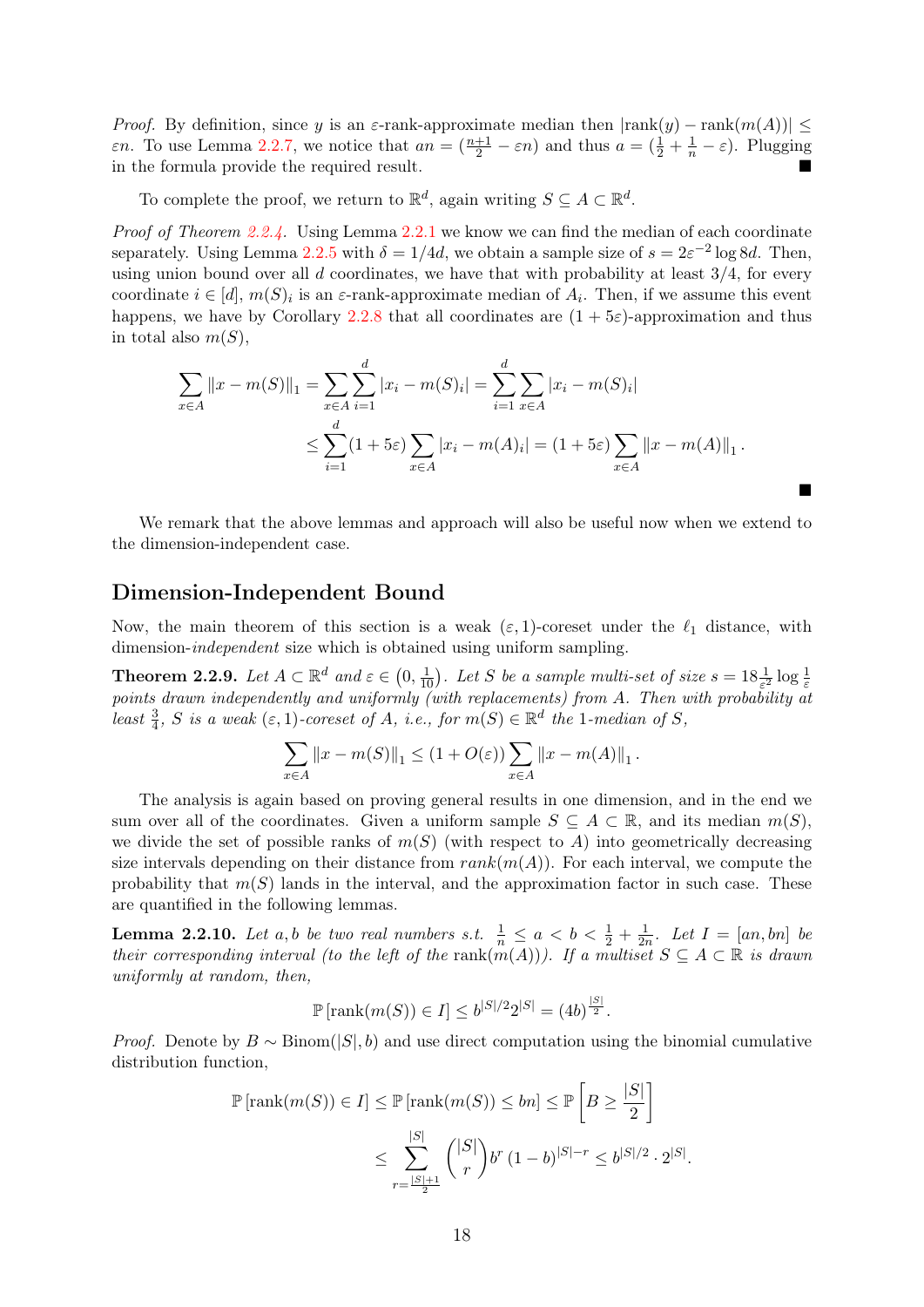*Proof.* By definition, since y is an  $\varepsilon$ -rank-approximate median then  $|\text{rank}(y) - \text{rank}(m(A))| \le$ *εn*. To use Lemma [2.2.7,](#page-19-0) we notice that  $an = (\frac{n+1}{2} - \varepsilon n)$  and thus  $a = (\frac{1}{2} + \frac{1}{n} - \varepsilon)$ . Plugging in the formula provide the required result.

To complete the proof, we return to  $\mathbb{R}^d$ , again writing  $S \subseteq A \subset \mathbb{R}^d$ .

Proof of Theorem [2.2.4.](#page-17-2) Using Lemma [2.2.1](#page-17-3) we know we can find the median of each coordinate separately. Using Lemma [2.2.5](#page-17-1) with  $\delta = 1/4d$ , we obtain a sample size of  $s = 2\varepsilon^{-2} \log 8d$ . Then, using union bound over all  $d$  coordinates, we have that with probability at least  $3/4$ , for every coordinate  $i \in [d]$ ,  $m(S)_i$  is an  $\varepsilon$ -rank-approximate median of  $A_i$ . Then, if we assume this event happens, we have by Corollary [2.2.8](#page-19-1) that all coordinates are  $(1 + 5\varepsilon)$ -approximation and thus in total also  $m(S)$ .

$$
\sum_{x \in A} ||x - m(S)||_1 = \sum_{x \in A} \sum_{i=1}^d |x_i - m(S)_i| = \sum_{i=1}^d \sum_{x \in A} |x_i - m(S)_i|
$$
  

$$
\leq \sum_{i=1}^d (1 + 5\varepsilon) \sum_{x \in A} |x_i - m(A)_i| = (1 + 5\varepsilon) \sum_{x \in A} ||x - m(A)||_1.
$$

 $\blacksquare$ 

We remark that the above lemmas and approach will also be useful now when we extend to the dimension-independent case.

#### Dimension-Independent Bound

Now, the main theorem of this section is a weak  $(\varepsilon, 1)$ -coreset under the  $\ell_1$  distance, with dimension-independent size which is obtained using uniform sampling.

<span id="page-20-0"></span>**Theorem 2.2.9.** Let  $A \subset \mathbb{R}^d$  and  $\varepsilon \in (0, \frac{1}{10})$ . Let S be a sample multi-set of size  $s = 18\frac{1}{\varepsilon^2} \log \frac{1}{\varepsilon}$ **EXECUTE: EXECUTE:**  $\sum_{k=1}^{\infty} \log \frac{1}{k}$  and  $\sum_{k=1}^{\infty} \log \frac{1}{k}$  (with replacements) from A. Then with probability at least  $\frac{3}{4}$ , S is a weak  $(\varepsilon, 1)$ -coreset of A, i.e., for  $m(S) \in \mathbb{R}^d$  the 1-median of S,

$$
\sum_{x \in A} ||x - m(S)||_1 \le (1 + O(\varepsilon)) \sum_{x \in A} ||x - m(A)||_1.
$$

The analysis is again based on proving general results in one dimension, and in the end we sum over all of the coordinates. Given a uniform sample  $S \subseteq A \subset \mathbb{R}$ , and its median  $m(S)$ , we divide the set of possible ranks of  $m(S)$  (with respect to A) into geometrically decreasing size intervals depending on their distance from  $rank(m(A))$ . For each interval, we compute the probability that  $m(S)$  lands in the interval, and the approximation factor in such case. These are quantified in the following lemmas.

<span id="page-20-1"></span>**Lemma 2.2.10.** Let a, b be two real numbers s.t.  $\frac{1}{n} \leq a < b < \frac{1}{2} + \frac{1}{2n}$  $\frac{1}{2n}$ . Let  $I = [an, bn]$  be their corresponding interval (to the left of the rank $(m(A))$ ). If a multiset  $S \subseteq A \subset \mathbb{R}$  is drawn uniformly at random, then,

$$
\mathbb{P}[\text{rank}(m(S)) \in I] \le b^{|S|/2} 2^{|S|} = (4b)^{\frac{|S|}{2}}.
$$

*Proof.* Denote by  $B \sim \text{Binom}(|S|, b)$  and use direct computation using the binomial cumulative distribution function,

$$
\mathbb{P}\left[\text{rank}(m(S)) \in I\right] \le \mathbb{P}\left[\text{rank}(m(S)) \le bn\right] \le \mathbb{P}\left[B \ge \frac{|S|}{2}\right]
$$

$$
\le \sum_{r=\frac{|S|+1}{2}}^{|S|} { |S| \choose r} b^r (1-b)^{|S|-r} \le b^{|S|/2} \cdot 2^{|S|}.
$$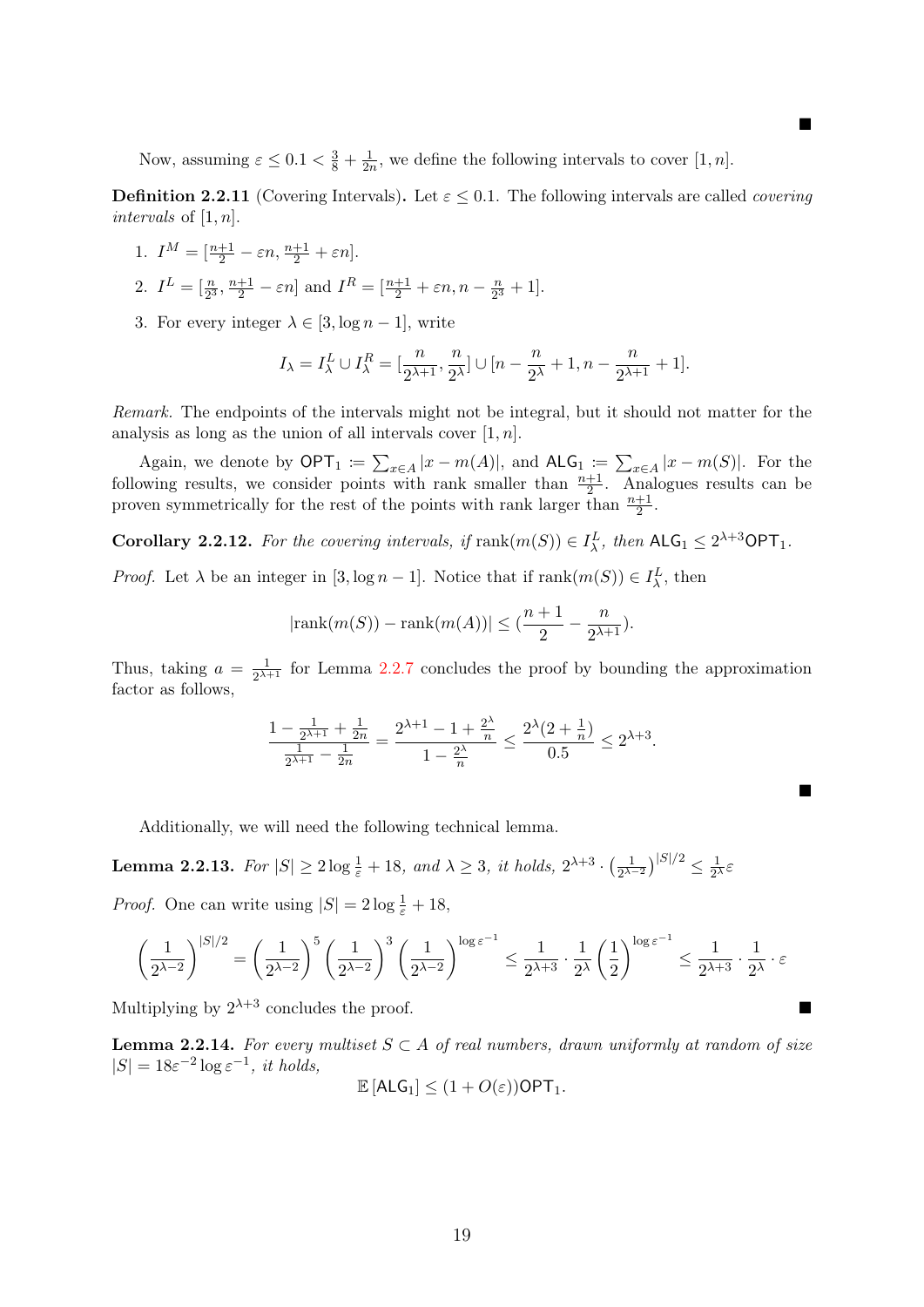Now, assuming  $\varepsilon \leq 0.1 < \frac{3}{8} + \frac{1}{2n}$  $\frac{1}{2n}$ , we define the following intervals to cover [1, *n*].

**Definition 2.2.11** (Covering Intervals). Let  $\varepsilon \leq 0.1$ . The following intervals are called *covering* intervals of  $[1, n]$ .

п

п

1.  $I^M = \left[\frac{n+1}{2} - \varepsilon n, \frac{n+1}{2} + \varepsilon n\right]$ .

2. 
$$
I^L = \left[\frac{n}{2^3}, \frac{n+1}{2} - \varepsilon n\right]
$$
 and  $I^R = \left[\frac{n+1}{2} + \varepsilon n, n - \frac{n}{2^3} + 1\right]$ .

3. For every integer  $\lambda \in [3, \log n - 1]$ , write

$$
I_\lambda=I_\lambda^L\cup I_\lambda^R=[\frac{n}{2^{\lambda+1}},\frac{n}{2^{\lambda}}]\cup[n-\frac{n}{2^{\lambda}}+1,n-\frac{n}{2^{\lambda+1}}+1].
$$

Remark. The endpoints of the intervals might not be integral, but it should not matter for the analysis as long as the union of all intervals cover  $[1, n]$ .

Again, we denote by  $\mathsf{OPT}_1 := \sum_{x \in A} |x - m(A)|$ , and  $\mathsf{ALG}_1 := \sum_{x \in A} |x - m(S)|$ . For the following results, we consider points with rank smaller than  $\frac{n+1}{2}$ . Analogues results can be proven symmetrically for the rest of the points with rank larger than  $\frac{n+1}{2}$ .

<span id="page-21-0"></span>**Corollary 2.2.12.** For the covering intervals, if  $\text{rank}(m(S)) \in I^L_\lambda$ , then  $\text{ALG}_1 \leq 2^{\lambda+3} \text{OPT}_1$ .

*Proof.* Let  $\lambda$  be an integer in [3,  $\log n - 1$ ]. Notice that if  $\text{rank}(m(S)) \in I_{\lambda}^{L}$ , then

$$
|\text{rank}(m(S)) - \text{rank}(m(A))| \leq (\frac{n+1}{2} - \frac{n}{2^{\lambda+1}}).
$$

Thus, taking  $a = \frac{1}{2\lambda^2}$  $\frac{1}{2^{\lambda+1}}$  for Lemma [2.2.7](#page-19-0) concludes the proof by bounding the approximation factor as follows,

$$
\frac{1 - \frac{1}{2^{\lambda+1}} + \frac{1}{2n}}{\frac{1}{2^{\lambda+1}} - \frac{1}{2n}} = \frac{2^{\lambda+1} - 1 + \frac{2^{\lambda}}{n}}{1 - \frac{2^{\lambda}}{n}} \le \frac{2^{\lambda} (2 + \frac{1}{n})}{0.5} \le 2^{\lambda+3}.
$$

Additionally, we will need the following technical lemma.

<span id="page-21-1"></span>**Lemma 2.2.13.** For  $|S| \ge 2 \log \frac{1}{\varepsilon} + 18$ , and  $\lambda \ge 3$ , it holds,  $2^{\lambda+3} \cdot \left(\frac{1}{2^{\lambda+3}}\right)$  $\frac{1}{2^{\lambda-2}}\big)^{|S|/2} \leq \frac{1}{2^{\lambda}}$  $rac{1}{2^{\lambda}}\varepsilon$ 

*Proof.* One can write using  $|S| = 2 \log \frac{1}{\varepsilon} + 18$ ,

$$
\left(\frac{1}{2^{\lambda-2}}\right)^{|S|/2} = \left(\frac{1}{2^{\lambda-2}}\right)^5 \left(\frac{1}{2^{\lambda-2}}\right)^3 \left(\frac{1}{2^{\lambda-2}}\right)^{\log \varepsilon^{-1}} \le \frac{1}{2^{\lambda+3}} \cdot \frac{1}{2^\lambda} \left(\frac{1}{2}\right)^{\log \varepsilon^{-1}} \le \frac{1}{2^{\lambda+3}} \cdot \frac{1}{2^\lambda} \cdot \varepsilon
$$

Multiplying by  $2^{\lambda+3}$  concludes the proof.

<span id="page-21-2"></span>**Lemma 2.2.14.** For every multiset  $S \subset A$  of real numbers, drawn uniformly at random of size  $|S| = 18\varepsilon^{-2} \log \varepsilon^{-1}$ , it holds,

$$
\mathbb{E}\left[\mathsf{ALG}_1\right] \leq (1 + O(\varepsilon))\mathsf{OPT}_1.
$$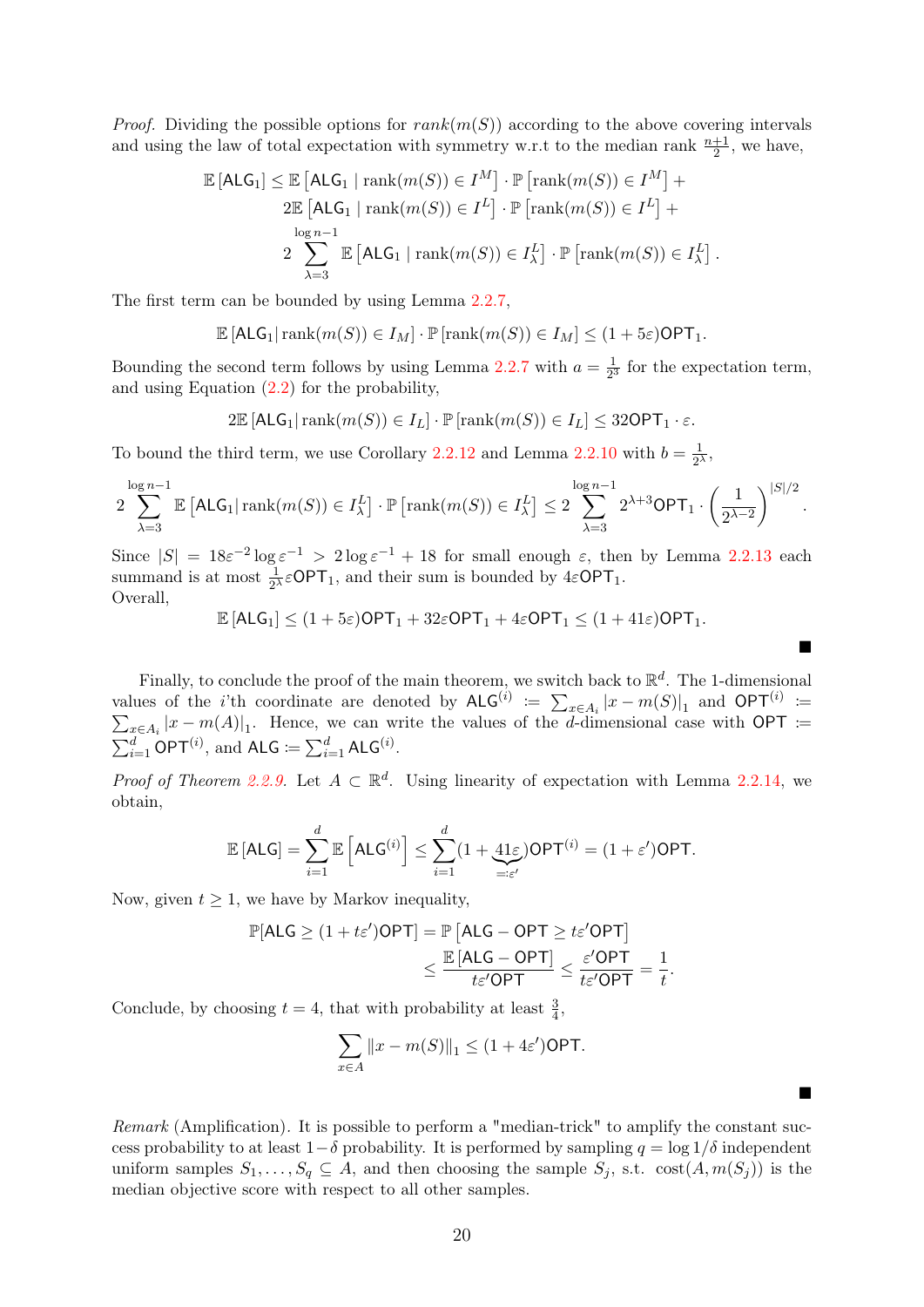*Proof.* Dividing the possible options for  $rank(m(S))$  according to the above covering intervals and using the law of total expectation with symmetry w.r.t to the median rank  $\frac{n+1}{2}$ , we have,

$$
\mathbb{E}[\mathsf{ALG}_1] \leq \mathbb{E}[\mathsf{ALG}_1 \mid \operatorname{rank}(m(S)) \in I^M] \cdot \mathbb{P}[\operatorname{rank}(m(S)) \in I^M] + 2\mathbb{E}[\mathsf{ALG}_1 \mid \operatorname{rank}(m(S)) \in I^L] \cdot \mathbb{P}[\operatorname{rank}(m(S)) \in I^L] + 2\sum_{\lambda=3}^{\log n-1} \mathbb{E}[\mathsf{ALG}_1 \mid \operatorname{rank}(m(S)) \in I^L_{\lambda}] \cdot \mathbb{P}[\operatorname{rank}(m(S)) \in I^L_{\lambda}].
$$

The first term can be bounded by using Lemma [2.2.7,](#page-19-0)

$$
\mathbb{E} [\mathsf{ALG}_1 | \operatorname{rank}(m(S)) \in I_M] \cdot \mathbb{P} [\operatorname{rank}(m(S)) \in I_M] \leq (1 + 5\varepsilon) \mathsf{OPT}_1.
$$

Bounding the second term follows by using Lemma [2.2.7](#page-19-0) with  $a = \frac{1}{2}$  $\frac{1}{2^3}$  for the expectation term, and using Equation [\(2.2\)](#page-18-1) for the probability,

$$
2\mathbb{E}\left[\mathsf{ALG}_1\right]\operatorname{rank}(m(S)) \in I_L\right] \cdot \mathbb{P}\left[\operatorname{rank}(m(S)) \in I_L\right] \leq 32\mathsf{OPT}_1 \cdot \varepsilon.
$$

To bound the third term, we use Corollary [2.2.12](#page-21-0) and Lemma [2.2.10](#page-20-1) with  $b = \frac{1}{2}$  $\frac{1}{2^{\lambda}}$ 

$$
2\sum_{\lambda=3}^{\log n-1} \mathbb{E}\left[\mathsf{ALG}_1 | \operatorname{rank}(m(S)) \in I_{\lambda}^L \right] \cdot \mathbb{P}\left[\operatorname{rank}(m(S)) \in I_{\lambda}^L \right] \leq 2\sum_{\lambda=3}^{\log n-1} 2^{\lambda+3}\mathsf{OPT}_1 \cdot \left(\frac{1}{2^{\lambda-2}}\right)^{|S|/2}.
$$

Since  $|S| = 18\varepsilon^{-2} \log \varepsilon^{-1} > 2 \log \varepsilon^{-1} + 18$  for small enough  $\varepsilon$ , then by Lemma 2.2.[13](#page-21-1) each summand is at most  $\frac{1}{2^{\lambda}} \varepsilon$ OPT<sub>1</sub>, and their sum is bounded by  $4\varepsilon$ OPT<sub>1</sub>. Overall,

$$
\mathbb{E}\left[\mathsf{ALG}_1\right] \le (1+5\varepsilon)\mathsf{OPT}_1 + 32\varepsilon\mathsf{OPT}_1 + 4\varepsilon\mathsf{OPT}_1 \le (1+41\varepsilon)\mathsf{OPT}_1.
$$

 $\blacksquare$ 

Finally, to conclude the proof of the main theorem, we switch back to  $\mathbb{R}^d$ . The 1-dimensional values of the *i*'th coordinate are denoted by  $\mathsf{ALG}^{(i)} := \sum_{x \in A_i} |x - m(S)|_1$  and  $\mathsf{OPT}^{(i)}$  $\sum$ :=  $_{x\in A_i}|x-m(A)|_1$ . Hence, we can write the values of the d-dimensional case with OPT :=  $\sum_{i=1}^d \mathsf{OPT}^{(i)}$ , and  $\mathsf{ALG} \coloneqq \sum_{i=1}^d \mathsf{ALG}^{(i)}$ .

*Proof of Theorem [2.2.9.](#page-20-0)* Let  $A \subset \mathbb{R}^d$ . Using linearity of expectation with Lemma [2.2.14,](#page-21-2) we obtain,

$$
\mathbb{E}\left[\mathsf{ALG}\right] = \sum_{i=1}^d \mathbb{E}\left[\mathsf{ALG}^{(i)}\right] \le \sum_{i=1}^d (1 + \underbrace{41\varepsilon}_{=: \varepsilon'})\mathsf{OPT}^{(i)} = (1 + \varepsilon')\mathsf{OPT}.
$$

Now, given  $t \geq 1$ , we have by Markov inequality,

$$
\mathbb{P}[\text{ALG} \ge (1 + t\varepsilon')\text{OPT}] = \mathbb{P}\left[\text{ALG} - \text{OPT} \ge t\varepsilon'\text{OPT}\right] \\
\le \frac{\mathbb{E}\left[\text{ALG} - \text{OPT}\right]}{t\varepsilon'\text{OPT}} \le \frac{\varepsilon'\text{OPT}}{t\varepsilon'\text{OPT}} = \frac{1}{t}.
$$

Conclude, by choosing  $t = 4$ , that with probability at least  $\frac{3}{4}$ ,

$$
\sum_{x \in A} ||x - m(S)||_1 \le (1 + 4\varepsilon') \text{OPT}.
$$

Remark (Amplification). It is possible to perform a "median-trick" to amplify the constant success probability to at least  $1-\delta$  probability. It is performed by sampling  $q = \log 1/\delta$  independent uniform samples  $S_1, \ldots, S_q \subseteq A$ , and then choosing the sample  $S_j$ , s.t.  $\cot(A, m(S_j))$  is the median objective score with respect to all other samples.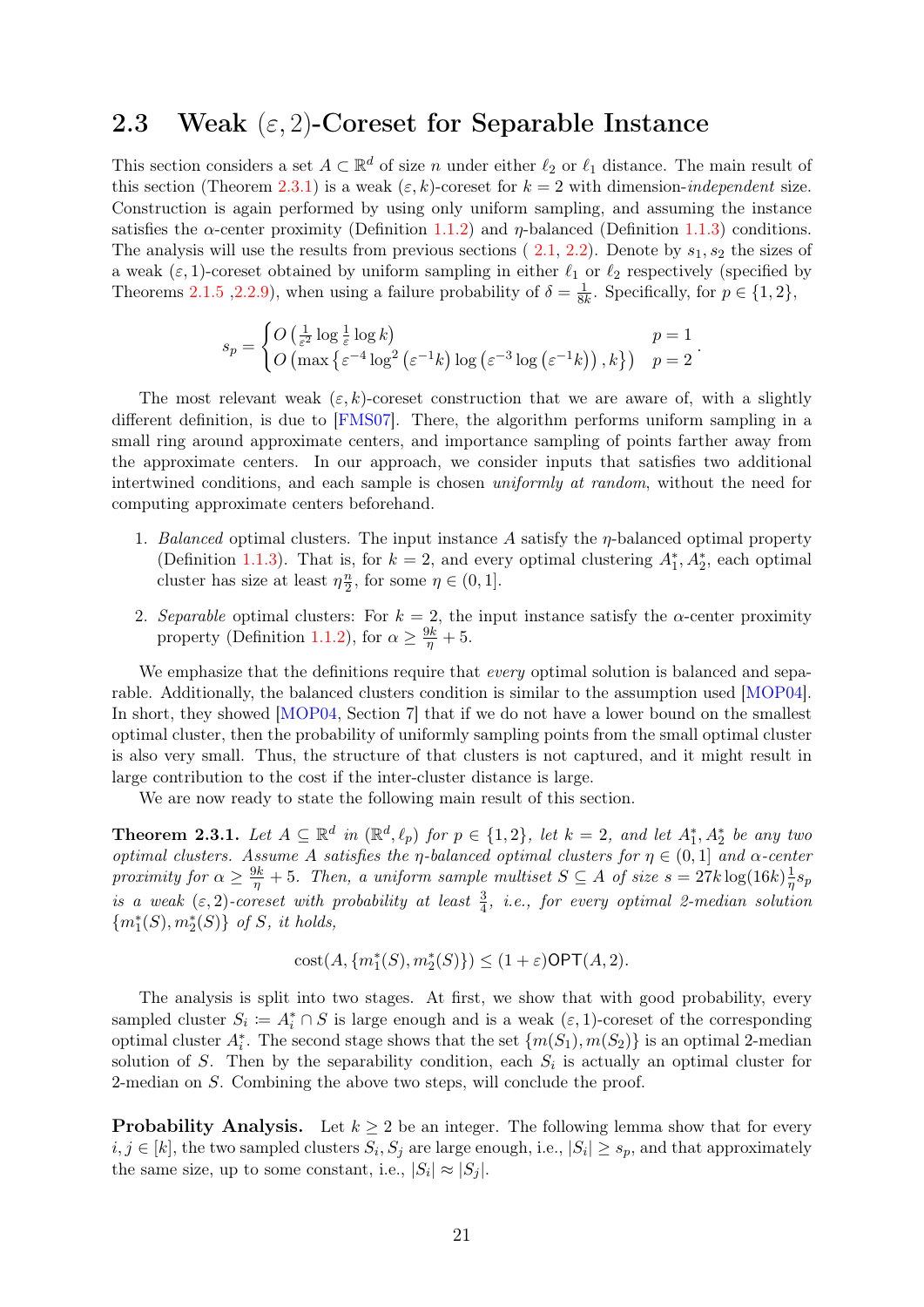#### <span id="page-23-0"></span>2.3 Weak  $(\varepsilon, 2)$ -Coreset for Separable Instance

This section considers a set  $A \subset \mathbb{R}^d$  of size n under either  $\ell_2$  or  $\ell_1$  distance. The main result of this section (Theorem [2.3.1\)](#page-23-1) is a weak  $(\varepsilon, k)$ -coreset for  $k = 2$  with dimension-independent size. Construction is again performed by using only uniform sampling, and assuming the instance satisfies the  $\alpha$ -center proximity (Definition [1.1.2\)](#page-7-0) and  $\eta$ -balanced (Definition [1.1.3\)](#page-7-1) conditions. The analysis will use the results from previous sections ( $2.1, 2.2$  $2.1, 2.2$ ). Denote by  $s_1, s_2$  the sizes of a weak  $(\varepsilon, 1)$ -coreset obtained by uniform sampling in either  $\ell_1$  or  $\ell_2$  respectively (specified by Theorems [2.1.5](#page-14-0) , 2.2.9), when using a failure probability of  $\delta = \frac{1}{8l}$  $\frac{1}{8k}$ . Specifically, for  $p \in \{1, 2\}$ ,

$$
s_p = \begin{cases} O\left(\frac{1}{\varepsilon^2} \log \frac{1}{\varepsilon} \log k\right) & p = 1 \\ O\left(\max\left\{\varepsilon^{-4} \log^2 \left(\varepsilon^{-1} k\right) \log \left(\varepsilon^{-3} \log \left(\varepsilon^{-1} k\right)\right), k\right\}\right) & p = 2 \end{cases}.
$$

The most relevant weak  $(\varepsilon, k)$ -coreset construction that we are aware of, with a slightly different definition, is due to [\[FMS07\]](#page-43-3). There, the algorithm performs uniform sampling in a small ring around approximate centers, and importance sampling of points farther away from the approximate centers. In our approach, we consider inputs that satisfies two additional intertwined conditions, and each sample is chosen uniformly at random, without the need for computing approximate centers beforehand.

- 1. Balanced optimal clusters. The input instance A satisfy the  $\eta$ -balanced optimal property (Definition [1.1.3\)](#page-7-1). That is, for  $k = 2$ , and every optimal clustering  $A_1^*, A_2^*$ , each optimal cluster has size at least  $\eta \frac{n}{2}$  $\frac{n}{2}$ , for some  $\eta \in (0,1]$ .
- 2. Separable optimal clusters: For  $k = 2$ , the input instance satisfy the  $\alpha$ -center proximity property (Definition [1.1.2\)](#page-7-0), for  $\alpha \geq \frac{9k}{\eta} + 5$ .

We emphasize that the definitions require that *every* optimal solution is balanced and separable. Additionally, the balanced clusters condition is similar to the assumption used [\[MOP04\]](#page-45-1). In short, they showed [\[MOP04,](#page-45-1) Section 7] that if we do not have a lower bound on the smallest optimal cluster, then the probability of uniformly sampling points from the small optimal cluster is also very small. Thus, the structure of that clusters is not captured, and it might result in large contribution to the cost if the inter-cluster distance is large.

We are now ready to state the following main result of this section.

<span id="page-23-1"></span>**Theorem 2.3.1.** Let  $A \subseteq \mathbb{R}^d$  in  $(\mathbb{R}^d, \ell_p)$  for  $p \in \{1, 2\}$ , let  $k = 2$ , and let  $A_1^*, A_2^*$  be any two optimal clusters. Assume A satisfies the  $\eta$ -balanced optimal clusters for  $\eta \in (0,1]$  and  $\alpha$ -center proximity for  $\alpha \geq \frac{9k}{\eta} + 5$ . Then, a uniform sample multiset  $S \subseteq A$  of size  $s = 27k \log(16k) \frac{1}{\eta}$  $\frac{1}{\eta} s_p$ is a weak  $(\varepsilon, 2)$ -coreset with probability at least  $\frac{3}{4}$ , i.e., for every optimal 2-median solution  ${m_1^*(S), m_2^*(S)}$  of S, it holds,

$$
cost(A, \{m_1^*(S), m_2^*(S)\}) \le (1+\varepsilon) \mathsf{OPT}(A, 2).
$$

The analysis is split into two stages. At first, we show that with good probability, every sampled cluster  $S_i := A_i^* \cap S$  is large enough and is a weak  $(\varepsilon, 1)$ -coreset of the corresponding optimal cluster  $A_i^*$ . The second stage shows that the set  $\{m(S_1), m(S_2)\}\$ is an optimal 2-median solution of S. Then by the separability condition, each  $S_i$  is actually an optimal cluster for 2-median on S. Combining the above two steps, will conclude the proof.

**Probability Analysis.** Let  $k \geq 2$  be an integer. The following lemma show that for every  $i, j \in [k]$ , the two sampled clusters  $S_i, S_j$  are large enough, i.e.,  $|S_i| \geq s_p$ , and that approximately the same size, up to some constant, i.e.,  $|S_i| \approx |S_j|$ .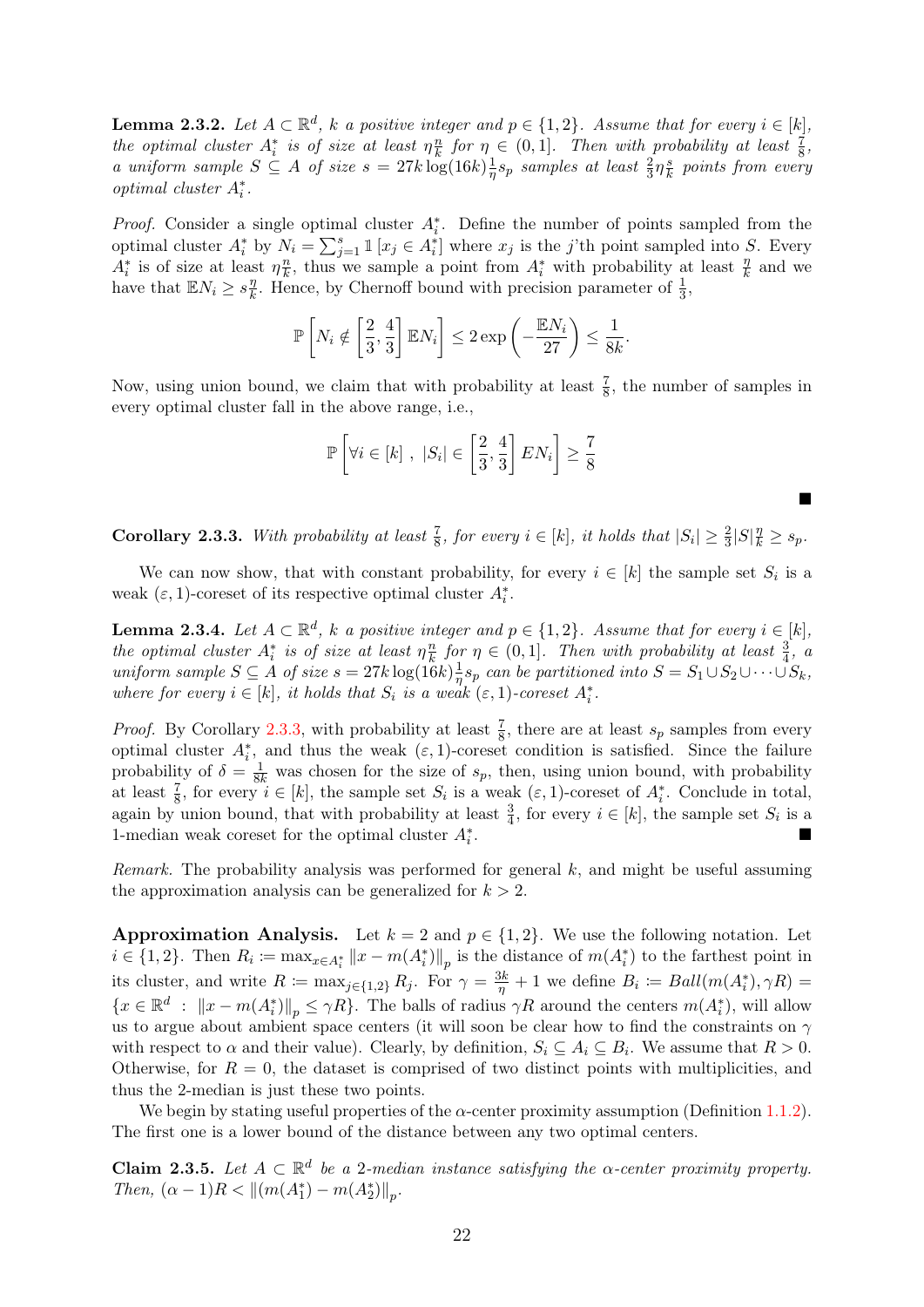<span id="page-24-2"></span>**Lemma 2.3.2.** Let  $A \subset \mathbb{R}^d$ , k a positive integer and  $p \in \{1,2\}$ . Assume that for every  $i \in [k]$ , the optimal cluster  $A_i^*$  is of size at least  $\eta_{\overline{k}}^n$  $\frac{n}{k}$  for  $\eta \in (0,1]$ . Then with probability at least  $\frac{7}{8}$ , a uniform sample  $S \subseteq A$  of size  $s = 27k \log(16k) \frac{1}{n}$  $\frac{1}{\eta}s_p$  samples at least  $\frac{2}{3}\eta \frac{s}{k}$  $\frac{s}{k}$  points from every  $\label{eq:optimal} optimal \; cluster \; A_i^*.$ 

*Proof.* Consider a single optimal cluster  $A_i^*$ . Define the number of points sampled from the optimal cluster  $A_i^*$  by  $N_i = \sum_{j=1}^s \mathbb{1}[x_j \in A_i^*]$  where  $x_j$  is the j'th point sampled into S. Every  $A_i^*$  is of size at least  $\eta_{\overline{k}}^n$  $\frac{n}{k}$ , thus we sample a point from  $A_i^*$  with probability at least  $\frac{\eta}{k}$  and we have that  $\mathbb{E} N_i \geq s \frac{\eta}{k}$  $\frac{\eta}{k}$ . Hence, by Chernoff bound with precision parameter of  $\frac{1}{3}$ ,

$$
\mathbb{P}\left[N_i \notin \left[\frac{2}{3}, \frac{4}{3}\right] \mathbb{E} N_i\right] \le 2 \exp\left(-\frac{\mathbb{E} N_i}{27}\right) \le \frac{1}{8k}.
$$

Now, using union bound, we claim that with probability at least  $\frac{7}{8}$ , the number of samples in every optimal cluster fall in the above range, i.e.,

$$
\mathbb{P}\left[\forall i \in [k], |S_i| \in \left[\frac{2}{3}, \frac{4}{3}\right] EN_i\right] \ge \frac{7}{8}
$$

<span id="page-24-0"></span>**Corollary 2.3.3.** With probability at least  $\frac{7}{8}$ , for every  $i \in [k]$ , it holds that  $|S_i| \geq \frac{2}{3}|S|\frac{n}{k} \geq s_p$ .

 $\blacksquare$ 

We can now show, that with constant probability, for every  $i \in [k]$  the sample set  $S_i$  is a weak  $(\varepsilon, 1)$ -coreset of its respective optimal cluster  $A_i^*$ .

<span id="page-24-3"></span>**Lemma 2.3.4.** Let  $A \subset \mathbb{R}^d$ , k a positive integer and  $p \in \{1,2\}$ . Assume that for every  $i \in [k]$ , the optimal cluster  $A_i^*$  is of size at least  $\eta \frac{n}{k}$  $\frac{n}{k}$  for  $\eta \in (0,1]$ . Then with probability at least  $\frac{3}{4}$ , a uniform sample  $S \subseteq A$  of size  $s = 27k \log(16k) \frac{1}{n}$  $\frac{1}{\eta} s_p$  can be partitioned into  $S = S_1 \cup S_2 \cup \cdots \cup S_k$ , where for every  $i \in [k]$ , it holds that  $S_i$  is a weak  $(\varepsilon, 1)$ -coreset  $A_i^*$ .

*Proof.* By Corollary [2.3.3,](#page-24-0) with probability at least  $\frac{7}{8}$ , there are at least  $s_p$  samples from every optimal cluster  $A_i^*$ , and thus the weak  $(\varepsilon, 1)$ -coreset condition is satisfied. Since the failure probability of  $\delta = \frac{1}{8k}$  was chosen for the size of  $s_p$ , then, using union bound, with probability at least  $\frac{7}{8}$ , for every  $i \in [k]$ , the sample set  $S_i$  is a weak  $(\varepsilon, 1)$ -coreset of  $A_i^*$ . Conclude in total, again by union bound, that with probability at least  $\frac{3}{4}$ , for every  $i \in [k]$ , the sample set  $S_i$  is a 1-median weak coreset for the optimal cluster  $A_i^\ast$ .

Remark. The probability analysis was performed for general k, and might be useful assuming the approximation analysis can be generalized for  $k > 2$ .

**Approximation Analysis.** Let  $k = 2$  and  $p \in \{1, 2\}$ . We use the following notation. Let  $i \in \{1,2\}$ . Then  $R_i := \max_{x \in A_i^*} ||x - m(A_i^*)||_p$  is the distance of  $m(A_i^*)$  to the farthest point in its cluster, and write  $R := \max_{j \in \{1,2\}} R_j$ . For  $\gamma = \frac{3k}{\eta} + 1$  we define  $B_i := Ball(m(A_i^*), \gamma R) =$  $\{x \in \mathbb{R}^d : ||x - m(A_i^*)||_p \leq \gamma R\}$ . The balls of radius  $\gamma R$  around the centers  $m(A_i^*)$ , will allow us to argue about ambient space centers (it will soon be clear how to find the constraints on  $\gamma$ with respect to  $\alpha$  and their value). Clearly, by definition,  $S_i \subseteq A_i \subseteq B_i$ . We assume that  $R > 0$ . Otherwise, for  $R = 0$ , the dataset is comprised of two distinct points with multiplicities, and thus the 2-median is just these two points.

We begin by stating useful properties of the  $\alpha$ -center proximity assumption (Definition [1.1.2\)](#page-7-0). The first one is a lower bound of the distance between any two optimal centers.

<span id="page-24-1"></span>**Claim 2.3.5.** Let  $A \subset \mathbb{R}^d$  be a 2-median instance satisfying the  $\alpha$ -center proximity property. Then,  $(\alpha - 1)R < ||(m(A_1^*) - m(A_2^*)||_p$ .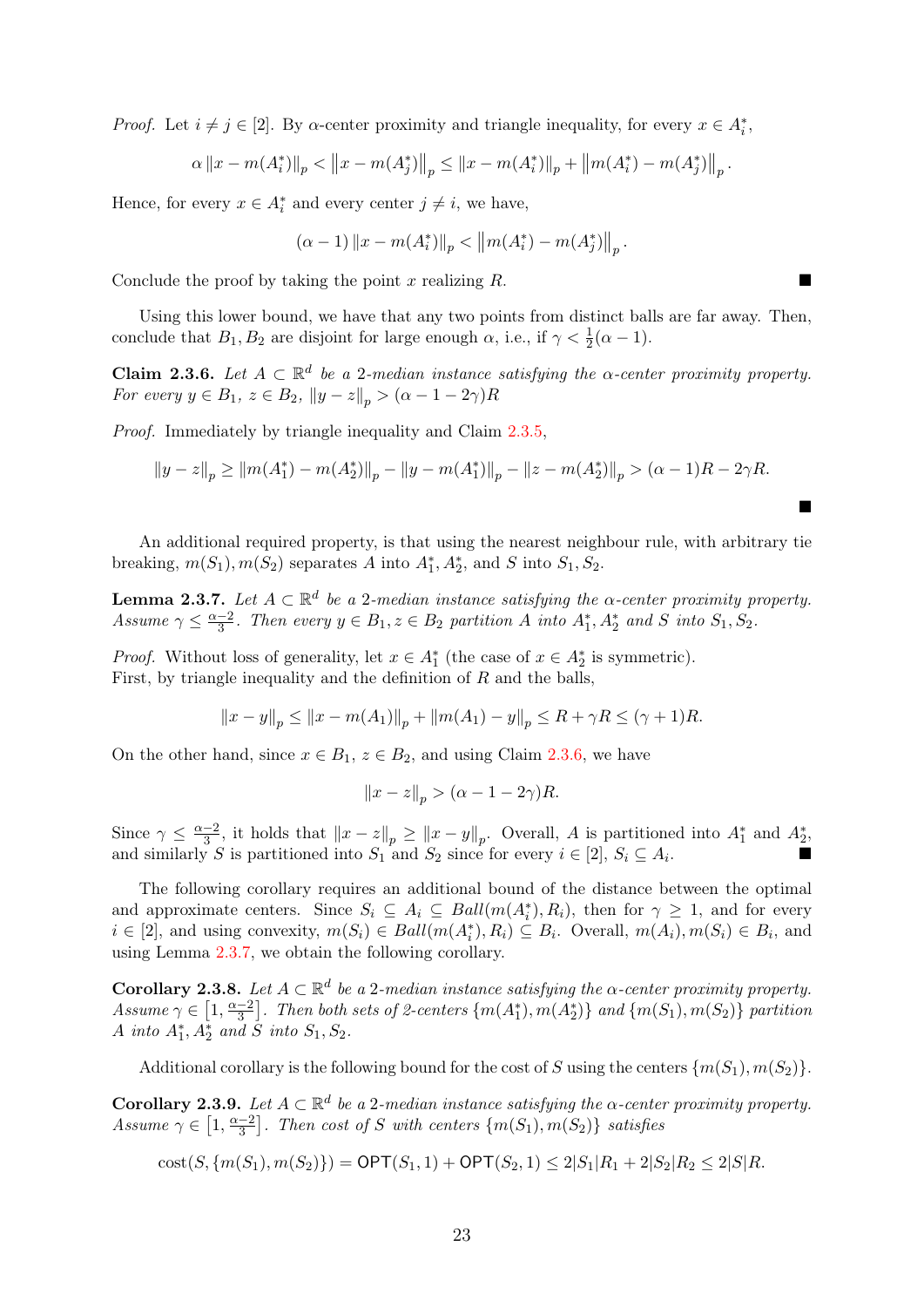*Proof.* Let  $i \neq j \in [2]$ . By  $\alpha$ -center proximity and triangle inequality, for every  $x \in A_i^*$ ,

$$
\alpha \|x - m(A_i^*)\|_p < \|x - m(A_j^*)\|_p \le \|x - m(A_i^*)\|_p + \|m(A_i^*) - m(A_j^*)\|_p.
$$

Hence, for every  $x \in A_i^*$  and every center  $j \neq i$ , we have,

$$
(\alpha - 1) \|x - m(A_i^*)\|_p < \|m(A_i^*) - m(A_j^*)\|_p.
$$

Conclude the proof by taking the point x realizing  $R$ .

Using this lower bound, we have that any two points from distinct balls are far away. Then, conclude that  $B_1, B_2$  are disjoint for large enough  $\alpha$ , i.e., if  $\gamma < \frac{1}{2}(\alpha - 1)$ .

<span id="page-25-0"></span>**Claim 2.3.6.** Let  $A \subset \mathbb{R}^d$  be a 2-median instance satisfying the  $\alpha$ -center proximity property. For every  $y \in B_1$ ,  $z \in B_2$ ,  $||y - z||_p > (\alpha - 1 - 2\gamma)R$ 

Proof. Immediately by triangle inequality and Claim [2.3.5,](#page-24-1)

$$
||y-z||_p \ge ||m(A_1^*) - m(A_2^*)||_p - ||y-m(A_1^*)||_p - ||z-m(A_2^*)||_p > (\alpha - 1)R - 2\gamma R.
$$

 $\blacksquare$ 

An additional required property, is that using the nearest neighbour rule, with arbitrary tie breaking,  $m(S_1)$ ,  $m(S_2)$  separates A into  $A_1^*, A_2^*$ , and S into  $S_1, S_2$ .

<span id="page-25-1"></span>**Lemma 2.3.7.** Let  $A \subset \mathbb{R}^d$  be a 2-median instance satisfying the  $\alpha$ -center proximity property. Assume  $\gamma \leq \frac{\alpha-2}{3}$  $\frac{-2}{3}$ . Then every  $y \in B_1$ ,  $z \in B_2$  partition A into  $A_1^*, A_2^*$  and S into  $S_1, S_2$ .

*Proof.* Without loss of generality, let  $x \in A_1^*$  (the case of  $x \in A_2^*$  is symmetric). First, by triangle inequality and the definition of  $R$  and the balls,

$$
||x - y||_p \le ||x - m(A_1)||_p + ||m(A_1) - y||_p \le R + \gamma R \le (\gamma + 1)R.
$$

On the other hand, since  $x \in B_1$ ,  $z \in B_2$ , and using Claim [2.3.6,](#page-25-0) we have

$$
||x-z||_p > (\alpha - 1 - 2\gamma)R.
$$

Since  $\gamma \leq \frac{\alpha-2}{3}$  $\frac{-2}{3}$ , it holds that  $||x-z||_p \ge ||x-y||_p$ . Overall, A is partitioned into  $A_1^*$  and  $A_2^*$ , and similarly S is partitioned into  $S_1$  and  $S_2$  since for every  $i \in [2]$ ,  $S_i \subseteq A_i$ .

The following corollary requires an additional bound of the distance between the optimal and approximate centers. Since  $S_i \subseteq A_i \subseteq Ball(m(A_i^*), R_i)$ , then for  $\gamma \geq 1$ , and for every  $i \in [2]$ , and using convexity,  $m(S_i) \in Ball(m(A_i^*), R_i) \subseteq B_i$ . Overall,  $m(A_i), m(S_i) \in B_i$ , and using Lemma [2.3.7,](#page-25-1) we obtain the following corollary.

<span id="page-25-2"></span>**Corollary 2.3.8.** Let  $A \subset \mathbb{R}^d$  be a 2-median instance satisfying the  $\alpha$ -center proximity property. Assume  $\gamma \in \left[1, \frac{\alpha - 2}{3}\right]$  $\left\{ \frac{-2}{3}\right\}$ . Then both sets of 2-centers  $\left\{ m(A_{1}^{*}),m(A_{2}^{*})\right\}$  and  $\left\{ m(S_{1}),m(S_{2})\right\}$  partition A into  $A_1^*, A_2^*$  and  $\tilde{S}$  into  $S_1, S_2$ .

Additional corollary is the following bound for the cost of S using the centers  $\{m(S_1), m(S_2)\}.$ 

<span id="page-25-3"></span>**Corollary 2.3.9.** Let  $A \subset \mathbb{R}^d$  be a 2-median instance satisfying the  $\alpha$ -center proximity property. Assume  $\gamma \in [1, \frac{\alpha-2}{3}]$  $\left\{ \frac{-2}{3} \right\}$ . Then cost of S with centers  $\{m(S_1), m(S_2)\}$  satisfies

$$
cost(S, \{m(S_1), m(S_2)\}) = \mathsf{OPT}(S_1, 1) + \mathsf{OPT}(S_2, 1) \le 2|S_1|R_1 + 2|S_2|R_2 \le 2|S|R.
$$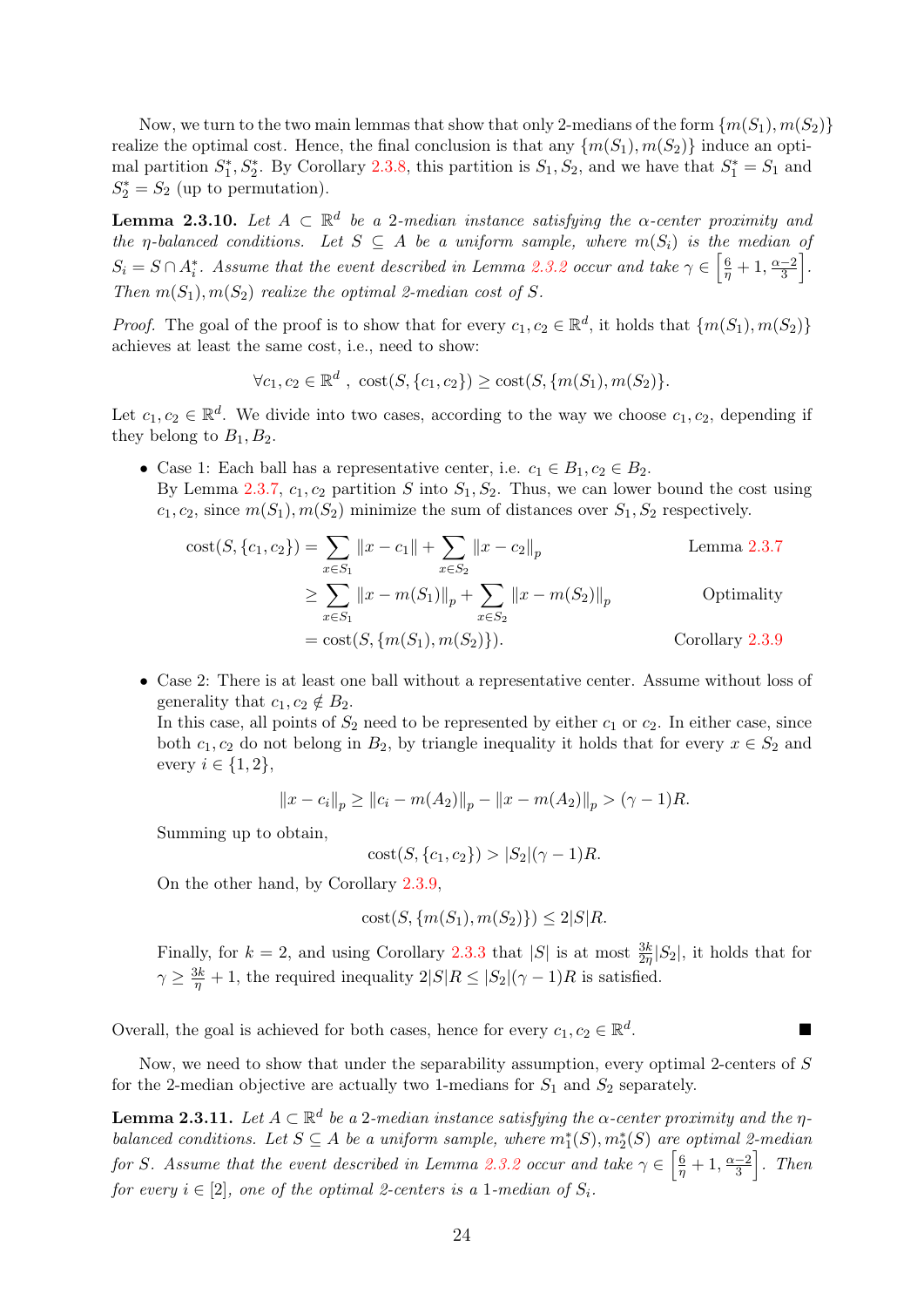Now, we turn to the two main lemmas that show that only 2-medians of the form  $\{m(S_1), m(S_2)\}$ realize the optimal cost. Hence, the final conclusion is that any  $\{m(S_1), m(S_2)\}\$  induce an optimal partition  $S_1^*, S_2^*$ . By Corollary [2.3.8,](#page-25-2) this partition is  $S_1, S_2$ , and we have that  $S_1^* = S_1$  and  $S_2^* = S_2$  (up to permutation).

<span id="page-26-0"></span>**Lemma 2.3.10.** Let  $A \subset \mathbb{R}^d$  be a 2-median instance satisfying the  $\alpha$ -center proximity and the  $\eta$ -balanced conditions. Let  $S \subseteq A$  be a uniform sample, where  $m(S_i)$  is the median of  $S_i = S \cap A_i^*$ . Assume that the event described in Lemma [2.3.2](#page-24-2) occur and take  $\gamma \in \left[\frac{6}{\eta} + 1, \frac{\alpha - 2}{3}\right]$  $\frac{-2}{3}$ . Then  $m(S_1), m(S_2)$  realize the optimal 2-median cost of S.

*Proof.* The goal of the proof is to show that for every  $c_1, c_2 \in \mathbb{R}^d$ , it holds that  $\{m(S_1), m(S_2)\}$ achieves at least the same cost, i.e., need to show:

$$
\forall c_1, c_2 \in \mathbb{R}^d \ ,\ \text{cost}(S, \{c_1, c_2\}) \geq \text{cost}(S, \{m(S_1), m(S_2)\}.
$$

Let  $c_1, c_2 \in \mathbb{R}^d$ . We divide into two cases, according to the way we choose  $c_1, c_2$ , depending if they belong to  $B_1, B_2$ .

• Case 1: Each ball has a representative center, i.e.  $c_1 \in B_1, c_2 \in B_2$ . By Lemma [2.3.7,](#page-25-1)  $c_1$ ,  $c_2$  partition S into  $S_1$ ,  $S_2$ . Thus, we can lower bound the cost using  $c_1, c_2$ , since  $m(S_1), m(S_2)$  minimize the sum of distances over  $S_1, S_2$  respectively.

cost
$$
(S, \{c_1, c_2\})
$$
 =  $\sum_{x \in S_1} ||x - c_1|| + \sum_{x \in S_2} ||x - c_2||_p$  Lemma 2.3.7  
\n $\ge \sum_{x \in S_1} ||x - m(S_1)||_p + \sum_{x \in S_2} ||x - m(S_2)||_p$  Optimality  
\n= cost $(S, \{m(S_1), m(S_2)\})$ . Corollary 2.3.9

• Case 2: There is at least one ball without a representative center. Assume without loss of generality that  $c_1, c_2 \notin B_2$ .

In this case, all points of  $S_2$  need to be represented by either  $c_1$  or  $c_2$ . In either case, since both  $c_1, c_2$  do not belong in  $B_2$ , by triangle inequality it holds that for every  $x \in S_2$  and every  $i \in \{1,2\},\$ 

$$
||x - c_i||_p \ge ||c_i - m(A_2)||_p - ||x - m(A_2)||_p > (\gamma - 1)R.
$$

Summing up to obtain,

 $cost(S, \{c_1, c_2\}) > |S_2|(\gamma - 1)R$ .

On the other hand, by Corollary [2.3.9,](#page-25-3)

cost
$$
(S, \{m(S_1), m(S_2)\}) \le 2|S|R.
$$

Finally, for  $k = 2$ , and using Corollary [2.3.3](#page-24-0) that |S| is at most  $\frac{3k}{2\eta}|S_2|$ , it holds that for  $\gamma \geq \frac{3k}{\eta} + 1$ , the required inequality  $2|S|R \leq |S_2|(\gamma - 1)R$  is satisfied.

Overall, the goal is achieved for both cases, hence for every  $c_1, c_2 \in \mathbb{R}^d$ .

Now, we need to show that under the separability assumption, every optimal 2-centers of S for the 2-median objective are actually two 1-medians for  $S_1$  and  $S_2$  separately.

<span id="page-26-1"></span>**Lemma 2.3.11.** Let  $A \subset \mathbb{R}^d$  be a 2-median instance satisfying the  $\alpha$ -center proximity and the  $\eta$ balanced conditions. Let  $S \subseteq A$  be a uniform sample, where  $m_1^*(S), m_2^*(S)$  are optimal 2-median for S. Assume that the event described in Lemma [2.3.2](#page-24-2) occur and take  $\gamma \in \left[\frac{6}{\eta}+1, \frac{\alpha-2}{3}\right]$  $\frac{-2}{3}$ . Then for every  $i \in [2]$ , one of the optimal 2-centers is a 1-median of  $S_i$ .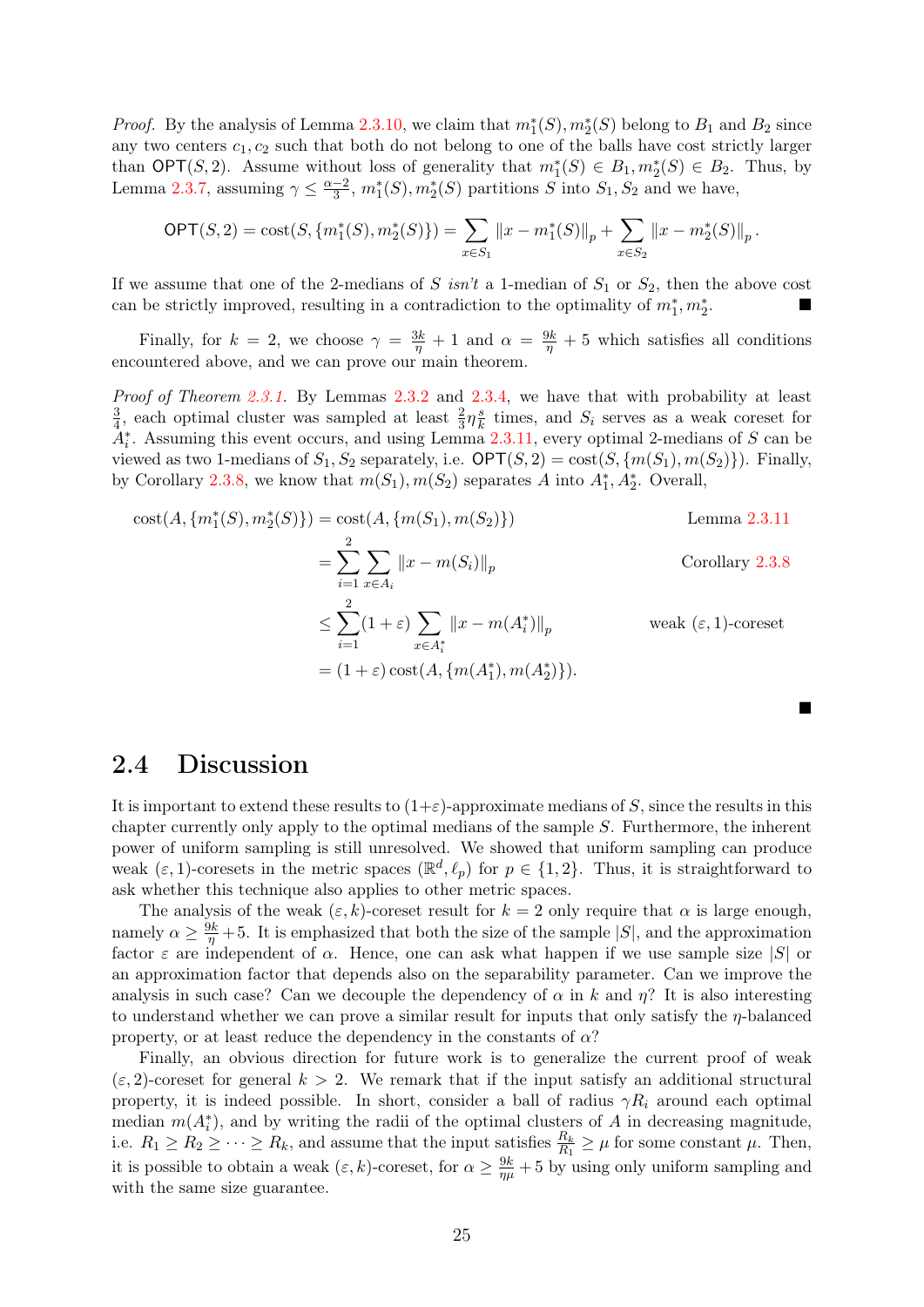*Proof.* By the analysis of Lemma [2.3.10,](#page-26-0) we claim that  $m_1^*(S), m_2^*(S)$  belong to  $B_1$  and  $B_2$  since any two centers  $c_1, c_2$  such that both do not belong to one of the balls have cost strictly larger than OPT(S, 2). Assume without loss of generality that  $m_1^*(S) \in B_1, m_2^*(S) \in B_2$ . Thus, by Lemma [2.3.7,](#page-25-1) assuming  $\gamma \leq \frac{\alpha-2}{3}$  $\frac{-2}{3}$ ,  $m_1^*(S), m_2^*(S)$  partitions S into  $S_1, S_2$  and we have,

$$
\mathsf{OPT}(S,2)=\mathrm{cost}(S,\{m_1^*(S),m_2^*(S)\})=\sum_{x\in S_1}||x-m_1^*(S)||_p+\sum_{x\in S_2}||x-m_2^*(S)||_p.
$$

If we assume that one of the 2-medians of S isn't a 1-median of  $S_1$  or  $S_2$ , then the above cost can be strictly improved, resulting in a contradiction to the optimality of  $m_1^*, m_2^*$ .

Finally, for  $k = 2$ , we choose  $\gamma = \frac{3k}{\eta} + 1$  and  $\alpha = \frac{9k}{\eta} + 5$  which satisfies all conditions encountered above, and we can prove our main theorem.

Proof of Theorem [2.3.1.](#page-23-1) By Lemmas [2.3.2](#page-24-2) and [2.3.4,](#page-24-3) we have that with probability at least 3  $\frac{3}{4}$ , each optimal cluster was sampled at least  $\frac{2}{3}\eta_{\bar{k}}^{\bar{s}}$  $\frac{s}{k}$  times, and  $S_i$  serves as a weak coreset for  $A_i^*$ . Assuming this event occurs, and using Lemma [2.3.11,](#page-26-1) every optimal 2-medians of S can be viewed as two 1-medians of  $S_1, S_2$  separately, i.e.  $\mathsf{OPT}(S, 2) = \mathrm{cost}(S, \{m(S_1), m(S_2)\})$ . Finally, by Corollary [2.3.8,](#page-25-2) we know that  $m(S_1), m(S_2)$  separates A into  $A_1^*, A_2^*$ . Overall,

cost
$$
(A, \{m_1^*(S), m_2^*(S)\}) = \text{cost}(A, \{m(S_1), m(S_2)\})
$$
  
\n
$$
= \sum_{i=1}^2 \sum_{x \in A_i} ||x - m(S_i)||_p
$$
\nCorollary 2.3.8  
\n
$$
\leq \sum_{i=1}^2 (1 + \varepsilon) \sum_{x \in A_i^*} ||x - m(A_i^*)||_p
$$
\nweak  $(\varepsilon, 1)$ -coreset  
\n
$$
= (1 + \varepsilon) \text{cost}(A, \{m(A_1^*), m(A_2^*)\}).
$$

#### <span id="page-27-0"></span>2.4 Discussion

It is important to extend these results to  $(1+\varepsilon)$ -approximate medians of S, since the results in this chapter currently only apply to the optimal medians of the sample S. Furthermore, the inherent power of uniform sampling is still unresolved. We showed that uniform sampling can produce weak  $(\varepsilon, 1)$ -coresets in the metric spaces  $(\mathbb{R}^d, \ell_p)$  for  $p \in \{1, 2\}$ . Thus, it is straightforward to ask whether this technique also applies to other metric spaces.

The analysis of the weak  $(\varepsilon, k)$ -coreset result for  $k = 2$  only require that  $\alpha$  is large enough, namely  $\alpha \geq \frac{9k}{\eta} + 5$ . It is emphasized that both the size of the sample  $|S|$ , and the approximation factor  $\varepsilon$  are independent of  $\alpha$ . Hence, one can ask what happen if we use sample size  $|S|$  or an approximation factor that depends also on the separability parameter. Can we improve the analysis in such case? Can we decouple the dependency of  $\alpha$  in k and  $\eta$ ? It is also interesting to understand whether we can prove a similar result for inputs that only satisfy the  $\eta$ -balanced property, or at least reduce the dependency in the constants of  $\alpha$ ?

Finally, an obvious direction for future work is to generalize the current proof of weak  $(\varepsilon, 2)$ -coreset for general  $k > 2$ . We remark that if the input satisfy an additional structural property, it is indeed possible. In short, consider a ball of radius  $\gamma R_i$  around each optimal median  $m(A_i^*)$ , and by writing the radii of the optimal clusters of A in decreasing magnitude, i.e.  $R_1 \ge R_2 \ge \cdots \ge R_k$ , and assume that the input satisfies  $\frac{R_k}{R_1} \ge \mu$  for some constant  $\mu$ . Then, it is possible to obtain a weak  $(\varepsilon, k)$ -coreset, for  $\alpha \ge \frac{9k}{\eta\mu} + 5$  by using only uniform sampling and with the same size guarantee.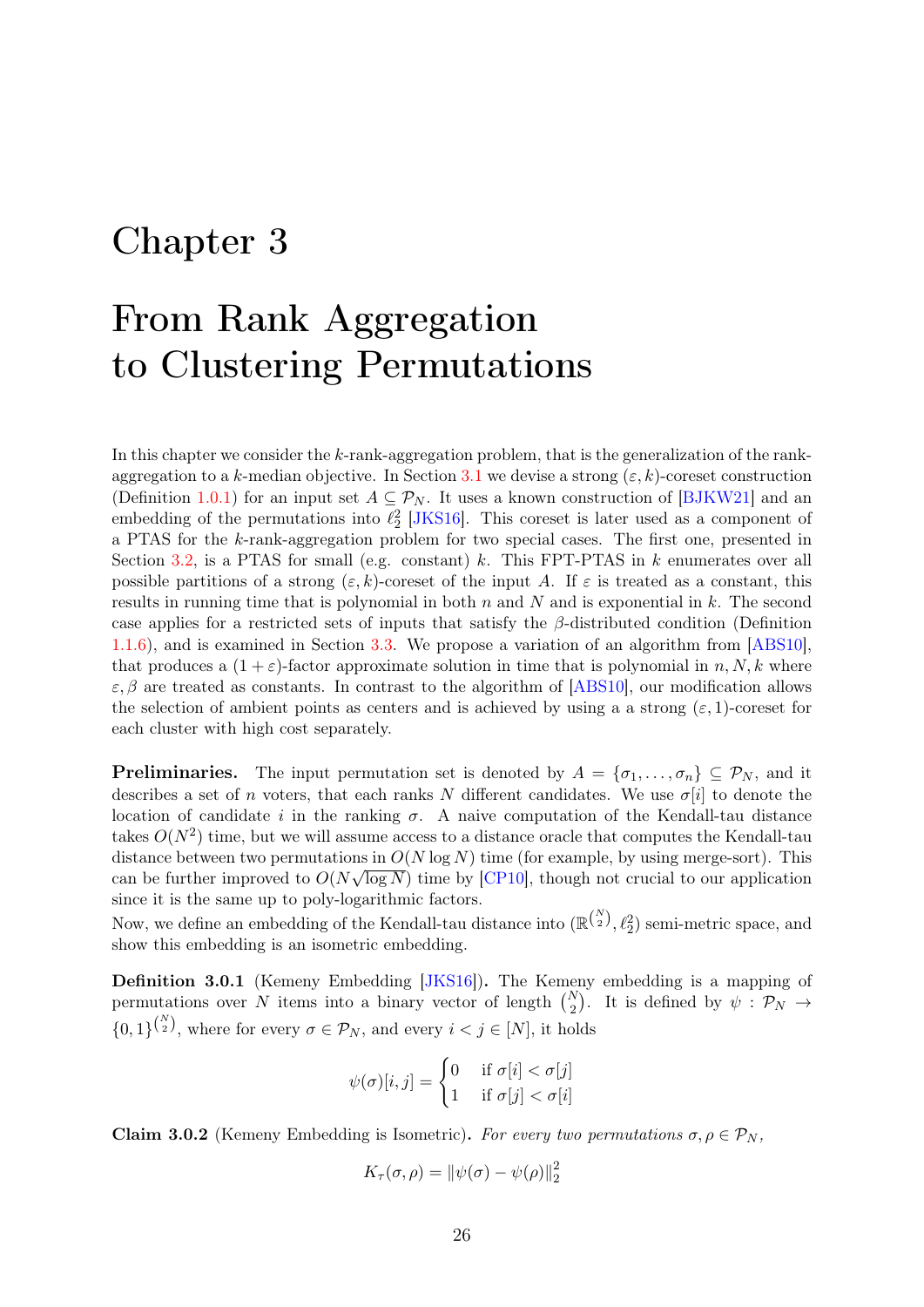# <span id="page-28-0"></span>Chapter 3

# From Rank Aggregation to Clustering Permutations

In this chapter we consider the  $k$ -rank-aggregation problem, that is the generalization of the rank-aggregation to a k-median objective. In Section [3.1](#page-29-0) we devise a strong  $(\varepsilon, k)$ -coreset construction (Definition [1.0.1\)](#page-4-1) for an input set  $A \subseteq \mathcal{P}_N$ . It uses a known construction of [\[BJKW21\]](#page-41-0) and an embedding of the permutations into  $\ell_2^2$  [\[JKS16\]](#page-44-2). This coreset is later used as a component of a PTAS for the k-rank-aggregation problem for two special cases. The first one, presented in Section [3.2,](#page-32-0) is a PTAS for small (e.g. constant) k. This FPT-PTAS in k enumerates over all possible partitions of a strong  $(\varepsilon, k)$ -coreset of the input A. If  $\varepsilon$  is treated as a constant, this results in running time that is polynomial in both  $n$  and  $N$  and is exponential in  $k$ . The second case applies for a restricted sets of inputs that satisfy the  $\beta$ -distributed condition (Definition [1.1.6\)](#page-8-0), and is examined in Section [3.3.](#page-33-0) We propose a variation of an algorithm from [\[ABS10\]](#page-40-1), that produces a  $(1 + \varepsilon)$ -factor approximate solution in time that is polynomial in n, N, k where  $\varepsilon, \beta$  are treated as constants. In contrast to the algorithm of [\[ABS10\]](#page-40-1), our modification allows the selection of ambient points as centers and is achieved by using a a strong  $(\varepsilon, 1)$ -coreset for each cluster with high cost separately.

**Preliminaries.** The input permutation set is denoted by  $A = \{\sigma_1, \ldots, \sigma_n\} \subseteq \mathcal{P}_N$ , and it describes a set of n voters, that each ranks N different candidates. We use  $\sigma[i]$  to denote the location of candidate i in the ranking  $\sigma$ . A naive computation of the Kendall-tau distance takes  $O(N^2)$  time, but we will assume access to a distance oracle that computes the Kendall-tau distance between two permutations in  $O(N \log N)$  time (for example, by using merge-sort). This can be further improved to  $O(N\sqrt{\log N})$  time by [\[CP10\]](#page-42-13), though not crucial to our application since it is the same up to poly-logarithmic factors.

Now, we define an embedding of the Kendall-tau distance into  $(\mathbb{R}^{\binom{N}{2}}, \ell_2^2)$  semi-metric space, and show this embedding is an isometric embedding.

<span id="page-28-1"></span>Definition 3.0.1 (Kemeny Embedding [\[JKS16\]](#page-44-2)). The Kemeny embedding is a mapping of permutations over N items into a binary vector of length  $\binom{N}{2}$ . It is defined by  $\psi : \mathcal{P}_N \to$  $\{0,1\}^{\binom{N}{2}}$ , where for every  $\sigma \in \mathcal{P}_N$ , and every  $i < j \in [N]$ , it holds

$$
\psi(\sigma)[i,j] = \begin{cases} 0 & \text{if } \sigma[i] < \sigma[j] \\ 1 & \text{if } \sigma[j] < \sigma[i] \end{cases}
$$

<span id="page-28-2"></span>Claim 3.0.2 (Kemeny Embedding is Isometric). For every two permutations  $\sigma, \rho \in \mathcal{P}_N$ ,

$$
K_{\tau}(\sigma,\rho) = \|\psi(\sigma) - \psi(\rho)\|_2^2
$$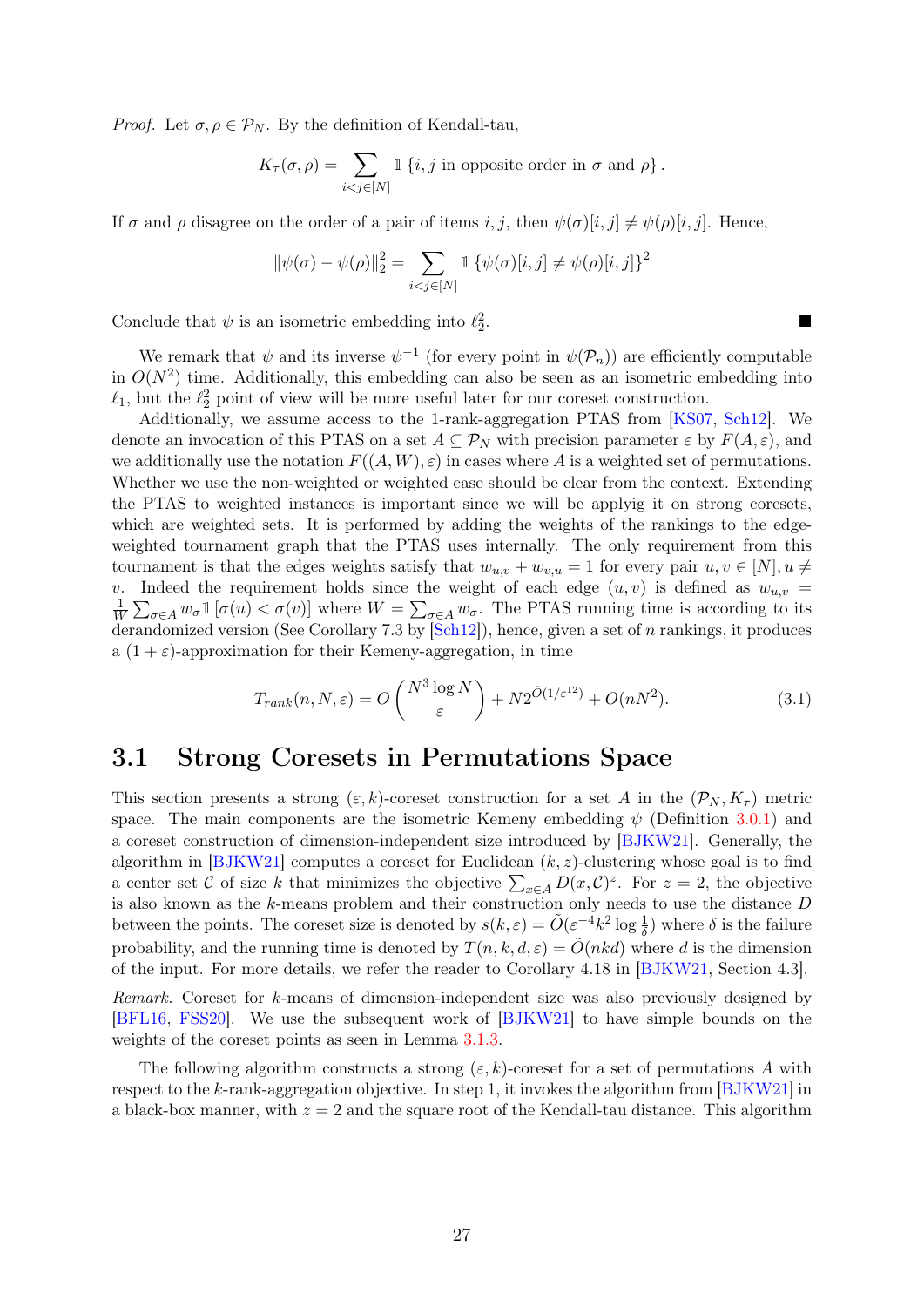*Proof.* Let  $\sigma, \rho \in \mathcal{P}_N$ . By the definition of Kendall-tau,

$$
K_{\tau}(\sigma,\rho)=\sum_{i
$$

If  $\sigma$  and  $\rho$  disagree on the order of a pair of items i, j, then  $\psi(\sigma)[i, j] \neq \psi(\rho)[i, j]$ . Hence,

$$
\|\psi(\sigma) - \psi(\rho)\|_2^2 = \sum_{i < j \in [N]} \mathbbm{1} \left\{\psi(\sigma)[i, j] \neq \psi(\rho)[i, j]\right\}^2
$$

Conclude that  $\psi$  is an isometric embedding into  $\ell_2^2$ .

We remark that  $\psi$  and its inverse  $\psi^{-1}$  (for every point in  $\psi(\mathcal{P}_n)$ ) are efficiently computable in  $O(N^2)$  time. Additionally, this embedding can also be seen as an isometric embedding into  $\ell_1$ , but the  $\ell_2^2$  point of view will be more useful later for our coreset construction.

Additionally, we assume access to the 1-rank-aggregation PTAS from [\[KS07,](#page-44-5) [Sch12\]](#page-45-5). We denote an invocation of this PTAS on a set  $A \subseteq \mathcal{P}_N$  with precision parameter  $\varepsilon$  by  $F(A, \varepsilon)$ , and we additionally use the notation  $F((A, W), \varepsilon)$  in cases where A is a weighted set of permutations. Whether we use the non-weighted or weighted case should be clear from the context. Extending the PTAS to weighted instances is important since we will be applyig it on strong coresets, which are weighted sets. It is performed by adding the weights of the rankings to the edgeweighted tournament graph that the PTAS uses internally. The only requirement from this tournament is that the edges weights satisfy that  $w_{u,v} + w_{v,u} = 1$  for every pair  $u, v \in [N], u \neq$ v. Indeed the requirement holds since the weight of each edge  $(u, v)$  is defined as  $w_{u,v}$  = 1  $\frac{1}{W} \sum_{\sigma \in A} w_{\sigma} \mathbb{1} \left[ \sigma(u) < \sigma(v) \right]$  where  $W = \sum_{\sigma \in A} w_{\sigma}$ . The PTAS running time is according to its derandomized version (See Corollary 7.3 by [\[Sch12\]](#page-45-5)), hence, given a set of n rankings, it produces a  $(1 + \varepsilon)$ -approximation for their Kemeny-aggregation, in time

<span id="page-29-1"></span>
$$
T_{rank}(n, N, \varepsilon) = O\left(\frac{N^3 \log N}{\varepsilon}\right) + N2^{\tilde{O}(1/\varepsilon^{12})} + O(nN^2). \tag{3.1}
$$

### <span id="page-29-0"></span>3.1 Strong Coresets in Permutations Space

This section presents a strong  $(\varepsilon, k)$ -coreset construction for a set A in the  $(\mathcal{P}_N, K_\tau)$  metric space. The main components are the isometric Kemeny embedding  $\psi$  (Definition [3.0.1\)](#page-28-1) and a coreset construction of dimension-independent size introduced by [\[BJKW21\]](#page-41-0). Generally, the algorithm in  $[BJKW21]$  computes a coreset for Euclidean  $(k, z)$ -clustering whose goal is to find a center set C of size k that minimizes the objective  $\sum_{x \in A} D(x, C)^z$ . For  $z = 2$ , the objective is also known as the k-means problem and their construction only needs to use the distance D between the points. The coreset size is denoted by  $s(k,\varepsilon) = \tilde{O}(\varepsilon^{-4}k^2 \log \frac{1}{\delta})$  where  $\delta$  is the failure probability, and the running time is denoted by  $T(n, k, d, \varepsilon) = \tilde{O}(nkd)$  where d is the dimension of the input. For more details, we refer the reader to Corollary 4.18 in [\[BJKW21,](#page-41-0) Section 4.3].

Remark. Coreset for k-means of dimension-independent size was also previously designed by [\[BFL16,](#page-41-4) [FSS20\]](#page-43-4). We use the subsequent work of [\[BJKW21\]](#page-41-0) to have simple bounds on the weights of the coreset points as seen in Lemma [3.1.3.](#page-30-0)

The following algorithm constructs a strong  $(\varepsilon, k)$ -coreset for a set of permutations A with respect to the k-rank-aggregation objective. In step 1, it invokes the algorithm from [\[BJKW21\]](#page-41-0) in a black-box manner, with  $z = 2$  and the square root of the Kendall-tau distance. This algorithm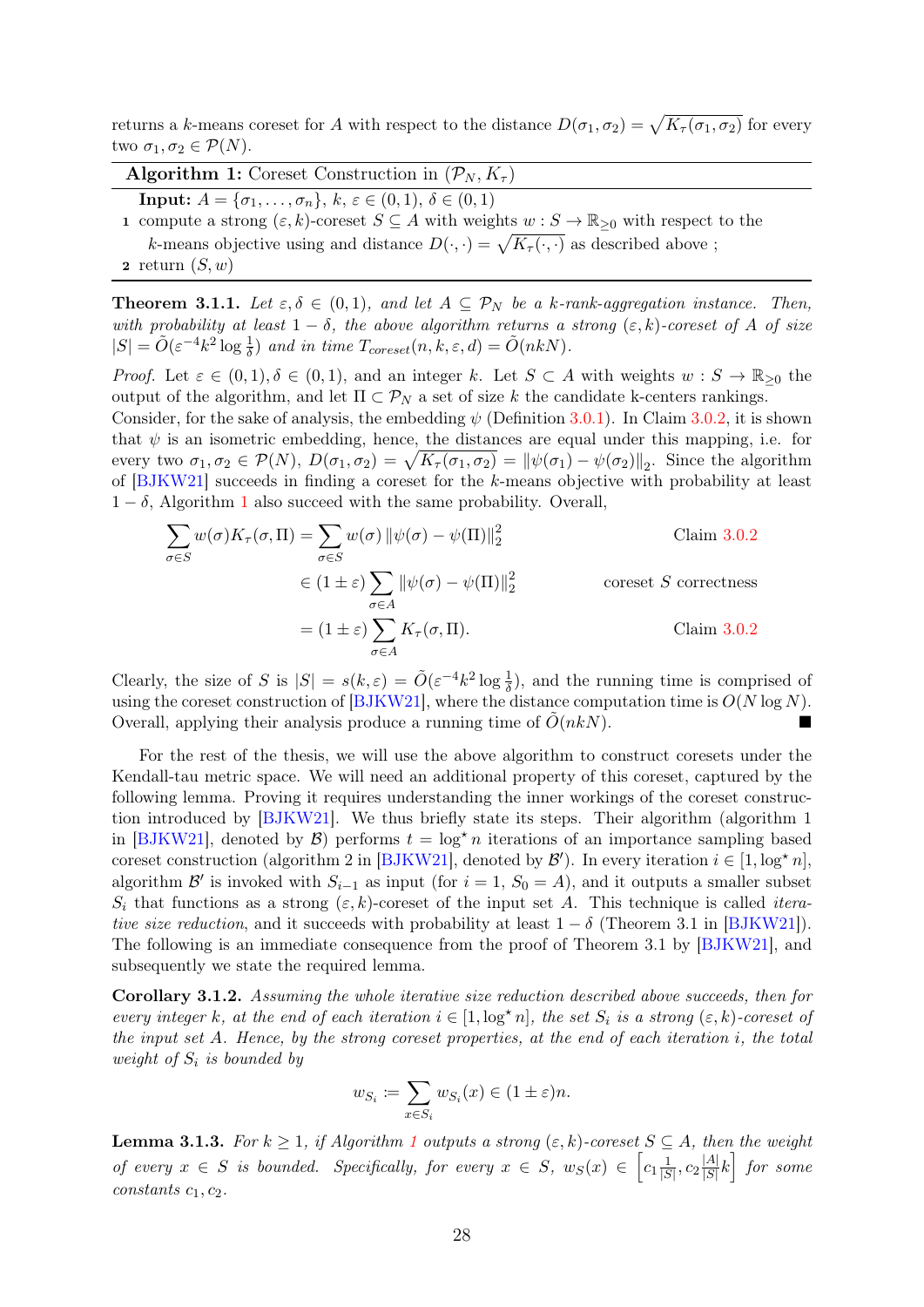returns a k-means coreset for A with respect to the distance  $D(\sigma_1, \sigma_2) = \sqrt{K_\tau(\sigma_1, \sigma_2)}$  for every two  $\sigma_1, \sigma_2 \in \mathcal{P}(N)$ .

<span id="page-30-1"></span>Algorithm 1: Coreset Construction in  $(\mathcal{P}_N, K_\tau)$ 

**Input:**  $A = {\sigma_1, ..., \sigma_n}, k, \varepsilon \in (0, 1), \delta \in (0, 1)$ 

- 1 compute a strong  $(\varepsilon, k)$ -coreset  $S \subseteq A$  with weights  $w : S \to \mathbb{R}_{\geq 0}$  with respect to the k-means objective using and distance  $D(\cdot, \cdot) = \sqrt{K_{\tau}(\cdot, \cdot)}$  as described above ;
- 2 return  $(S, w)$

<span id="page-30-3"></span>**Theorem 3.1.1.** Let  $\varepsilon, \delta \in (0,1)$ , and let  $A \subseteq \mathcal{P}_N$  be a k-rank-aggregation instance. Then, with probability at least  $1 - \delta$ , the above algorithm returns a strong  $(\varepsilon, k)$ -coreset of A of size  $|S| = \tilde{O}(\varepsilon^{-4} k^2 \log \frac{1}{\delta})$  and in time  $T_{\text{coreset}}(n, k, \varepsilon, d) = \tilde{O}(nkN)$ .

*Proof.* Let  $\varepsilon \in (0,1), \delta \in (0,1)$ , and an integer k. Let  $S \subset A$  with weights  $w : S \to \mathbb{R}_{\geq 0}$  the output of the algorithm, and let  $\Pi \subset \mathcal{P}_N$  a set of size k the candidate k-centers rankings.

Consider, for the sake of analysis, the embedding  $\psi$  (Definition [3.0.1\)](#page-28-1). In Claim [3.0.2,](#page-28-2) it is shown that  $\psi$  is an isometric embedding, hence, the distances are equal under this mapping, i.e. for every two  $\sigma_1, \sigma_2 \in \mathcal{P}(N)$ ,  $D(\sigma_1, \sigma_2) = \sqrt{K_\tau(\sigma_1, \sigma_2)} = ||\psi(\sigma_1) - \psi(\sigma_2)||_2$ . Since the algorithm of [\[BJKW21\]](#page-41-0) succeeds in finding a coreset for the k-means objective with probability at least  $1 - \delta$  $1 - \delta$ , Algorithm 1 also succeed with the same probability. Overall,

$$
\sum_{\sigma \in S} w(\sigma) K_{\tau}(\sigma, \Pi) = \sum_{\sigma \in S} w(\sigma) \|\psi(\sigma) - \psi(\Pi)\|_{2}^{2}
$$
\n
$$
\in (1 \pm \varepsilon) \sum_{\sigma \in A} \|\psi(\sigma) - \psi(\Pi)\|_{2}^{2}
$$
\ncoreset *S* correctness\n
$$
= (1 \pm \varepsilon) \sum_{\sigma \in A} K_{\tau}(\sigma, \Pi).
$$
\nClaim 3.0.2

Clearly, the size of S is  $|S| = s(k,\varepsilon) = \tilde{O}(\varepsilon^{-4}k^2 \log \frac{1}{\delta})$ , and the running time is comprised of using the coreset construction of [\[BJKW21\]](#page-41-0), where the distance computation time is  $O(N \log N)$ . Overall, applying their analysis produce a running time of  $O(nk)$ .

For the rest of the thesis, we will use the above algorithm to construct coresets under the Kendall-tau metric space. We will need an additional property of this coreset, captured by the following lemma. Proving it requires understanding the inner workings of the coreset construction introduced by [\[BJKW21\]](#page-41-0). We thus briefly state its steps. Their algorithm (algorithm 1 in [\[BJKW21\]](#page-41-0), denoted by  $\mathcal{B}$ ) performs  $t = \log^* n$  iterations of an importance sampling based coreset construction (algorithm 2 in [\[BJKW21\]](#page-41-0), denoted by  $\mathcal{B}'$ ). In every iteration  $i \in [1, \log^* n]$ , algorithm  $\mathcal{B}'$  is invoked with  $S_{i-1}$  as input (for  $i = 1, S_0 = A$ ), and it outputs a smaller subset  $S_i$  that functions as a strong  $(\varepsilon, k)$ -coreset of the input set A. This technique is called *itera*tive size reduction, and it succeeds with probability at least  $1 - \delta$  (Theorem 3.1 in [\[BJKW21\]](#page-41-0)). The following is an immediate consequence from the proof of Theorem 3.1 by [\[BJKW21\]](#page-41-0), and subsequently we state the required lemma.

<span id="page-30-2"></span>Corollary 3.1.2. Assuming the whole iterative size reduction described above succeeds, then for every integer k, at the end of each iteration  $i \in [1, \log^* n]$ , the set  $S_i$  is a strong  $(\varepsilon, k)$ -coreset of the input set A. Hence, by the strong coreset properties, at the end of each iteration i, the total weight of  $S_i$  is bounded by

$$
w_{S_i} := \sum_{x \in S_i} w_{S_i}(x) \in (1 \pm \varepsilon)n.
$$

<span id="page-30-0"></span>**Lemma 3.[1](#page-30-1).3.** For  $k \geq 1$ , if Algorithm 1 outputs a strong  $(\varepsilon, k)$ -coreset  $S \subseteq A$ , then the weight of every  $x \in S$  is bounded. Specifically, for every  $x \in S$ ,  $w_S(x) \in \left[c_1 \frac{1}{|S|}\right]$  $\frac{1}{|S|}, c_2 \frac{|A|}{|S|}$  $\frac{|A|}{|S|}k$  for some constants  $c_1, c_2$ .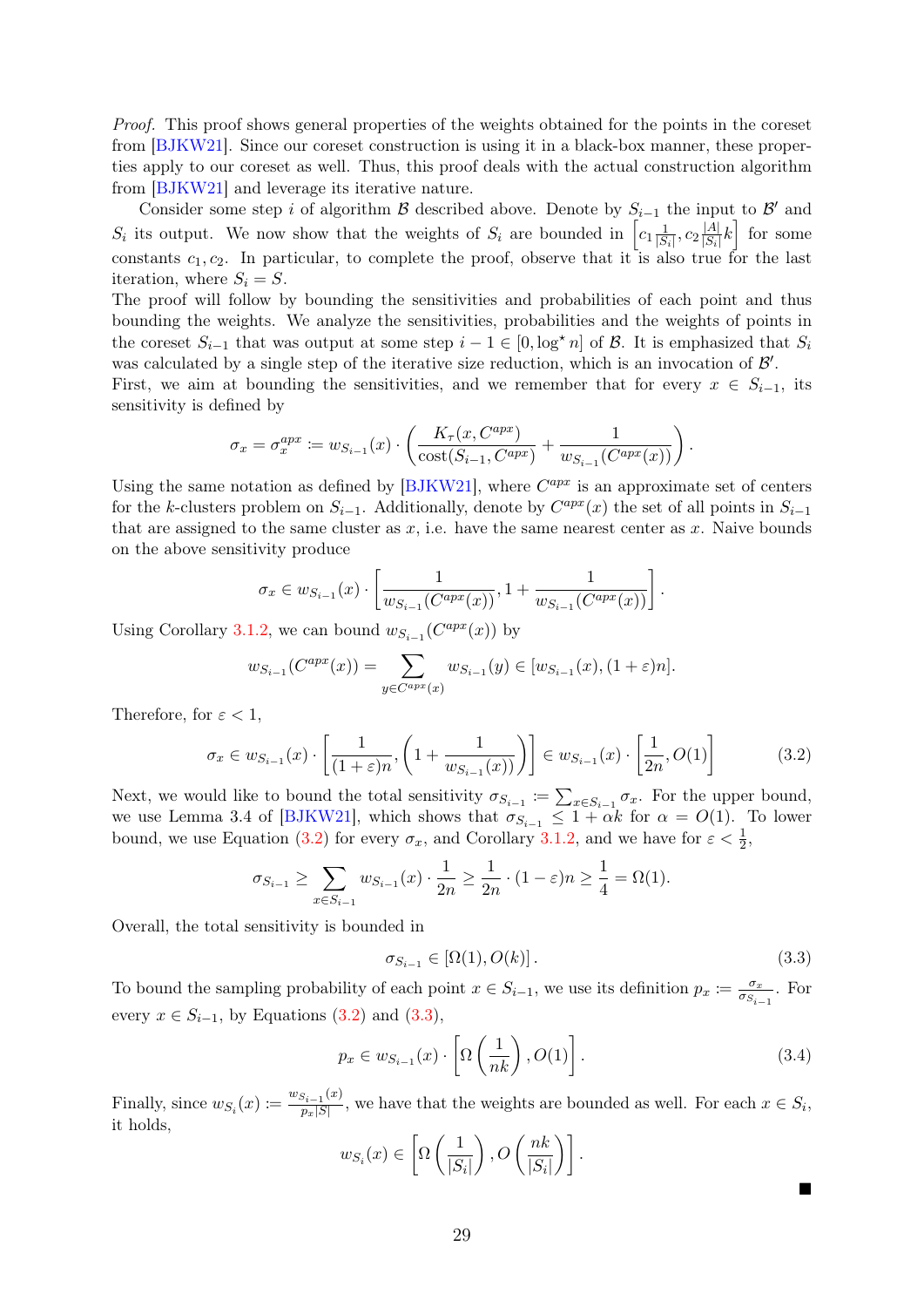Proof. This proof shows general properties of the weights obtained for the points in the coreset from [\[BJKW21\]](#page-41-0). Since our coreset construction is using it in a black-box manner, these properties apply to our coreset as well. Thus, this proof deals with the actual construction algorithm from [\[BJKW21\]](#page-41-0) and leverage its iterative nature.

Consider some step i of algorithm B described above. Denote by  $S_{i-1}$  the input to B' and  $S_i$  its output. We now show that the weights of  $S_i$  are bounded in  $\left[c_1\frac{1}{|S|}\right]$  $\frac{1}{|S_i|}, c_2 \frac{|A|}{|S_i|}$  $\frac{|A|}{|S_i|}k$  for some constants  $c_1, c_2$ . In particular, to complete the proof, observe that it is also true for the last iteration, where  $S_i = S$ .

The proof will follow by bounding the sensitivities and probabilities of each point and thus bounding the weights. We analyze the sensitivities, probabilities and the weights of points in the coreset  $S_{i-1}$  that was output at some step  $i-1 \in [0, \log^* n]$  of  $\mathcal B$ . It is emphasized that  $S_i$ was calculated by a single step of the iterative size reduction, which is an invocation of  $\mathcal{B}'$ .

First, we aim at bounding the sensitivities, and we remember that for every  $x \in S_{i-1}$ , its sensitivity is defined by

$$
\sigma_x = \sigma_x^{apx} := w_{S_{i-1}}(x) \cdot \left( \frac{K_\tau(x, C^{apx})}{\text{cost}(S_{i-1}, C^{apx})} + \frac{1}{w_{S_{i-1}}(C^{apx}(x))} \right)
$$

Using the same notation as defined by  $[BJKW21]$ , where  $C^{apx}$  is an approximate set of centers for the k-clusters problem on  $S_{i-1}$ . Additionally, denote by  $C^{apx}(x)$  the set of all points in  $S_{i-1}$ that are assigned to the same cluster as  $x$ , i.e. have the same nearest center as  $x$ . Naive bounds on the above sensitivity produce

$$
\sigma_x \in w_{S_{i-1}}(x) \cdot \left[ \frac{1}{w_{S_{i-1}}(C^{apx}(x))}, 1 + \frac{1}{w_{S_{i-1}}(C^{apx}(x))} \right].
$$

Using Corollary [3.1.2,](#page-30-2) we can bound  $w_{S_{i-1}}(C^{apx}(x))$  by

$$
w_{S_{i-1}}(C^{apx}(x)) = \sum_{y \in C^{apx}(x)} w_{S_{i-1}}(y) \in [w_{S_{i-1}}(x), (1+\varepsilon)n].
$$

Therefore, for  $\varepsilon < 1$ ,

$$
\sigma_x \in w_{S_{i-1}}(x) \cdot \left[ \frac{1}{(1+\varepsilon)n}, \left( 1 + \frac{1}{w_{S_{i-1}}(x)} \right) \right] \in w_{S_{i-1}}(x) \cdot \left[ \frac{1}{2n}, O(1) \right] \tag{3.2}
$$

Next, we would like to bound the total sensitivity  $\sigma_{S_{i-1}} \coloneqq \sum_{x \in S_{i-1}} \sigma_x$ . For the upper bound, we use Lemma 3.4 of [\[BJKW21\]](#page-41-0), which shows that  $\sigma_{S_{i-1}} \leq 1 + \alpha k$  for  $\alpha = O(1)$ . To lower bound, we use Equation [\(3.2\)](#page-31-0) for every  $\sigma_x$ , and Corollary [3.1.2,](#page-30-2) and we have for  $\varepsilon < \frac{1}{2}$ ,

$$
\sigma_{S_{i-1}} \ge \sum_{x \in S_{i-1}} w_{S_{i-1}}(x) \cdot \frac{1}{2n} \ge \frac{1}{2n} \cdot (1 - \varepsilon)n \ge \frac{1}{4} = \Omega(1).
$$

Overall, the total sensitivity is bounded in

<span id="page-31-1"></span>
$$
\sigma_{S_{i-1}} \in [\Omega(1), O(k)] \,. \tag{3.3}
$$

<span id="page-31-0"></span>.

To bound the sampling probability of each point  $x \in S_{i-1}$ , we use its definition  $p_x := \frac{\sigma_x}{\sigma_S}$  $\frac{\sigma_x}{\sigma_{S_{i-1}}}$ . For every  $x \in S_{i-1}$ , by Equations [\(3.2\)](#page-31-0) and [\(3.3\)](#page-31-1),

$$
p_x \in w_{S_{i-1}}(x) \cdot \left[ \Omega \left( \frac{1}{nk} \right), O(1) \right]. \tag{3.4}
$$

Finally, since  $w_{S_i}(x) \coloneqq \frac{w_{S_{i-1}}(x)}{p_x|S|}$  $p_{p(x)}^{S_{i-1}(x)}$ , we have that the weights are bounded as well. For each  $x \in S_i$ , it holds,

$$
w_{S_i}(x) \in \left[\Omega\left(\frac{1}{|S_i|}\right), O\left(\frac{nk}{|S_i|}\right)\right].
$$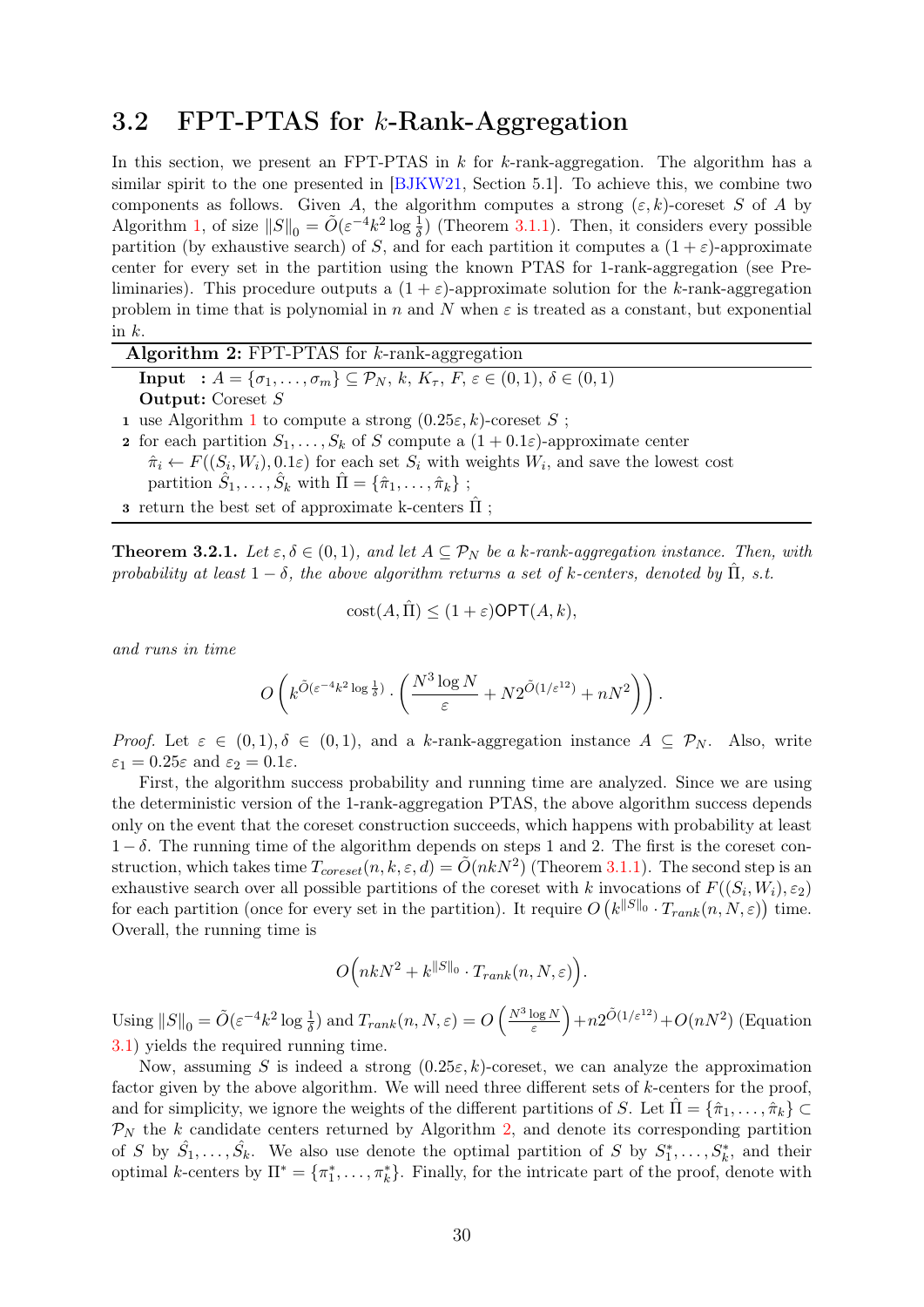### <span id="page-32-0"></span>3.2 FPT-PTAS for k-Rank-Aggregation

In this section, we present an FPT-PTAS in  $k$  for  $k$ -rank-aggregation. The algorithm has a similar spirit to the one presented in [\[BJKW21,](#page-41-0) Section 5.1]. To achieve this, we combine two components as follows. Given A, the algorithm computes a strong  $(\varepsilon, k)$ -coreset S of A by Algorithm [1,](#page-30-1) of size  $||S||_0 = \tilde{O}(\varepsilon^{-4}k^2 \log \frac{1}{\delta})$  (Theorem [3.1.1\)](#page-30-3). Then, it considers every possible partition (by exhaustive search) of S, and for each partition it computes a  $(1 + \varepsilon)$ -approximate center for every set in the partition using the known PTAS for 1-rank-aggregation (see Preliminaries). This procedure outputs a  $(1 + \varepsilon)$ -approximate solution for the k-rank-aggregation problem in time that is polynomial in n and N when  $\varepsilon$  is treated as a constant, but exponential in  $k$ .

<span id="page-32-2"></span>

| <b>Algorithm 2:</b> FPT-PTAS for $k$ -rank-aggregation                                                                         |  |  |
|--------------------------------------------------------------------------------------------------------------------------------|--|--|
| <b>Input</b> : $A = \{\sigma_1, , \sigma_m\} \subseteq \mathcal{P}_N, k, K_\tau, F, \varepsilon \in (0, 1), \delta \in (0, 1)$ |  |  |
| <b>Output:</b> Coreset $S$                                                                                                     |  |  |
| 1 use Algorithm 1 to compute a strong $(0.25\varepsilon, k)$ -coreset S;                                                       |  |  |
| <b>2</b> for each partition $S_1, \ldots, S_k$ of S compute a $(1+0.1\varepsilon)$ -approximate center                         |  |  |
| $\hat{\pi}_i \leftarrow F((S_i, W_i), 0.1\varepsilon)$ for each set $S_i$ with weights $W_i$ , and save the lowest cost        |  |  |
| partition $\hat{S}_1, \ldots, \hat{S}_k$ with $\hat{\Pi} = {\hat{\pi}_1, \ldots, \hat{\pi}_k}$ ;                               |  |  |
|                                                                                                                                |  |  |

**3** return the best set of approximate k-centers  $\Pi$ ;

<span id="page-32-1"></span>**Theorem 3.2.1.** Let  $\varepsilon, \delta \in (0, 1)$ , and let  $A \subseteq \mathcal{P}_N$  be a k-rank-aggregation instance. Then, with probability at least  $1 - \delta$ , the above algorithm returns a set of k-centers, denoted by  $\hat{\Pi}$ , s.t.

$$
cost(A, \Pi) \le (1 + \varepsilon) \mathsf{OPT}(A, k),
$$

and runs in time

$$
O\left(k^{\tilde{O}(\varepsilon^{-4}k^2\log \frac{1}{\delta})}\cdot \left(\frac{N^3\log N}{\varepsilon} + N2^{\tilde{O}(1/\varepsilon^{12})} + nN^2\right)\right).
$$

Proof. Let  $\varepsilon \in (0,1), \delta \in (0,1)$ , and a k-rank-aggregation instance  $A \subseteq \mathcal{P}_N$ . Also, write  $\varepsilon_1 = 0.25\varepsilon$  and  $\varepsilon_2 = 0.1\varepsilon$ .

First, the algorithm success probability and running time are analyzed. Since we are using the deterministic version of the 1-rank-aggregation PTAS, the above algorithm success depends only on the event that the coreset construction succeeds, which happens with probability at least  $1 - \delta$ . The running time of the algorithm depends on steps 1 and 2. The first is the coreset construction, which takes time  $T_{coreset}(n, k, \varepsilon, d) = \tilde{O}(nkN^2)$  (Theorem [3.1.1\)](#page-30-3). The second step is an exhaustive search over all possible partitions of the coreset with k invocations of  $F((S_i, W_i), \varepsilon_2)$ for each partition (once for every set in the partition). It require  $O(k^{\|S\|_0} \cdot T_{rank}(n, N, \varepsilon))$  time. Overall, the running time is

$$
O\Big(nkN^2 + k^{\|S\|_0} \cdot T_{rank}(n, N, \varepsilon)\Big).
$$

Using  $||S||_0 = \tilde{O}(\varepsilon^{-4}k^2 \log \frac{1}{\delta})$  and  $T_{rank}(n, N, \varepsilon) = O\left(\frac{N^3 \log N}{\varepsilon}\right)$  $\frac{\log N}{\varepsilon}$  +  $n2^{\tilde{O}(1/\varepsilon^{12})}$  +  $O(nN^2)$  (Equation [3.1\)](#page-29-1) yields the required running time.

Now, assuming S is indeed a strong  $(0.25\varepsilon, k)$ -coreset, we can analyze the approximation factor given by the above algorithm. We will need three different sets of k-centers for the proof, and for simplicity, we ignore the weights of the different partitions of S. Let  $\hat{\Pi} = \{\hat{\pi}_1, \ldots, \hat{\pi}_k\} \subset$  $\mathcal{P}_N$  the k candidate centers returned by Algorithm [2,](#page-32-2) and denote its corresponding partition of S by  $\hat{S}_1, \ldots, \hat{S}_k$ . We also use denote the optimal partition of S by  $S_1^*, \ldots, S_k^*$ , and their optimal k-centers by  $\Pi^* = \{\pi_1^*, \ldots, \pi_k^*\}$ . Finally, for the intricate part of the proof, denote with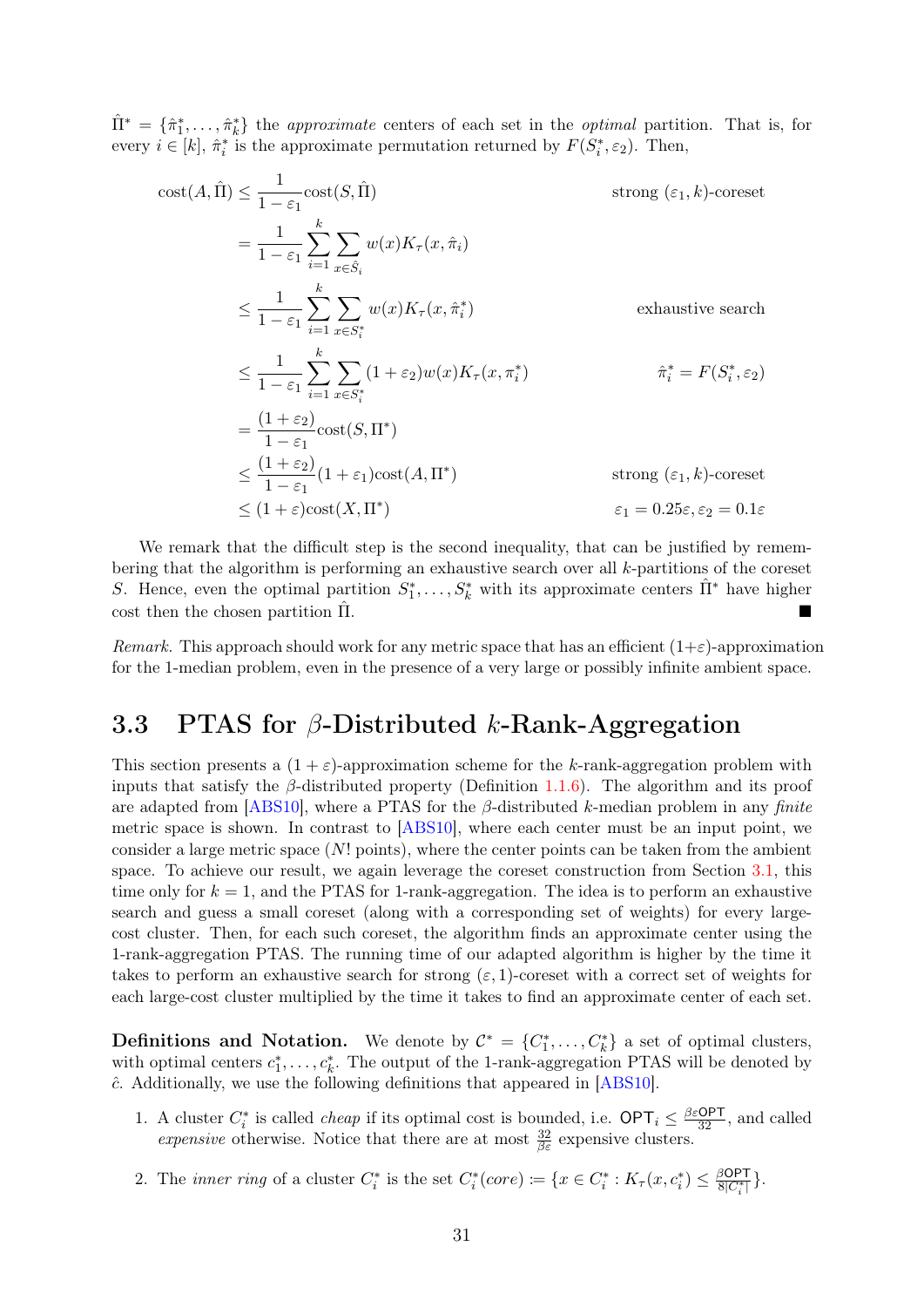$\hat{\Pi}^* = \{\hat{\pi}_1^*, \dots, \hat{\pi}_k^*\}$  the *approximate* centers of each set in the *optimal* partition. That is, for every  $i \in [k]$ ,  $\hat{\pi}_i^*$  is the approximate permutation returned by  $F(S_i^*, \varepsilon_2)$ . Then,

$$
\begin{aligned}\n\text{cost}(A, \hat{\Pi}) &\leq \frac{1}{1 - \varepsilon_1} \text{cost}(S, \hat{\Pi}) & \text{strong } (\varepsilon_1, k)\text{-coreset} \\
&= \frac{1}{1 - \varepsilon_1} \sum_{i=1}^{k} \sum_{x \in \hat{S}_i} w(x) K_{\tau}(x, \hat{\pi}_i) \\
&\leq \frac{1}{1 - \varepsilon_1} \sum_{i=1}^{k} \sum_{x \in S_i^*} w(x) K_{\tau}(x, \hat{\pi}_i^*) & \text{exhaustive search} \\
&\leq \frac{1}{1 - \varepsilon_1} \sum_{i=1}^{k} \sum_{x \in S_i^*} (1 + \varepsilon_2) w(x) K_{\tau}(x, \pi_i^*) & \hat{\pi}_i^* = F(S_i^*, \varepsilon_2) \\
&= \frac{(1 + \varepsilon_2)}{1 - \varepsilon_1} \text{cost}(S, \Pi^*) & \text{strong } (\varepsilon_1, k)\text{-coreset} \\
&\leq (1 + \varepsilon) \text{cost}(X, \Pi^*) & \varepsilon_1 = 0.25\varepsilon, \varepsilon_2 = 0.1\varepsilon\n\end{aligned}
$$

We remark that the difficult step is the second inequality, that can be justified by remembering that the algorithm is performing an exhaustive search over all k-partitions of the coreset S. Hence, even the optimal partition  $S_1^*, \ldots, S_k^*$  with its approximate centers  $\hat{\Pi}^*$  have higher cost then the chosen partition  $\Pi$ .

Remark. This approach should work for any metric space that has an efficient  $(1+\varepsilon)$ -approximation for the 1-median problem, even in the presence of a very large or possibly infinite ambient space.

### <span id="page-33-0"></span>3.3 PTAS for  $\beta$ -Distributed k-Rank-Aggregation

This section presents a  $(1 + \varepsilon)$ -approximation scheme for the k-rank-aggregation problem with inputs that satisfy the  $\beta$ -distributed property (Definition [1.1.6\)](#page-8-0). The algorithm and its proof are adapted from [\[ABS10\]](#page-40-1), where a PTAS for the  $\beta$ -distributed k-median problem in any finite metric space is shown. In contrast to [\[ABS10\]](#page-40-1), where each center must be an input point, we consider a large metric space  $(N! \text{ points})$ , where the center points can be taken from the ambient space. To achieve our result, we again leverage the coreset construction from Section [3.1,](#page-29-0) this time only for  $k = 1$ , and the PTAS for 1-rank-aggregation. The idea is to perform an exhaustive search and guess a small coreset (along with a corresponding set of weights) for every largecost cluster. Then, for each such coreset, the algorithm finds an approximate center using the 1-rank-aggregation PTAS. The running time of our adapted algorithm is higher by the time it takes to perform an exhaustive search for strong  $(\varepsilon, 1)$ -coreset with a correct set of weights for each large-cost cluster multiplied by the time it takes to find an approximate center of each set.

**Definitions and Notation.** We denote by  $\mathcal{C}^* = \{C_1^*, \ldots, C_k^*\}$  a set of optimal clusters, with optimal centers  $c_1^*, \ldots, c_k^*$ . The output of the 1-rank-aggregation PTAS will be denoted by  $\hat{c}$ . Additionally, we use the following definitions that appeared in [\[ABS10\]](#page-40-1).

- 1. A cluster  $C_i^*$  is called *cheap* if its optimal cost is bounded, i.e.  $\text{OPT}_i \leq \frac{\beta \varepsilon \text{OPT}}{32}$ , and called expensive otherwise. Notice that there are at most  $\frac{32}{\beta \varepsilon}$  expensive clusters.
- 2. The *inner ring* of a cluster  $C_i^*$  is the set  $C_i^*(core) \coloneqq \{x \in C_i^* : K_\tau(x, c_i^*) \leq \frac{\beta \text{OPT}}{8|C_i^*|}\}.$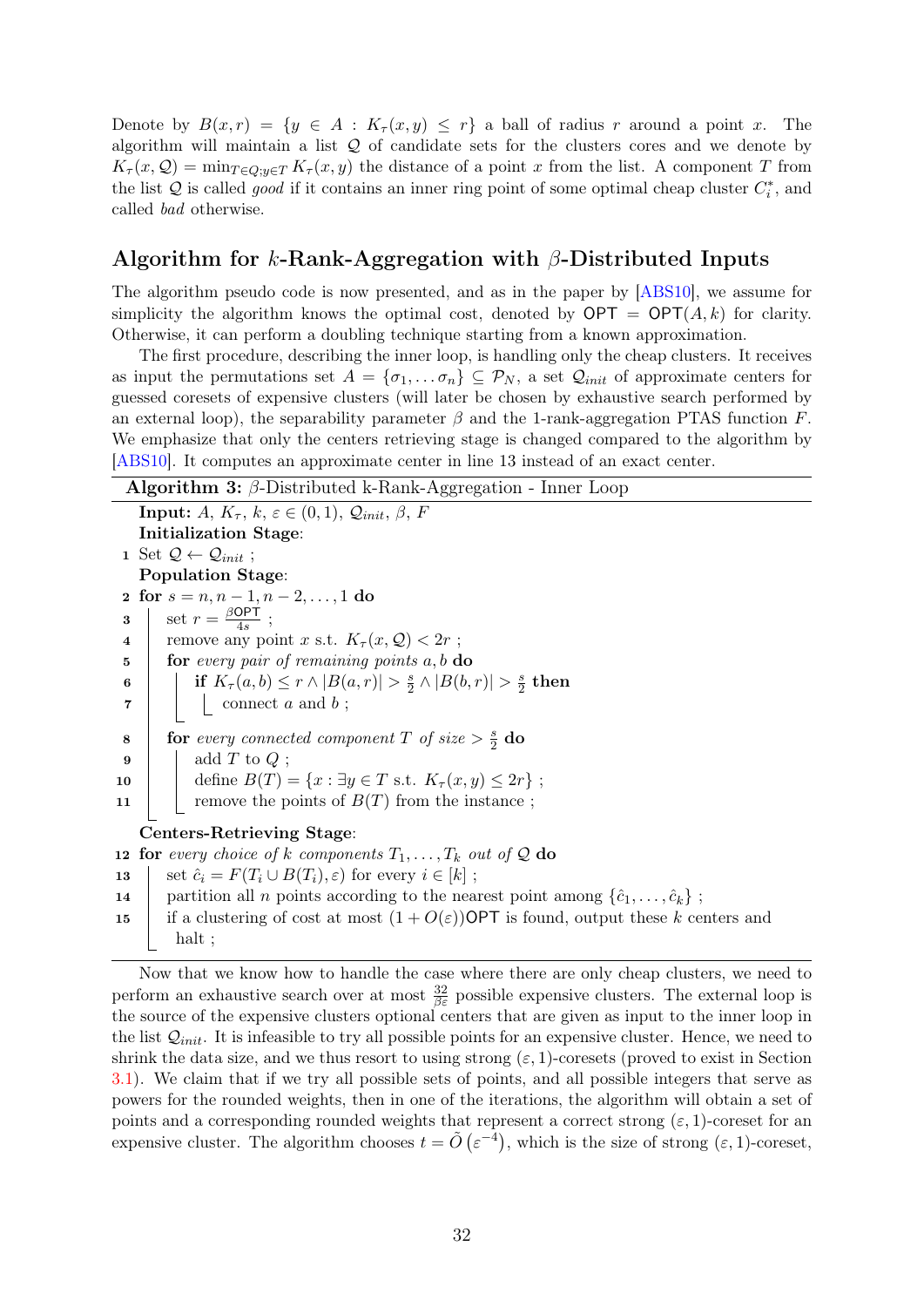Denote by  $B(x,r) = \{y \in A : K_\tau(x,y) \leq r\}$  a ball of radius r around a point x. The algorithm will maintain a list  $Q$  of candidate sets for the clusters cores and we denote by  $K_{\tau}(x, \mathcal{Q}) = \min_{T \in \mathcal{Q}: y \in T} K_{\tau}(x, y)$  the distance of a point x from the list. A component T from the list  $Q$  is called *good* if it contains an inner ring point of some optimal cheap cluster  $C_i^*$ , and called bad otherwise.

#### Algorithm for k-Rank-Aggregation with  $\beta$ -Distributed Inputs

The algorithm pseudo code is now presented, and as in the paper by [\[ABS10\]](#page-40-1), we assume for simplicity the algorithm knows the optimal cost, denoted by  $\mathsf{OPT} = \mathsf{OPT}(A, k)$  for clarity. Otherwise, it can perform a doubling technique starting from a known approximation.

The first procedure, describing the inner loop, is handling only the cheap clusters. It receives as input the permutations set  $A = \{\sigma_1, \ldots \sigma_n\} \subseteq \mathcal{P}_N$ , a set  $\mathcal{Q}_{init}$  of approximate centers for guessed coresets of expensive clusters (will later be chosen by exhaustive search performed by an external loop), the separability parameter  $\beta$  and the 1-rank-aggregation PTAS function F. We emphasize that only the centers retrieving stage is changed compared to the algorithm by [\[ABS10\]](#page-40-1). It computes an approximate center in line 13 instead of an exact center.

```
Algorithm 3: \beta-Distributed k-Rank-Aggregation - Inner Loop
    Input: A, K_{\tau}, k, \varepsilon \in (0,1), Q_{init}, \beta, FInitialization Stage:
 1 Set \mathcal{Q} \leftarrow \mathcal{Q}_{init};
    Population Stage:
 2 for s = n, n - 1, n - 2, \ldots, 1 do
  3 \sec r = \frac{\beta \text{OPT}}{4s}\frac{\partial P}{\partial 4s};
 4 remove any point x s.t. K_\tau(x, \mathcal{Q}) < 2r;
 \mathbf{5} for every pair of remaining points a, b do
  6 if K_{\tau}(a,b) \leq r \wedge |B(a,r)| > \frac{s}{2}\frac{s}{2} \wedge |B(b,r)| > \frac{s}{2}\frac{s}{2} then
 \begin{array}{c|c|c|c} \hline \textbf{7} & \textbf{1} & \textbf{1} & \textbf{1} \\ \hline \end{array} connect a and b;
  8 for every connected component T of size > \frac{s}{2}rac{s}{2} do
 9 \mid \cdot \cdot \cdot \cdot \cdot \cdot \cdot \cdot \cdot add T to Q;
10 define B(T) = \{x : \exists y \in T \text{ s.t. } K_{\tau}(x, y) \leq 2r\};11 \Box remove the points of B(T) from the instance ;
    Centers-Retrieving Stage:
12 for every choice of k components T_1, \ldots, T_k out of \mathcal Q do
13 set \hat{c}_i = F(T_i \cup B(T_i), \varepsilon) for every i \in [k];
```
- 14 partition all n points according to the nearest point among  $\{\hat{c}_1, \ldots, \hat{c}_k\}$ ;
- 15 if a clustering of cost at most  $(1+O(\varepsilon))$ OPT is found, output these k centers and halt ;

Now that we know how to handle the case where there are only cheap clusters, we need to perform an exhaustive search over at most  $\frac{32}{\beta \varepsilon}$  possible expensive clusters. The external loop is the source of the expensive clusters optional centers that are given as input to the inner loop in the list  $Q_{init}$ . It is infeasible to try all possible points for an expensive cluster. Hence, we need to shrink the data size, and we thus resort to using strong  $(\varepsilon, 1)$ -coresets (proved to exist in Section [3.1\)](#page-29-0). We claim that if we try all possible sets of points, and all possible integers that serve as powers for the rounded weights, then in one of the iterations, the algorithm will obtain a set of points and a corresponding rounded weights that represent a correct strong  $(\varepsilon, 1)$ -coreset for an expensive cluster. The algorithm chooses  $t = \tilde{O}(\varepsilon^{-4})$ , which is the size of strong  $(\varepsilon, 1)$ -coreset,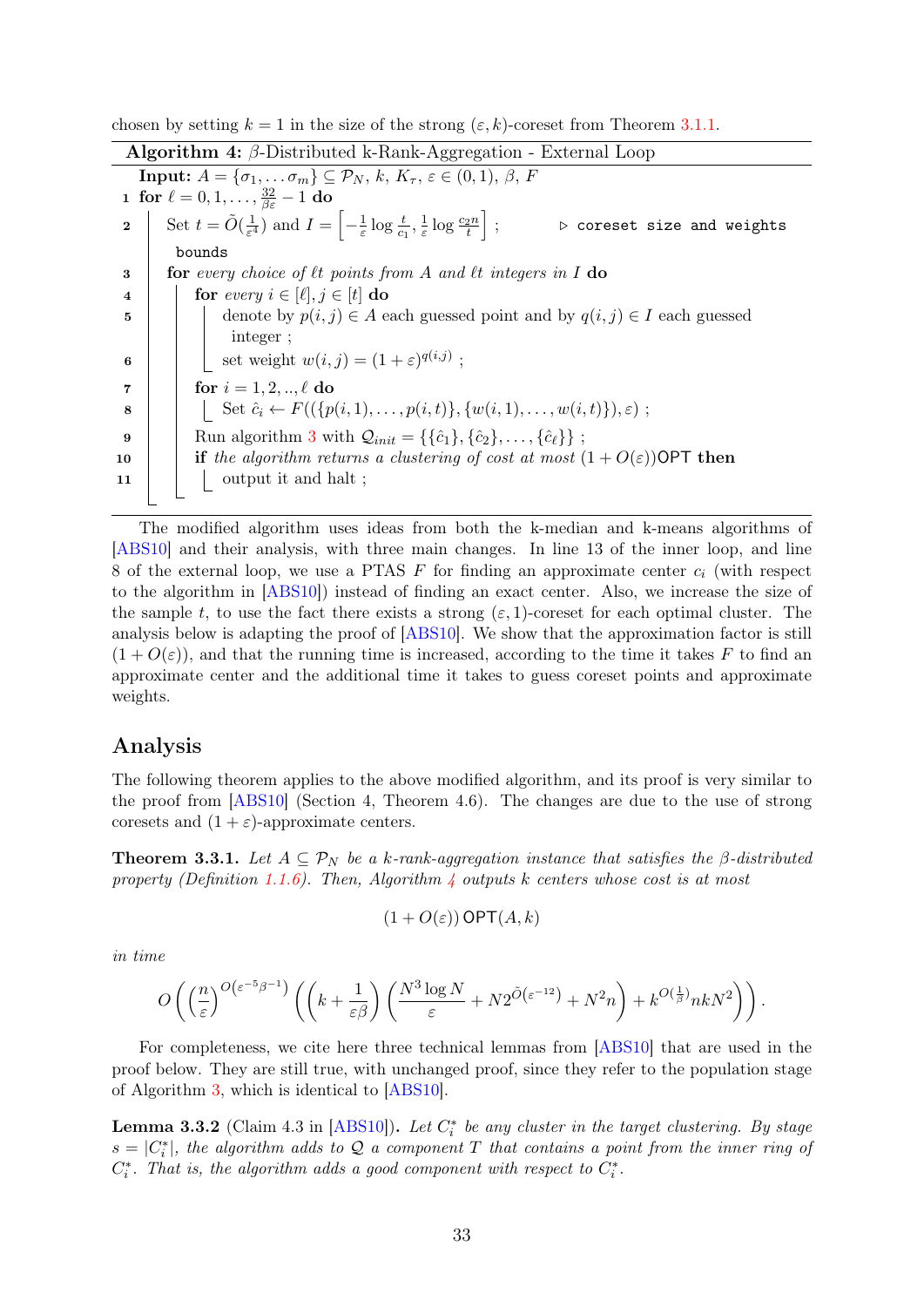chosen by setting  $k = 1$  in the size of the strong  $(\varepsilon, k)$ -coreset from Theorem [3.1.1.](#page-30-3)

<span id="page-35-1"></span>Algorithm 4: β-Distributed k-Rank-Aggregation - External Loop **Input:**  $A = {\sigma_1, \ldots \sigma_m} \subseteq \mathcal{P}_N, k, K_\tau, \varepsilon \in (0,1), \beta, F$  ${\bf 1} \ \ \mathbf{for} \ \ell=0,1,\ldots,\frac{32}{\beta \varepsilon}-1 \ \mathbf{do}$ 2 Set  $t = \tilde{O}(\frac{1}{\epsilon^4})$  $\frac{1}{\varepsilon^4}$ ) and  $I = \left[-\frac{1}{\varepsilon}\right]$  $\frac{1}{\varepsilon} \log \frac{t}{c_1}, \frac{1}{\varepsilon}$  $\frac{1}{\varepsilon} \log \frac{c_2 n}{t}$  $\triangleright$  coreset size and weights bounds  $\mathbf{3}$  for every choice of  $\ell t$  points from A and  $\ell t$  integers in I do 4 for every  $i \in [\ell], j \in [t]$  do 5 denote by  $p(i, j) \in A$  each guessed point and by  $q(i, j) \in I$  each guessed integer ; 6  $\Box$  set weight  $w(i, j) = (1 + \varepsilon)^{q(i, j)}$ ; 7 **for**  $i = 1, 2, ..., \ell$  do 8 Set  $\hat{c}_i \leftarrow F((\{p(i, 1), \ldots, p(i, t)\}, \{w(i, 1), \ldots, w(i, t)\}), \varepsilon)$ ; 9 Run algorithm [3](#page-34-0) with  $Q_{init} = {\{\hat{c}_1\}, \{\hat{c}_2\}, \ldots, \{\hat{c}_\ell\}}$ ; 10 **if** the algorithm returns a clustering of cost at most  $(1 + O(\varepsilon))$ OPT then  $\begin{array}{c|c|c|c} \n\textbf{11} & \textbf{12} & \textbf{13} & \textbf{14} \n\end{array}$  output it and halt ;

The modified algorithm uses ideas from both the k-median and k-means algorithms of [\[ABS10\]](#page-40-1) and their analysis, with three main changes. In line 13 of the inner loop, and line 8 of the external loop, we use a PTAS  $F$  for finding an approximate center  $c_i$  (with respect to the algorithm in [\[ABS10\]](#page-40-1)) instead of finding an exact center. Also, we increase the size of the sample t, to use the fact there exists a strong  $(\varepsilon, 1)$ -coreset for each optimal cluster. The analysis below is adapting the proof of [\[ABS10\]](#page-40-1). We show that the approximation factor is still  $(1+O(\varepsilon))$ , and that the running time is increased, according to the time it takes F to find an approximate center and the additional time it takes to guess coreset points and approximate weights.

#### Analysis

The following theorem applies to the above modified algorithm, and its proof is very similar to the proof from [\[ABS10\]](#page-40-1) (Section 4, Theorem 4.6). The changes are due to the use of strong coresets and  $(1 + \varepsilon)$ -approximate centers.

<span id="page-35-0"></span>**Theorem 3.3.1.** Let  $A \subseteq \mathcal{P}_N$  be a k-rank-aggregation instance that satisfies the  $\beta$ -distributed property (Definition [1.1.6\)](#page-8-0). Then, Algorithm  $\frac{1}{4}$  $\frac{1}{4}$  $\frac{1}{4}$  outputs k centers whose cost is at most

$$
(1 + O(\varepsilon)) \textsf{OPT}(A,k)
$$

in time

$$
O\left(\left(\frac{n}{\varepsilon}\right)^{O\left(\varepsilon^{-5}\beta^{-1}\right)}\left(\left(k+\frac{1}{\varepsilon\beta}\right)\left(\frac{N^3\log N}{\varepsilon}+N2^{\tilde{O}\left(\varepsilon^{-12}\right)}+N^2n\right)+k^{O\left(\frac{1}{\beta}\right)}nkN^2\right)\right).
$$

For completeness, we cite here three technical lemmas from [\[ABS10\]](#page-40-1) that are used in the proof below. They are still true, with unchanged proof, since they refer to the population stage of Algorithm [3,](#page-34-0) which is identical to [\[ABS10\]](#page-40-1).

<span id="page-35-2"></span>**Lemma 3.3.2** (Claim 4.3 in [\[ABS10\]](#page-40-1)). Let  $C_i^*$  be any cluster in the target clustering. By stage  $s = |C_i^*|$ , the algorithm adds to Q a component T that contains a point from the inner ring of  $C_i^*$ . That is, the algorithm adds a good component with respect to  $C_i^*$ .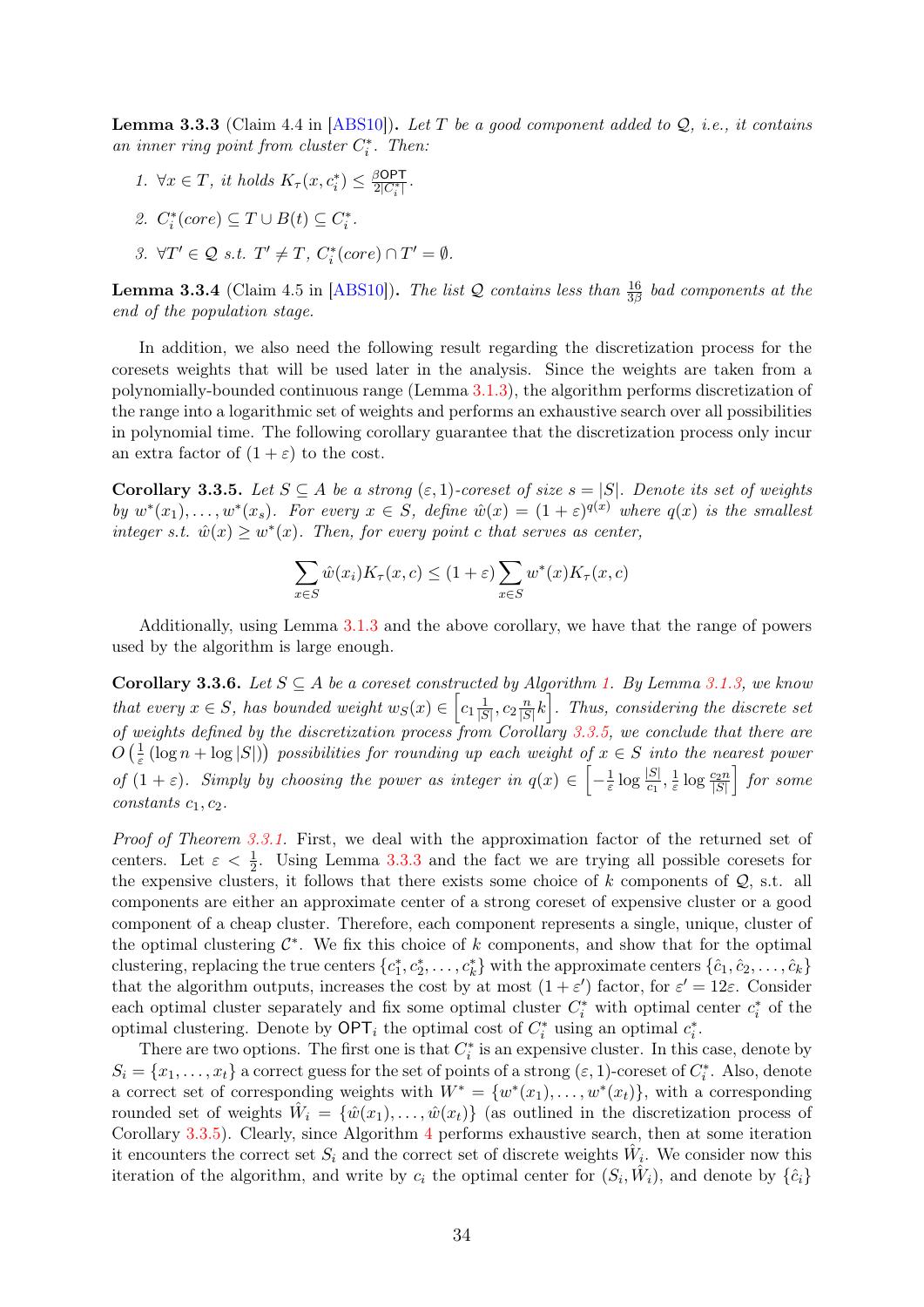<span id="page-36-1"></span>**Lemma 3.3.3** (Claim 4.4 in [\[ABS10\]](#page-40-1)). Let T be a good component added to  $Q$ , i.e., it contains an inner ring point from cluster  $C_i^*$ . Then:

1.  $\forall x \in T$ , it holds  $K_{\tau}(x, c_i^*) \leq \frac{\beta \text{OPT}}{2|C_i^*|}$ .

2. 
$$
C_i^*(core) \subseteq T \cup B(t) \subseteq C_i^*
$$
.

$$
\textit{3. }\forall T' \in \mathcal{Q} \textit{ s.t. } T' \neq T, \textit{C}_i^*(core) \cap T' = \emptyset.
$$

<span id="page-36-2"></span>**Lemma 3.3.4** (Claim 4.5 in [\[ABS10\]](#page-40-1)). The list Q contains less than  $\frac{16}{3\beta}$  bad components at the end of the population stage.

In addition, we also need the following result regarding the discretization process for the coresets weights that will be used later in the analysis. Since the weights are taken from a polynomially-bounded continuous range (Lemma [3.1.3\)](#page-30-0), the algorithm performs discretization of the range into a logarithmic set of weights and performs an exhaustive search over all possibilities in polynomial time. The following corollary guarantee that the discretization process only incur an extra factor of  $(1 + \varepsilon)$  to the cost.

<span id="page-36-0"></span>Corollary 3.3.5. Let  $S \subseteq A$  be a strong  $(\varepsilon, 1)$ -coreset of size  $s = |S|$ . Denote its set of weights by  $w^*(x_1), \ldots, w^*(x_s)$ . For every  $x \in S$ , define  $\hat{w}(x) = (1 + \varepsilon)^{q(x)}$  where  $q(x)$  is the smallest integer s.t.  $\hat{w}(x) \geq w^*(x)$ . Then, for every point c that serves as center,

$$
\sum_{x \in S} \hat{w}(x_i) K_\tau(x, c) \le (1 + \varepsilon) \sum_{x \in S} w^*(x) K_\tau(x, c)
$$

Additionally, using Lemma [3.1.3](#page-30-0) and the above corollary, we have that the range of powers used by the algorithm is large enough.

<span id="page-36-3"></span>Corollary 3.3.6. Let  $S \subseteq A$  be a coreset constructed by Algorithm [1.](#page-30-1) By Lemma [3.1.3,](#page-30-0) we know that every  $x \in S$ , has bounded weight  $w_S(x) \in \left[c_1 \frac{1}{|S|}\right]$  $\frac{1}{|S|}, c_2 \frac{n}{|S|}$  $\left[\frac{n}{|S|}k\right]$ . Thus, considering the discrete set of weights defined by the discretization process from Corollary [3.3.5,](#page-36-0) we conclude that there are  $O\left(\frac{1}{\varepsilon}\right)$  $\frac{1}{\varepsilon}$  (log n + log |S|)) possibilities for rounding up each weight of  $x \in S$  into the nearest power of  $(1 + \varepsilon)$ . Simply by choosing the power as integer in  $q(x) \in \left[-\frac{1}{\varepsilon}\right]$  $\frac{1}{\varepsilon}\log\frac{|S|}{c_1},\frac{1}{\varepsilon}$  $\frac{1}{\varepsilon} \log \frac{c_2 n}{|S|}$  for some  $constants\ c_1, c_2.$ 

Proof of Theorem [3.3.1.](#page-35-0) First, we deal with the approximation factor of the returned set of centers. Let  $\varepsilon < \frac{1}{2}$ . Using Lemma [3.3.3](#page-36-1) and the fact we are trying all possible coresets for the expensive clusters, it follows that there exists some choice of  $k$  components of  $Q$ , s.t. all components are either an approximate center of a strong coreset of expensive cluster or a good component of a cheap cluster. Therefore, each component represents a single, unique, cluster of the optimal clustering  $\mathcal{C}^*$ . We fix this choice of k components, and show that for the optimal clustering, replacing the true centers  $\{c_1^*, c_2^*, \ldots, c_k^*\}$  with the approximate centers  $\{\hat{c}_1, \hat{c}_2, \ldots, \hat{c}_k\}$ that the algorithm outputs, increases the cost by at most  $(1 + \varepsilon')$  factor, for  $\varepsilon' = 12\varepsilon$ . Consider each optimal cluster separately and fix some optimal cluster  $C_i^*$  with optimal center  $c_i^*$  of the optimal clustering. Denote by  $\mathsf{OPT}_i$  the optimal cost of  $C_i^*$  using an optimal  $c_i^*$ .

There are two options. The first one is that  $C_i^*$  is an expensive cluster. In this case, denote by  $S_i = \{x_1, \ldots, x_t\}$  a correct guess for the set of points of a strong  $(\varepsilon, 1)$ -coreset of  $C_i^*$ . Also, denote a correct set of corresponding weights with  $W^* = \{w^*(x_1), \ldots, w^*(x_t)\}\$ , with a corresponding rounded set of weights  $\hat{W}_i = \{\hat{w}(x_1), \dots, \hat{w}(x_t)\}\$  (as outlined in the discretization process of Corollary [3.3.5\)](#page-36-0). Clearly, since Algorithm [4](#page-35-1) performs exhaustive search, then at some iteration it encounters the correct set  $S_i$  and the correct set of discrete weights  $\hat{W}_i$ . We consider now this iteration of the algorithm, and write by  $c_i$  the optimal center for  $(S_i, \hat{W}_i)$ , and denote by  $\{\hat{c}_i\}$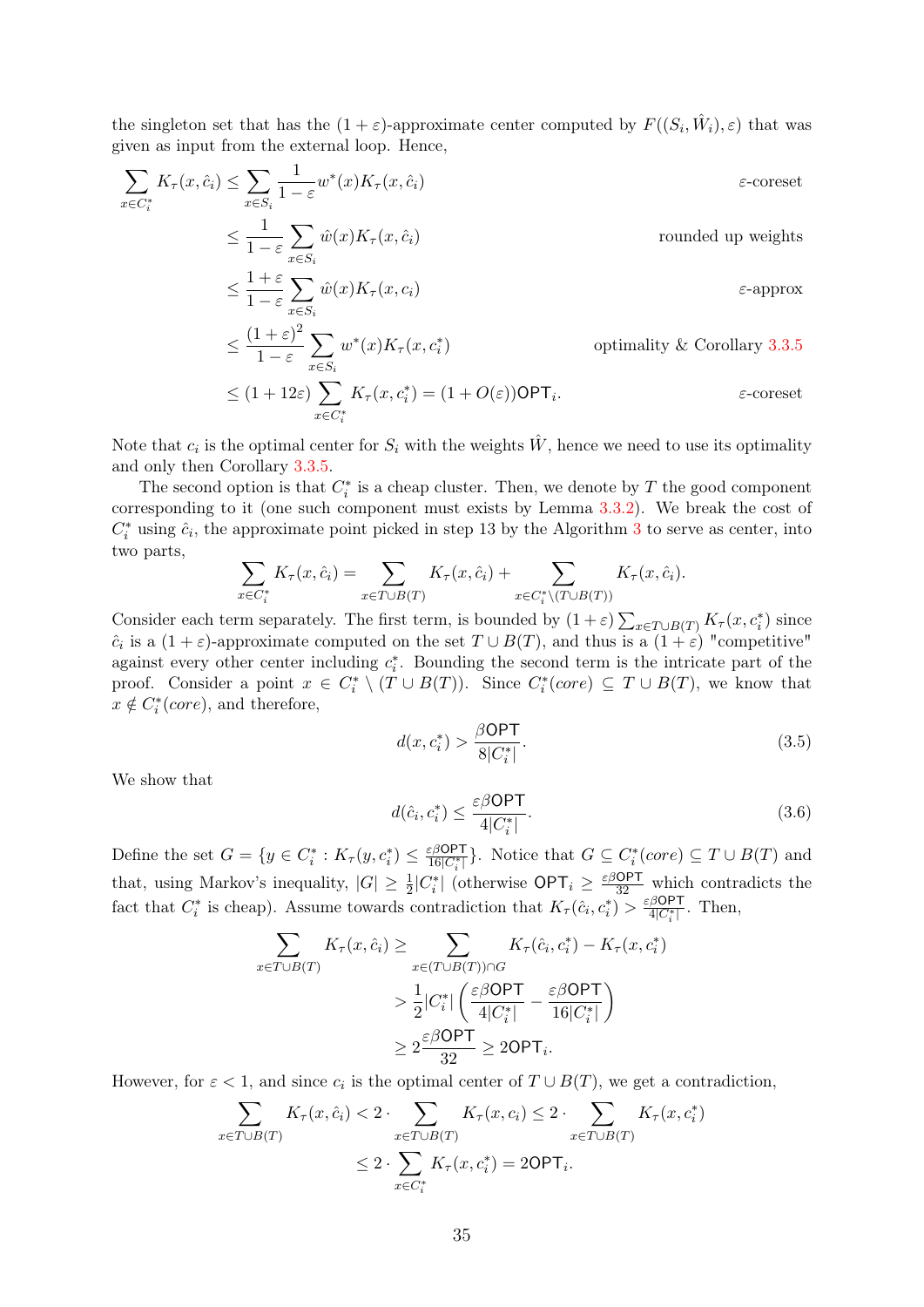the singleton set that has the  $(1+\varepsilon)$ -approximate center computed by  $F((S_i, \hat{W}_i), \varepsilon)$  that was given as input from the external loop. Hence,

$$
\sum_{x \in C_i^*} K_{\tau}(x, \hat{c}_i) \le \sum_{x \in S_i} \frac{1}{1 - \varepsilon} w^*(x) K_{\tau}(x, \hat{c}_i)
$$
\n
$$
\le \frac{1}{1 - \varepsilon} \sum_{x \in S_i} \hat{w}(x) K_{\tau}(x, \hat{c}_i)
$$
\n
$$
\le \frac{1 + \varepsilon}{1 - \varepsilon} \sum_{x \in S_i} \hat{w}(x) K_{\tau}(x, c_i)
$$
\n
$$
\le \frac{(1 + \varepsilon)^2}{1 - \varepsilon} \sum_{x \in S_i} w^*(x) K_{\tau}(x, c_i)
$$
\n
$$
\le \frac{(1 + \varepsilon)^2}{1 - \varepsilon} \sum_{x \in S_i} w^*(x) K_{\tau}(x, c_i)
$$
\n
$$
\text{optimality & Corollary 3.3.5}
$$

$$
\leq (1+12\varepsilon)\sum_{x\in C_i^*} K_\tau(x,c_i^*) = (1+O(\varepsilon))\textsf{OPT}_i.
$$

Note that  $c_i$  is the optimal center for  $S_i$  with the weights  $\hat{W}$ , hence we need to use its optimality and only then Corollary [3.3.5.](#page-36-0)

The second option is that  $C_i^*$  is a cheap cluster. Then, we denote by T the good component corresponding to it (one such component must exists by Lemma [3.3.2\)](#page-35-2). We break the cost of  $C_i^*$  using  $\hat{c}_i$ , the approximate point picked in step 1[3](#page-34-0) by the Algorithm 3 to serve as center, into two parts,

$$
\sum_{x \in C_i^*} K_\tau(x, \hat{c}_i) = \sum_{x \in T \cup B(T)} K_\tau(x, \hat{c}_i) + \sum_{x \in C_i^* \setminus (T \cup B(T))} K_\tau(x, \hat{c}_i).
$$

Consider each term separately. The first term, is bounded by  $(1+\varepsilon)\sum_{x\in T\cup B(T)} K_{\tau}(x,c_i^*)$  since  $\hat{c}_i$  is a  $(1+\varepsilon)$ -approximate computed on the set  $T \cup B(T)$ , and thus is a  $(1+\varepsilon)$  "competitive" against every other center including  $c_i^*$ . Bounding the second term is the intricate part of the proof. Consider a point  $x \in C_i^* \setminus (T \cup B(T))$ . Since  $C_i^*(core) \subseteq T \cup B(T)$ , we know that  $x \notin C_i^*(core)$ , and therefore,

<span id="page-37-0"></span>
$$
d(x, c_i^*) > \frac{\beta \text{OPT}}{8|C_i^*|}.
$$
\n
$$
(3.5)
$$

We show that

<span id="page-37-1"></span>
$$
d(\hat{c}_i, c_i^*) \le \frac{\varepsilon \beta \textsf{OPT}}{4|C_i^*|}.\tag{3.6}
$$

Define the set  $G = \{y \in C_i^* : K_\tau(y, c_i^*) \leq \frac{\varepsilon \beta \mathsf{OPT}}{16|C_i^*|}\}$ . Notice that  $G \subseteq C_i^*(core) \subseteq T \cup B(T)$  and that, using Markov's inequality,  $|G| \geq \frac{1}{2}|C_i^*|$  (otherwise  $\text{OPT}_i \geq \frac{\varepsilon \beta \text{OPT}}{32}$  which contradicts the fact that  $C_i^*$  is cheap). Assume towards contradiction that  $K_\tau(\hat{c}_i, c_i^*) > \frac{\varepsilon \beta \mathsf{OPT}}{4|C_i^*|}$ . Then,

$$
\sum_{x \in T \cup B(T)} K_{\tau}(x, \hat{c}_i) \ge \sum_{x \in (T \cup B(T)) \cap G} K_{\tau}(\hat{c}_i, c_i^*) - K_{\tau}(x, c_i^*)
$$
\n
$$
> \frac{1}{2} |C_i^*| \left( \frac{\varepsilon \beta \text{OPT}}{4|C_i^*|} - \frac{\varepsilon \beta \text{OPT}}{16|C_i^*|} \right)
$$
\n
$$
\ge 2 \frac{\varepsilon \beta \text{OPT}}{32} \ge 2\text{OPT}_i.
$$

However, for  $\varepsilon < 1$ , and since  $c_i$  is the optimal center of  $T \cup B(T)$ , we get a contradiction,

$$
\sum_{x \in T \cup B(T)} K_{\tau}(x, \hat{c}_i) < 2 \cdot \sum_{x \in T \cup B(T)} K_{\tau}(x, c_i) \leq 2 \cdot \sum_{x \in T \cup B(T)} K_{\tau}(x, c_i^*)
$$
\n
$$
\leq 2 \cdot \sum_{x \in C_i^*} K_{\tau}(x, c_i^*) = 2\text{OPT}_i.
$$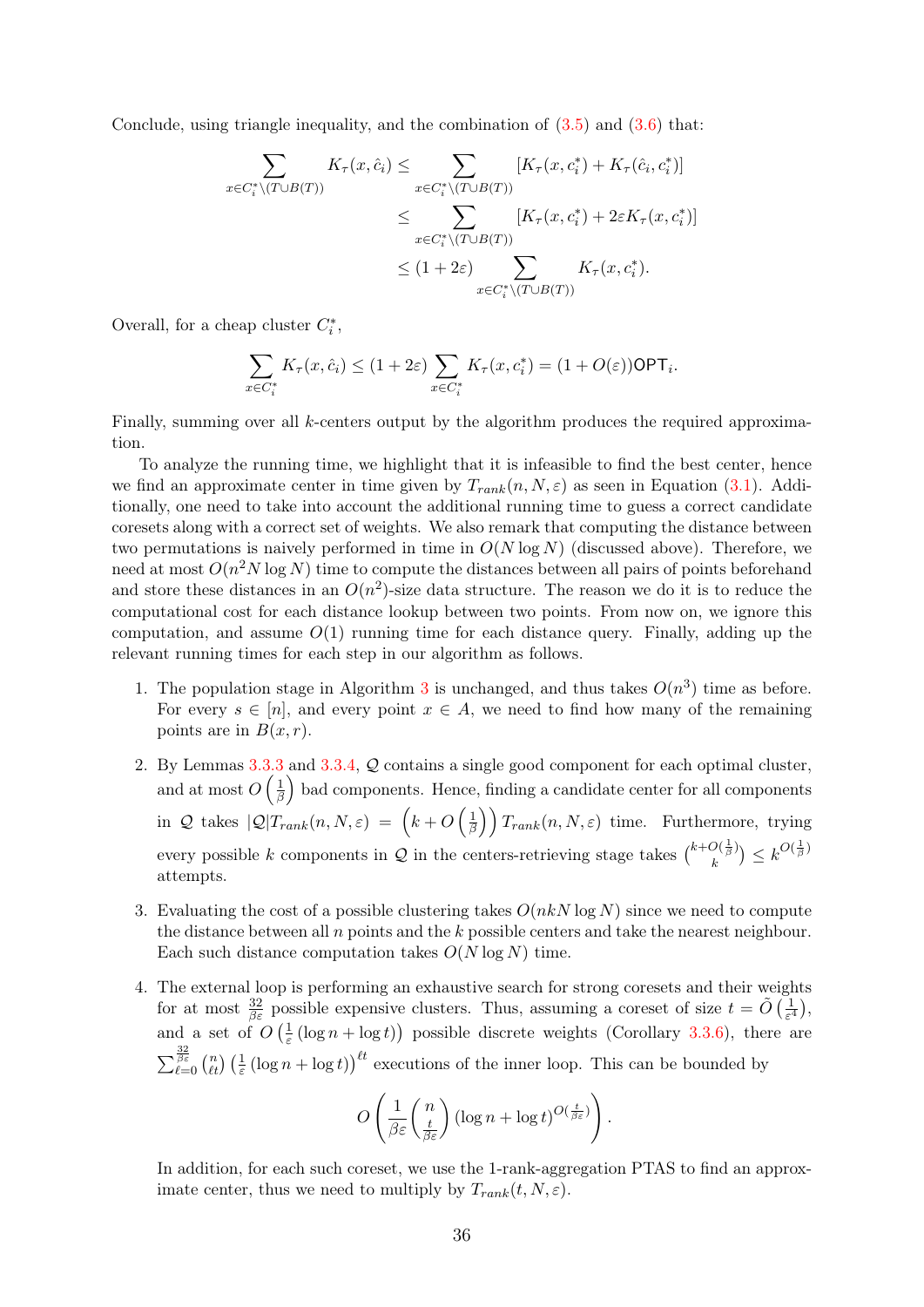Conclude, using triangle inequality, and the combination of  $(3.5)$  and  $(3.6)$  that:

$$
\sum_{x \in C_i^* \setminus (T \cup B(T))} K_{\tau}(x, \hat{c}_i) \le \sum_{x \in C_i^* \setminus (T \cup B(T))} [K_{\tau}(x, c_i^*) + K_{\tau}(\hat{c}_i, c_i^*)]
$$
\n
$$
\le \sum_{x \in C_i^* \setminus (T \cup B(T))} [K_{\tau}(x, c_i^*) + 2\varepsilon K_{\tau}(x, c_i^*)]
$$
\n
$$
\le (1 + 2\varepsilon) \sum_{x \in C_i^* \setminus (T \cup B(T))} K_{\tau}(x, c_i^*).
$$

Overall, for a cheap cluster  $C_i^\ast,$ 

$$
\sum_{x \in C_i^*} K_\tau(x, \hat{c}_i) \le (1 + 2\varepsilon) \sum_{x \in C_i^*} K_\tau(x, c_i^*) = (1 + O(\varepsilon)) \text{OPT}_i.
$$

Finally, summing over all  $k$ -centers output by the algorithm produces the required approximation.

To analyze the running time, we highlight that it is infeasible to find the best center, hence we find an approximate center in time given by  $T_{rank}(n, N, \varepsilon)$  as seen in Equation [\(3.1\)](#page-29-1). Additionally, one need to take into account the additional running time to guess a correct candidate coresets along with a correct set of weights. We also remark that computing the distance between two permutations is naively performed in time in  $O(N \log N)$  (discussed above). Therefore, we need at most  $O(n^2 N \log N)$  time to compute the distances between all pairs of points beforehand and store these distances in an  $O(n^2)$ -size data structure. The reason we do it is to reduce the computational cost for each distance lookup between two points. From now on, we ignore this computation, and assume  $O(1)$  running time for each distance query. Finally, adding up the relevant running times for each step in our algorithm as follows.

- 1. The population stage in Algorithm [3](#page-34-0) is unchanged, and thus takes  $O(n^3)$  time as before. For every  $s \in [n]$ , and every point  $x \in A$ , we need to find how many of the remaining points are in  $B(x, r)$ .
- 2. By Lemmas [3.3.3](#page-36-1) and [3.3.4,](#page-36-2) Q contains a single good component for each optimal cluster, and at most  $O\left(\frac{1}{\beta}\right)$  $\frac{1}{\beta}$  bad components. Hence, finding a candidate center for all components in Q takes  $|Q|T_{rank}(n, N, \varepsilon) = (k + O\left(\frac{1}{\beta}\right))$  $\left(\frac{1}{\beta}\right)$   $T_{rank}(n, N, \varepsilon)$  time. Furthermore, trying every possible k components in Q in the centers-retrieving stage takes  $\binom{k+O(\frac{1}{\beta})}{h}$  $\binom{O(\frac{1}{\beta})}{k} \leq k^{O(\frac{1}{\beta})}$ attempts.
- 3. Evaluating the cost of a possible clustering takes  $O(nkN \log N)$  since we need to compute the distance between all n points and the k possible centers and take the nearest neighbour. Each such distance computation takes  $O(N \log N)$  time.
- 4. The external loop is performing an exhaustive search for strong coresets and their weights for at most  $\frac{32}{\beta \varepsilon}$  possible expensive clusters. Thus, assuming a coreset of size  $t = \tilde{O}(\frac{1}{\varepsilon^4})$  $\frac{1}{\varepsilon^4}\Big),$ and a set of  $O\left(\frac{1}{\epsilon}\right)$  $\frac{1}{\varepsilon}$  (log  $n + \log t$ ) possible discrete weights (Corollary [3.3.6\)](#page-36-3), there are  $\sum_{\ell=0}^{\frac{32}{\beta\varepsilon}} {n \choose \ell t} \left(\frac{1}{\varepsilon} (\log n + \log t)\right)^{\ell t}$  executions of the inner loop. This can be bounded by

$$
O\left(\frac{1}{\beta \varepsilon} \binom{n}{\frac{t}{\beta \varepsilon}} (\log n + \log t)^{O(\frac{t}{\beta \varepsilon})}\right).
$$

In addition, for each such coreset, we use the 1-rank-aggregation PTAS to find an approximate center, thus we need to multiply by  $T_{rank}(t, N, \varepsilon)$ .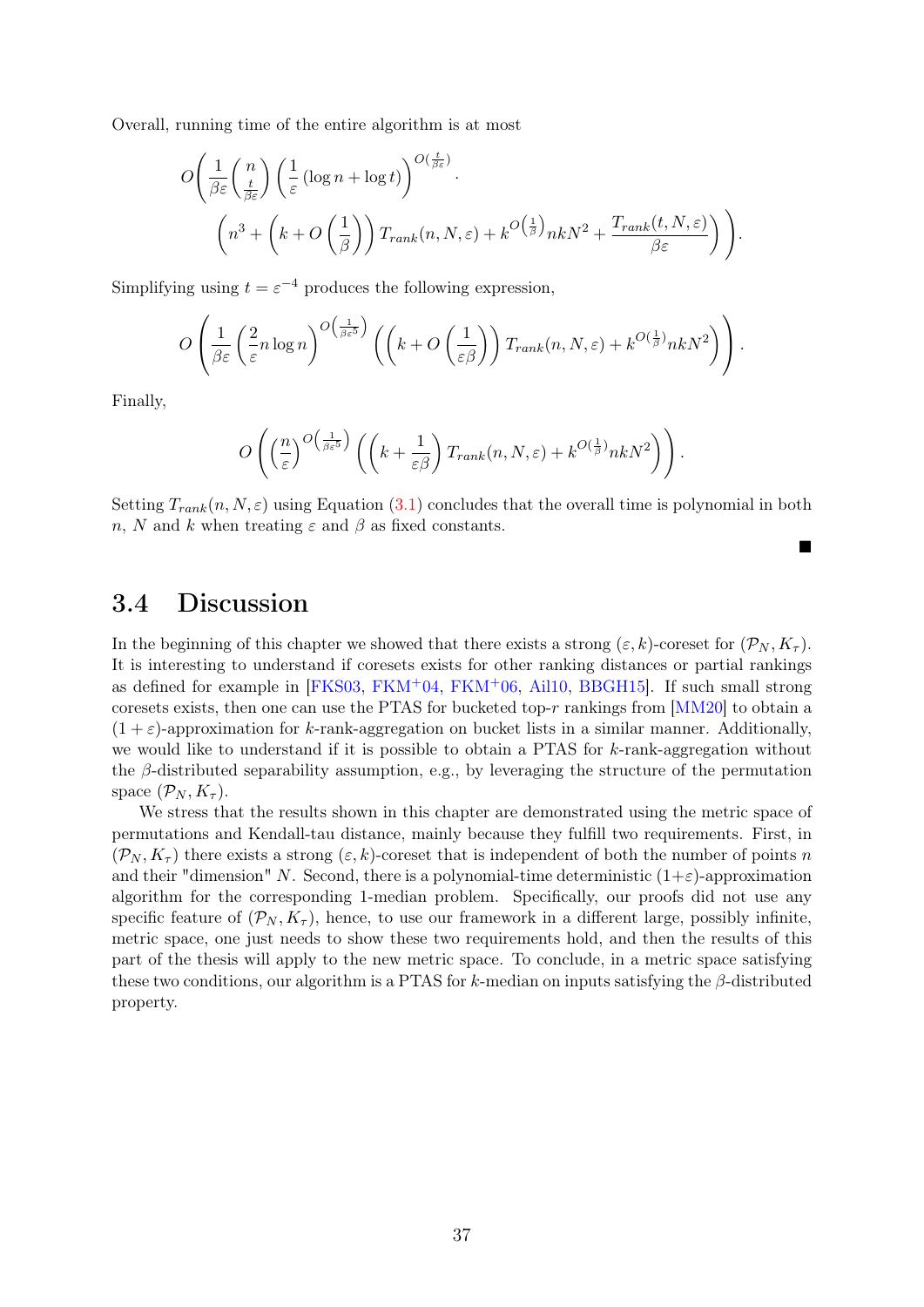Overall, running time of the entire algorithm is at most

$$
O\left(\frac{1}{\beta \varepsilon} \left(\frac{n}{\frac{t}{\beta \varepsilon}}\right) \left(\frac{1}{\varepsilon} \left(\log n + \log t\right)\right)^{O\left(\frac{t}{\beta \varepsilon}\right)}\right)
$$

$$
\left(n^3 + \left(k + O\left(\frac{1}{\beta}\right)\right) T_{rank}(n, N, \varepsilon) + k^{O\left(\frac{1}{\beta}\right)} n k N^2 + \frac{T_{rank}(t, N, \varepsilon)}{\beta \varepsilon}\right)\right).
$$

Simplifying using  $t = \varepsilon^{-4}$  produces the following expression,

$$
O\left(\frac{1}{\beta \varepsilon} \left(\frac{2}{\varepsilon} n \log n\right)^{O\left(\frac{1}{\beta \varepsilon^5}\right)} \left(\left(k+O\left(\frac{1}{\varepsilon \beta}\right)\right) T_{rank}(n,N,\varepsilon) + k^{O\left(\frac{1}{\beta}\right)} n k N^2\right)\right).
$$

Finally,

$$
O\left(\left(\frac{n}{\varepsilon}\right)^{O\left(\frac{1}{\beta\varepsilon^5}\right)}\left(\left(k+\frac{1}{\varepsilon\beta}\right)T_{rank}(n,N,\varepsilon)+k^{O\left(\frac{1}{\beta}\right)}nkN^2\right)\right).
$$

Setting  $T_{rank}(n, N, \varepsilon)$  using Equation [\(3.1\)](#page-29-1) concludes that the overall time is polynomial in both n, N and k when treating  $\varepsilon$  and  $\beta$  as fixed constants.

ш

#### <span id="page-39-0"></span>3.4 Discussion

In the beginning of this chapter we showed that there exists a strong  $(\varepsilon, k)$ -coreset for  $(\mathcal{P}_N, K_\tau)$ . It is interesting to understand if coresets exists for other ranking distances or partial rankings as defined for example in  $[FKS03, FKM^+04, FKM^+06, Ail10, BBGH15]$  $[FKS03, FKM^+04, FKM^+06, Ail10, BBGH15]$  $[FKS03, FKM^+04, FKM^+06, Ail10, BBGH15]$  $[FKS03, FKM^+04, FKM^+06, Ail10, BBGH15]$  $[FKS03, FKM^+04, FKM^+06, Ail10, BBGH15]$  $[FKS03, FKM^+04, FKM^+06, Ail10, BBGH15]$  $[FKS03, FKM^+04, FKM^+06, Ail10, BBGH15]$ . If such small strong coresets exists, then one can use the PTAS for bucketed top-r rankings from [\[MM20\]](#page-45-13) to obtain a  $(1 + \varepsilon)$ -approximation for k-rank-aggregation on bucket lists in a similar manner. Additionally, we would like to understand if it is possible to obtain a PTAS for  $k$ -rank-aggregation without the  $\beta$ -distributed separability assumption, e.g., by leveraging the structure of the permutation space  $(\mathcal{P}_N, K_\tau)$ .

We stress that the results shown in this chapter are demonstrated using the metric space of permutations and Kendall-tau distance, mainly because they fulfill two requirements. First, in  $(\mathcal{P}_N, K_\tau)$  there exists a strong  $(\varepsilon, k)$ -coreset that is independent of both the number of points n and their "dimension" N. Second, there is a polynomial-time deterministic  $(1+\varepsilon)$ -approximation algorithm for the corresponding 1-median problem. Specifically, our proofs did not use any specific feature of  $(\mathcal{P}_N, K_\tau)$ , hence, to use our framework in a different large, possibly infinite, metric space, one just needs to show these two requirements hold, and then the results of this part of the thesis will apply to the new metric space. To conclude, in a metric space satisfying these two conditions, our algorithm is a PTAS for k-median on inputs satisfying the  $\beta$ -distributed property.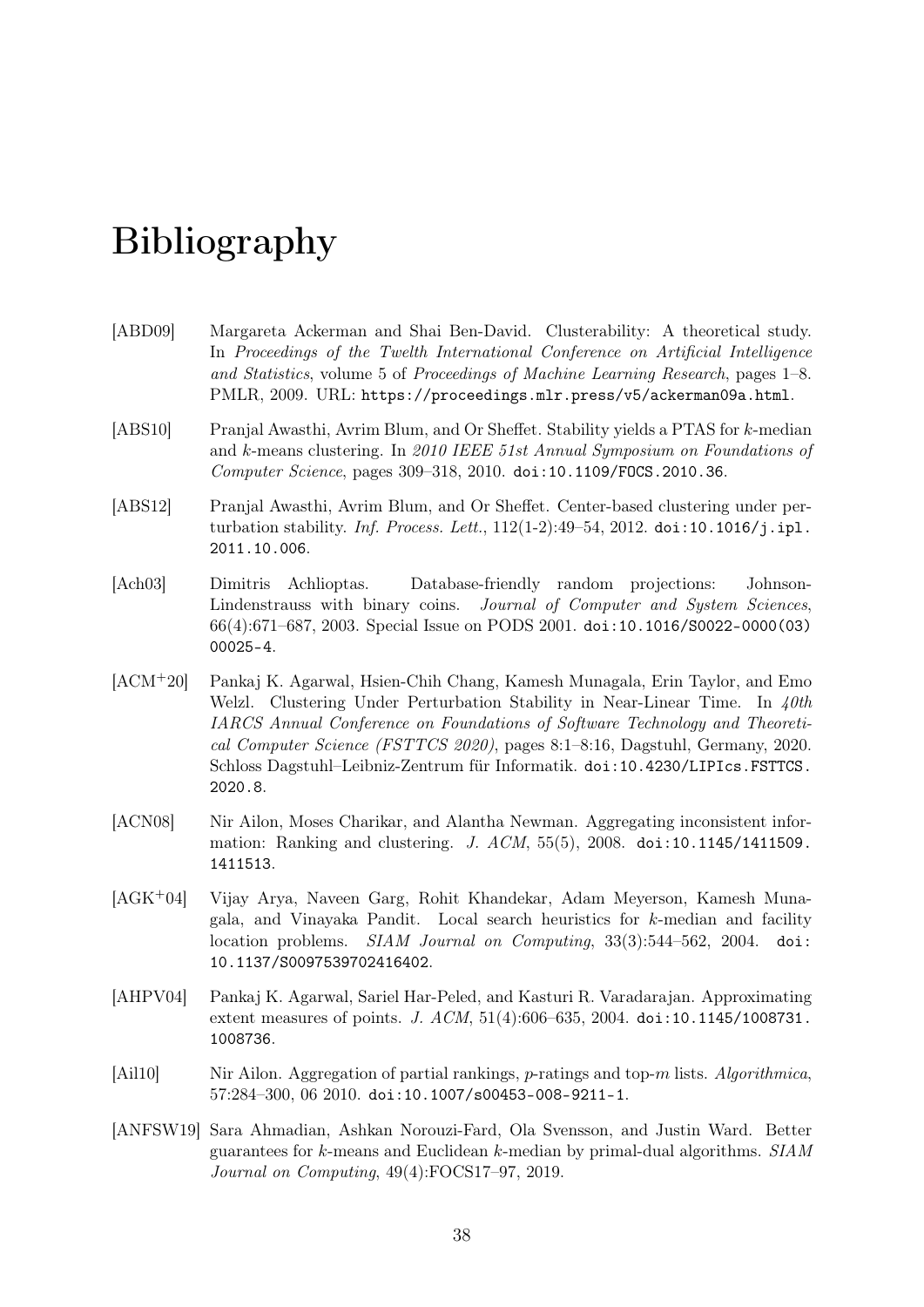# Bibliography

- <span id="page-40-6"></span>[ABD09] Margareta Ackerman and Shai Ben-David. Clusterability: A theoretical study. In Proceedings of the Twelth International Conference on Artificial Intelligence and Statistics, volume 5 of Proceedings of Machine Learning Research, pages 1–8. PMLR, 2009. URL: <https://proceedings.mlr.press/v5/ackerman09a.html>.
- <span id="page-40-1"></span>[ABS10] Pranjal Awasthi, Avrim Blum, and Or Sheffet. Stability yields a PTAS for k-median and k-means clustering. In 2010 IEEE 51st Annual Symposium on Foundations of Computer Science, pages 309–318, 2010. [doi:10.1109/FOCS.2010.36](https://doi.org/10.1109/FOCS.2010.36).
- <span id="page-40-0"></span>[ABS12] Pranjal Awasthi, Avrim Blum, and Or Sheffet. Center-based clustering under perturbation stability. *Inf. Process. Lett.*,  $112(1-2):49-54$ ,  $2012$ . [doi:10.1016/j.ipl.](https://doi.org/10.1016/j.ipl.2011.10.006) [2011.10.006](https://doi.org/10.1016/j.ipl.2011.10.006).
- <span id="page-40-9"></span>[Ach03] Dimitris Achlioptas. Database-friendly random projections: Johnson-Lindenstrauss with binary coins. Journal of Computer and System Sciences, 66(4):671–687, 2003. Special Issue on PODS 2001. [doi:10.1016/S0022-0000\(03\)](https://doi.org/10.1016/S0022-0000(03)00025-4) [00025-4](https://doi.org/10.1016/S0022-0000(03)00025-4).
- <span id="page-40-5"></span>[ACM+20] Pankaj K. Agarwal, Hsien-Chih Chang, Kamesh Munagala, Erin Taylor, and Emo Welzl. Clustering Under Perturbation Stability in Near-Linear Time. In  $40th$ IARCS Annual Conference on Foundations of Software Technology and Theoretical Computer Science (FSTTCS 2020), pages 8:1–8:16, Dagstuhl, Germany, 2020. Schloss Dagstuhl–Leibniz-Zentrum für Informatik. [doi:10.4230/LIPIcs.FSTTCS.](https://doi.org/10.4230/LIPIcs.FSTTCS.2020.8) [2020.8](https://doi.org/10.4230/LIPIcs.FSTTCS.2020.8).
- <span id="page-40-7"></span>[ACN08] Nir Ailon, Moses Charikar, and Alantha Newman. Aggregating inconsistent information: Ranking and clustering. J.  $ACM$ , 55(5), 2008. [doi:10.1145/1411509.](https://doi.org/10.1145/1411509.1411513) [1411513](https://doi.org/10.1145/1411509.1411513).
- <span id="page-40-4"></span>[AGK+04] Vijay Arya, Naveen Garg, Rohit Khandekar, Adam Meyerson, Kamesh Munagala, and Vinayaka Pandit. Local search heuristics for k-median and facility location problems. SIAM Journal on Computing, 33(3):544–562, 2004. [doi:](https://doi.org/10.1137/S0097539702416402) [10.1137/S0097539702416402](https://doi.org/10.1137/S0097539702416402).
- <span id="page-40-2"></span>[AHPV04] Pankaj K. Agarwal, Sariel Har-Peled, and Kasturi R. Varadarajan. Approximating extent measures of points. J. ACM, 51(4):606–635, 2004. [doi:10.1145/1008731.](https://doi.org/10.1145/1008731.1008736) [1008736](https://doi.org/10.1145/1008731.1008736).
- <span id="page-40-8"></span>[Ail10] Nir Ailon. Aggregation of partial rankings, p-ratings and top-m lists. Algorithmica, 57:284–300, 06 2010. [doi:10.1007/s00453-008-9211-1](https://doi.org/10.1007/s00453-008-9211-1).
- <span id="page-40-3"></span>[ANFSW19] Sara Ahmadian, Ashkan Norouzi-Fard, Ola Svensson, and Justin Ward. Better guarantees for k-means and Euclidean k-median by primal-dual algorithms. SIAM Journal on Computing, 49(4):FOCS17–97, 2019.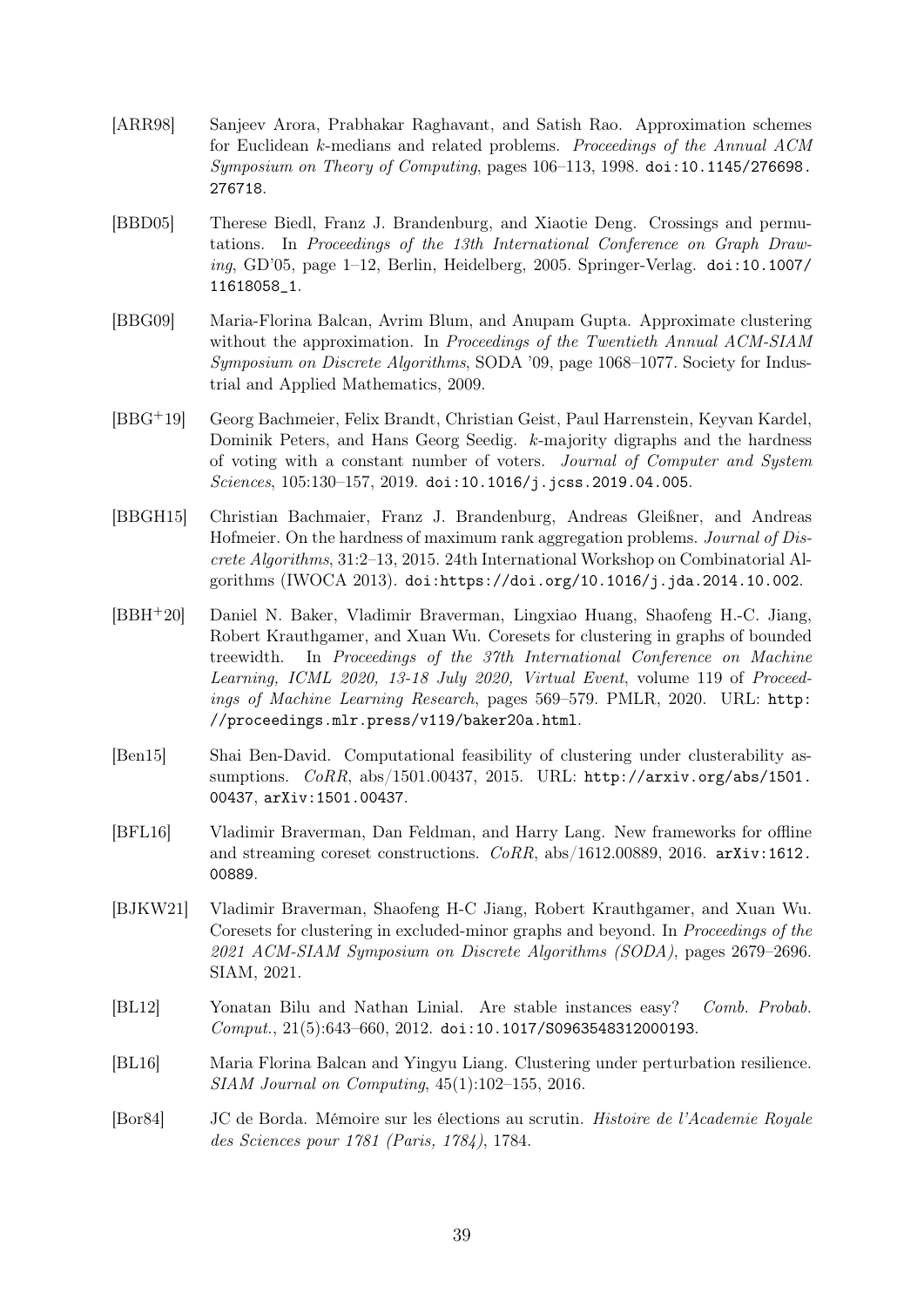- <span id="page-41-2"></span>[ARR98] Sanjeev Arora, Prabhakar Raghavant, and Satish Rao. Approximation schemes for Euclidean k-medians and related problems. Proceedings of the Annual ACM Symposium on Theory of Computing, pages 106–113, 1998. [doi:10.1145/276698.](https://doi.org/10.1145/276698.276718) [276718](https://doi.org/10.1145/276698.276718).
- <span id="page-41-8"></span>[BBD05] Therese Biedl, Franz J. Brandenburg, and Xiaotie Deng. Crossings and permutations. In Proceedings of the 13th International Conference on Graph Draw $ina, GD'05, page 1–12, Berlin, Heidelberg, 2005, Springer-Verlag, doi:10.1007/$  $ina, GD'05, page 1–12, Berlin, Heidelberg, 2005, Springer-Verlag, doi:10.1007/$ [11618058\\_1](https://doi.org/10.1007/11618058_1).
- <span id="page-41-7"></span>[BBG09] Maria-Florina Balcan, Avrim Blum, and Anupam Gupta. Approximate clustering without the approximation. In Proceedings of the Twentieth Annual ACM-SIAM Symposium on Discrete Algorithms, SODA '09, page 1068–1077. Society for Industrial and Applied Mathematics, 2009.
- <span id="page-41-9"></span>[BBG+19] Georg Bachmeier, Felix Brandt, Christian Geist, Paul Harrenstein, Keyvan Kardel, Dominik Peters, and Hans Georg Seedig. k-majority digraphs and the hardness of voting with a constant number of voters. Journal of Computer and System Sciences, 105:130-157, 2019. [doi:10.1016/j.jcss.2019.04.005](https://doi.org/10.1016/j.jcss.2019.04.005).
- <span id="page-41-11"></span>[BBGH15] Christian Bachmaier, Franz J. Brandenburg, Andreas Gleißner, and Andreas Hofmeier. On the hardness of maximum rank aggregation problems. Journal of Discrete Algorithms, 31:2–13, 2015. 24th International Workshop on Combinatorial Algorithms (IWOCA 2013). [doi:https://doi.org/10.1016/j.jda.2014.10.002](https://doi.org/https://doi.org/10.1016/j.jda.2014.10.002).
- <span id="page-41-3"></span>[BBH+20] Daniel N. Baker, Vladimir Braverman, Lingxiao Huang, Shaofeng H.-C. Jiang, Robert Krauthgamer, and Xuan Wu. Coresets for clustering in graphs of bounded treewidth. In Proceedings of the 37th International Conference on Machine Learning, ICML 2020, 13-18 July 2020, Virtual Event, volume 119 of Proceedings of Machine Learning Research, pages 569–579. PMLR, 2020. URL: [http:](http://proceedings.mlr.press/v119/baker20a.html) [//proceedings.mlr.press/v119/baker20a.html](http://proceedings.mlr.press/v119/baker20a.html).
- <span id="page-41-1"></span>[Ben15] Shai Ben-David. Computational feasibility of clustering under clusterability assumptions. CoRR, abs/1501.00437, 2015. URL: [http://arxiv.org/abs/1501.](http://arxiv.org/abs/1501.00437) [00437](http://arxiv.org/abs/1501.00437), [arXiv:1501.00437](http://arxiv.org/abs/1501.00437).
- <span id="page-41-4"></span>[BFL16] Vladimir Braverman, Dan Feldman, and Harry Lang. New frameworks for offline and streaming coreset constructions.  $CoRR$ , abs/1612.00889, 2016. [arXiv:1612.](http://arxiv.org/abs/1612.00889) [00889](http://arxiv.org/abs/1612.00889).
- <span id="page-41-0"></span>[BJKW21] Vladimir Braverman, Shaofeng H-C Jiang, Robert Krauthgamer, and Xuan Wu. Coresets for clustering in excluded-minor graphs and beyond. In Proceedings of the 2021 ACM-SIAM Symposium on Discrete Algorithms (SODA), pages 2679–2696. SIAM, 2021.
- <span id="page-41-5"></span>[BL12] Yonatan Bilu and Nathan Linial. Are stable instances easy? Comb. Probab. Comput., 21(5):643–660, 2012. [doi:10.1017/S0963548312000193](https://doi.org/10.1017/S0963548312000193).
- <span id="page-41-6"></span>[BL16] Maria Florina Balcan and Yingyu Liang. Clustering under perturbation resilience. SIAM Journal on Computing, 45(1):102–155, 2016.
- <span id="page-41-10"></span>[Bor84] JC de Borda. Mémoire sur les élections au scrutin. Histoire de l'Academie Royale des Sciences pour 1781 (Paris, 1784), 1784.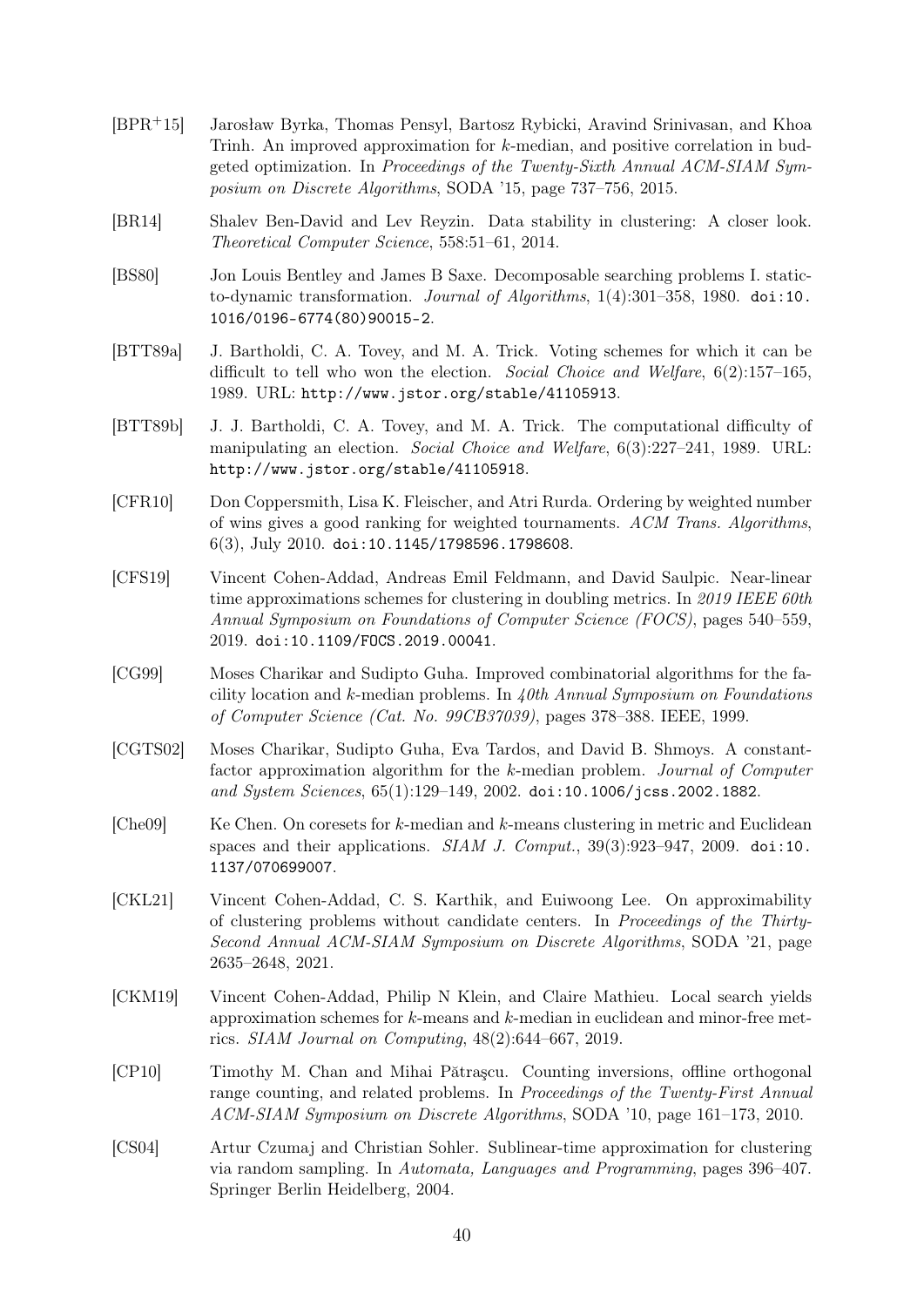- <span id="page-42-7"></span>[BPR+15] Jarosław Byrka, Thomas Pensyl, Bartosz Rybicki, Aravind Srinivasan, and Khoa Trinh. An improved approximation for k-median, and positive correlation in budgeted optimization. In Proceedings of the Twenty-Sixth Annual ACM-SIAM Symposium on Discrete Algorithms, SODA '15, page 737–756, 2015.
- <span id="page-42-2"></span>[BR14] Shalev Ben-David and Lev Reyzin. Data stability in clustering: A closer look. Theoretical Computer Science, 558:51–61, 2014.
- <span id="page-42-11"></span>[BS80] Jon Louis Bentley and James B Saxe. Decomposable searching problems I. staticto-dynamic transformation. Journal of Algorithms, 1(4):301–358, 1980. [doi:10.](https://doi.org/10.1016/0196-6774(80)90015-2) [1016/0196-6774\(80\)90015-2](https://doi.org/10.1016/0196-6774(80)90015-2).
- <span id="page-42-3"></span>[BTT89a] J. Bartholdi, C. A. Tovey, and M. A. Trick. Voting schemes for which it can be difficult to tell who won the election. Social Choice and Welfare, 6(2):157–165, 1989. URL: <http://www.jstor.org/stable/41105913>.
- <span id="page-42-4"></span>[BTT89b] J. J. Bartholdi, C. A. Tovey, and M. A. Trick. The computational difficulty of manipulating an election. Social Choice and Welfare, 6(3):227–241, 1989. URL: <http://www.jstor.org/stable/41105918>.
- <span id="page-42-12"></span>[CFR10] Don Coppersmith, Lisa K. Fleischer, and Atri Rurda. Ordering by weighted number of wins gives a good ranking for weighted tournaments. ACM Trans. Algorithms,  $6(3)$ , July 2010. [doi:10.1145/1798596.1798608](https://doi.org/10.1145/1798596.1798608).
- <span id="page-42-9"></span>[CFS19] Vincent Cohen-Addad, Andreas Emil Feldmann, and David Saulpic. Near-linear time approximations schemes for clustering in doubling metrics. In 2019 IEEE 60th Annual Symposium on Foundations of Computer Science (FOCS), pages 540–559, 2019. [doi:10.1109/FOCS.2019.00041](https://doi.org/10.1109/FOCS.2019.00041).
- <span id="page-42-6"></span>[CG99] Moses Charikar and Sudipto Guha. Improved combinatorial algorithms for the facility location and  $k$ -median problems. In  $\mu$ 0th Annual Symposium on Foundations of Computer Science (Cat. No. 99CB37039), pages 378–388. IEEE, 1999.
- <span id="page-42-5"></span>[CGTS02] Moses Charikar, Sudipto Guha, Eva Tardos, and David B. Shmoys. A constantfactor approximation algorithm for the k-median problem. Journal of Computer and System Sciences, 65(1):129–149, 2002. [doi:10.1006/jcss.2002.1882](https://doi.org/10.1006/jcss.2002.1882).
- <span id="page-42-0"></span> $[Che09]$  Ke Chen. On coresets for k-median and k-means clustering in metric and Euclidean spaces and their applications.  $SIAM$  J. Comput., 39(3):923-947, 2009. [doi:10.](https://doi.org/10.1137/070699007) [1137/070699007](https://doi.org/10.1137/070699007).
- <span id="page-42-10"></span>[CKL21] Vincent Cohen-Addad, C. S. Karthik, and Euiwoong Lee. On approximability of clustering problems without candidate centers. In Proceedings of the Thirty-Second Annual ACM-SIAM Symposium on Discrete Algorithms, SODA '21, page 2635–2648, 2021.
- <span id="page-42-8"></span>[CKM19] Vincent Cohen-Addad, Philip N Klein, and Claire Mathieu. Local search yields approximation schemes for k-means and k-median in euclidean and minor-free metrics. SIAM Journal on Computing, 48(2):644–667, 2019.
- <span id="page-42-13"></span>[CP10] Timothy M. Chan and Mihai Pătraşcu. Counting inversions, offline orthogonal range counting, and related problems. In Proceedings of the Twenty-First Annual ACM-SIAM Symposium on Discrete Algorithms, SODA '10, page 161–173, 2010.
- <span id="page-42-1"></span>[CS04] Artur Czumaj and Christian Sohler. Sublinear-time approximation for clustering via random sampling. In Automata, Languages and Programming, pages 396–407. Springer Berlin Heidelberg, 2004.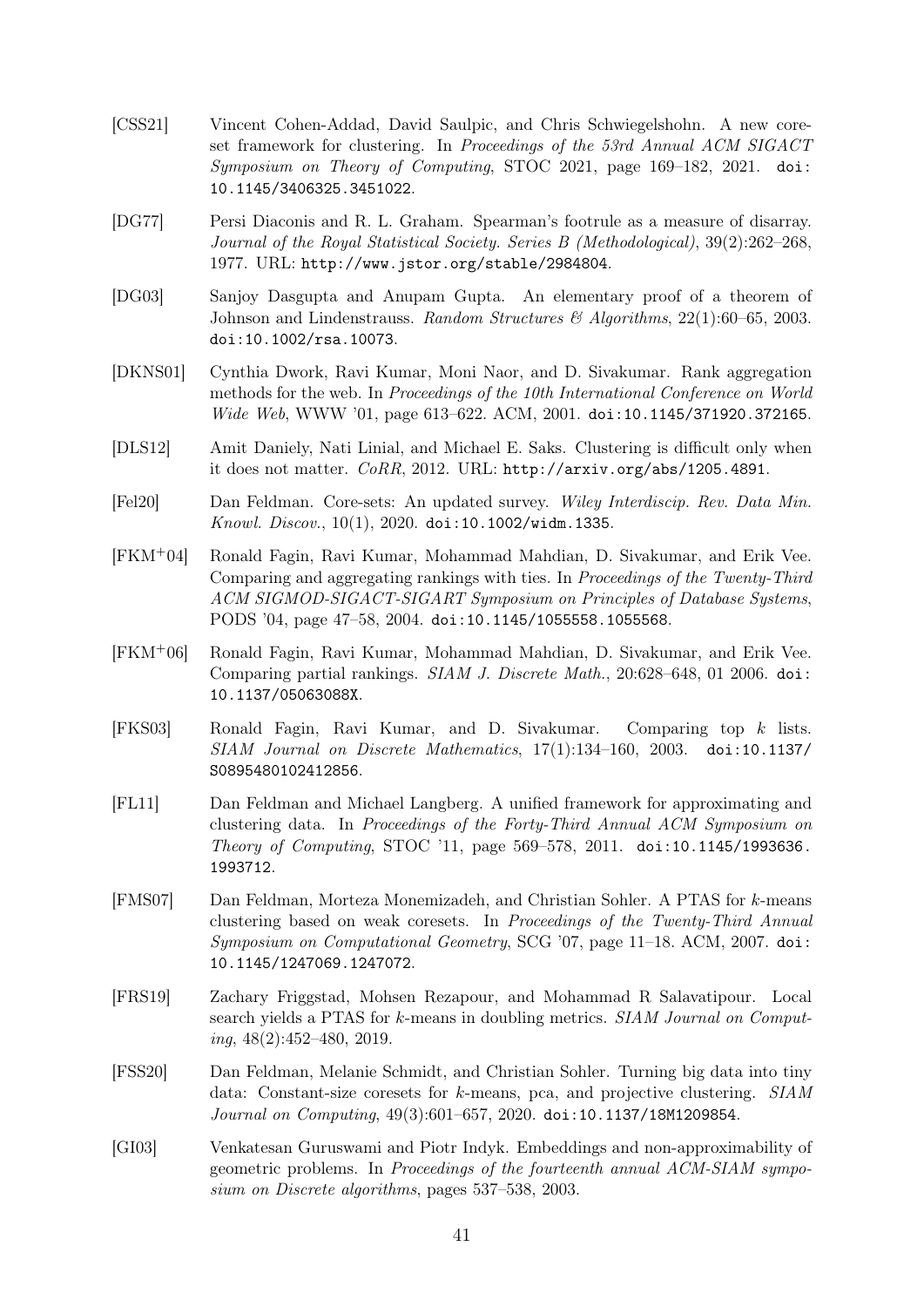- <span id="page-43-2"></span>[CSS21] Vincent Cohen-Addad, David Saulpic, and Chris Schwiegelshohn. A new coreset framework for clustering. In Proceedings of the 53rd Annual ACM SIGACT Symposium on Theory of Computing, STOC 2021, page 169–182, 2021. [doi:](https://doi.org/10.1145/3406325.3451022) [10.1145/3406325.3451022](https://doi.org/10.1145/3406325.3451022).
- <span id="page-43-9"></span>[DG77] Persi Diaconis and R. L. Graham. Spearman's footrule as a measure of disarray. Journal of the Royal Statistical Society. Series B (Methodological), 39(2):262–268, 1977. URL: <http://www.jstor.org/stable/2984804>.
- <span id="page-43-13"></span>[DG03] Sanjoy Dasgupta and Anupam Gupta. An elementary proof of a theorem of Johnson and Lindenstrauss. Random Structures & Algorithms,  $22(1):60-65$ ,  $2003$ . [doi:10.1002/rsa.10073](https://doi.org/10.1002/rsa.10073).
- <span id="page-43-5"></span>[DKNS01] Cynthia Dwork, Ravi Kumar, Moni Naor, and D. Sivakumar. Rank aggregation methods for the web. In Proceedings of the 10th International Conference on World Wide Web, WWW '01, page 613–622. ACM, 2001. [doi:10.1145/371920.372165](https://doi.org/10.1145/371920.372165).
- <span id="page-43-8"></span>[DLS12] Amit Daniely, Nati Linial, and Michael E. Saks. Clustering is difficult only when it does not matter.  $CoRR$ , 2012. URL: <http://arxiv.org/abs/1205.4891>.
- <span id="page-43-1"></span>[Fel20] Dan Feldman. Core-sets: An updated survey. Wiley Interdiscip. Rev. Data Min. Knowl. Discov., 10(1), 2020. [doi:10.1002/widm.1335](https://doi.org/10.1002/widm.1335).
- <span id="page-43-11"></span>[FKM+04] Ronald Fagin, Ravi Kumar, Mohammad Mahdian, D. Sivakumar, and Erik Vee. Comparing and aggregating rankings with ties. In Proceedings of the Twenty-Third ACM SIGMOD-SIGACT-SIGART Symposium on Principles of Database Systems, PODS '04, page 47–58, 2004. [doi:10.1145/1055558.1055568](https://doi.org/10.1145/1055558.1055568).
- <span id="page-43-12"></span>[FKM+06] Ronald Fagin, Ravi Kumar, Mohammad Mahdian, D. Sivakumar, and Erik Vee. Comparing partial rankings. SIAM J. Discrete Math., 20:628–648, 01 2006. [doi:](https://doi.org/10.1137/05063088X) [10.1137/05063088X](https://doi.org/10.1137/05063088X).
- <span id="page-43-10"></span>[FKS03] Ronald Fagin, Ravi Kumar, and D. Sivakumar. Comparing top k lists. SIAM Journal on Discrete Mathematics, 17(1):134–160, 2003. [doi:10.1137/](https://doi.org/10.1137/S0895480102412856) [S0895480102412856](https://doi.org/10.1137/S0895480102412856).
- <span id="page-43-0"></span>[FL11] Dan Feldman and Michael Langberg. A unified framework for approximating and clustering data. In Proceedings of the Forty-Third Annual ACM Symposium on Theory of Computing, STOC '11, page 569–578, 2011. [doi:10.1145/1993636.](https://doi.org/10.1145/1993636.1993712) [1993712](https://doi.org/10.1145/1993636.1993712).
- <span id="page-43-3"></span>[FMS07] Dan Feldman, Morteza Monemizadeh, and Christian Sohler. A PTAS for k-means clustering based on weak coresets. In Proceedings of the Twenty-Third Annual Symposium on Computational Geometry, SCG '07, page 11–18. ACM, 2007. [doi:](https://doi.org/10.1145/1247069.1247072) [10.1145/1247069.1247072](https://doi.org/10.1145/1247069.1247072).
- <span id="page-43-7"></span>[FRS19] Zachary Friggstad, Mohsen Rezapour, and Mohammad R Salavatipour. Local search yields a PTAS for k-means in doubling metrics. SIAM Journal on Comput $ing, 48(2): 452 - 480, 2019.$
- <span id="page-43-4"></span>[FSS20] Dan Feldman, Melanie Schmidt, and Christian Sohler. Turning big data into tiny data: Constant-size coresets for k-means, pca, and projective clustering. SIAM Journal on Computing, 49(3):601–657, 2020. [doi:10.1137/18M1209854](https://doi.org/10.1137/18M1209854).
- <span id="page-43-6"></span>[GI03] Venkatesan Guruswami and Piotr Indyk. Embeddings and non-approximability of geometric problems. In Proceedings of the fourteenth annual ACM-SIAM symposium on Discrete algorithms, pages 537–538, 2003.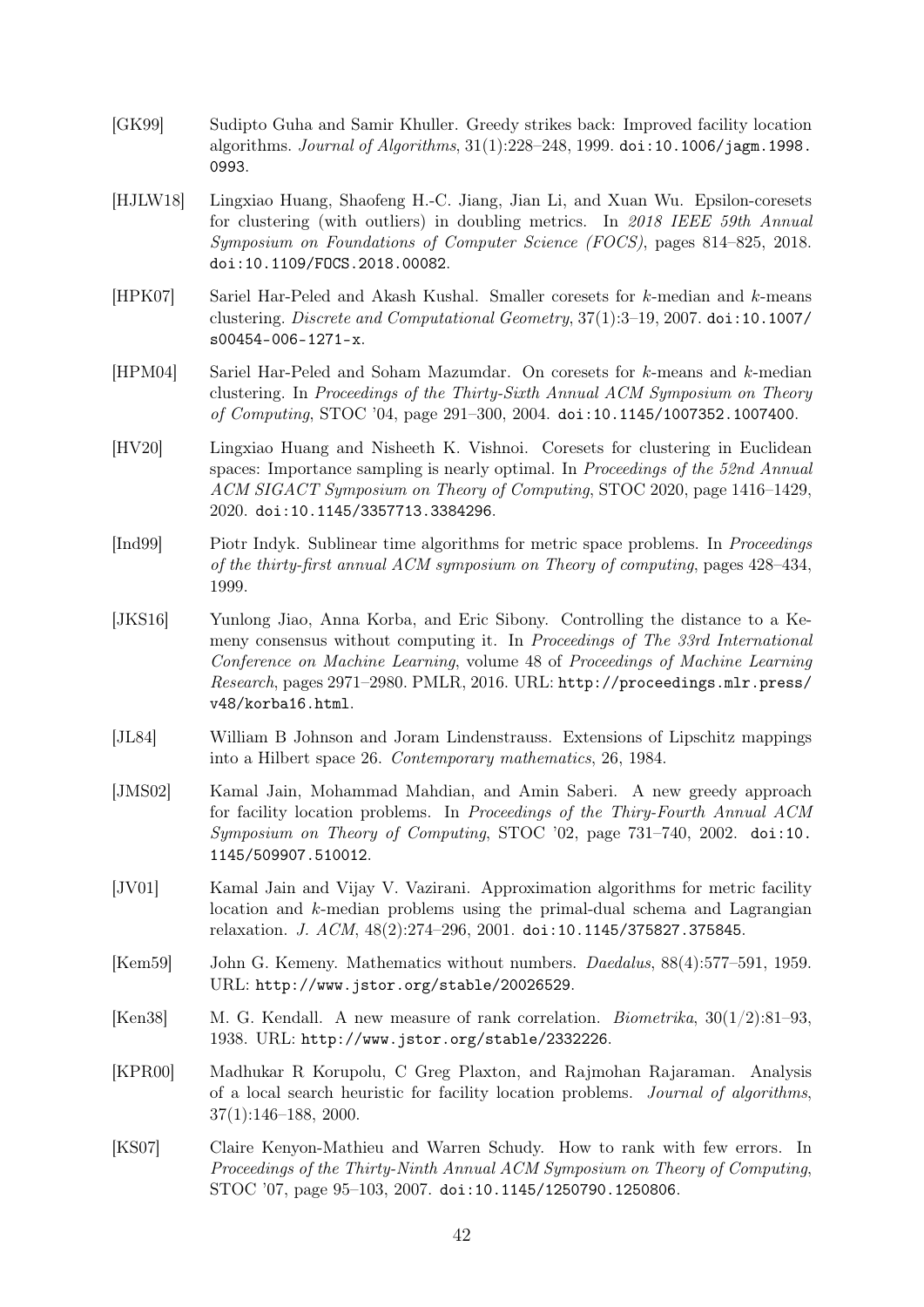- <span id="page-44-11"></span>[GK99] Sudipto Guha and Samir Khuller. Greedy strikes back: Improved facility location algorithms. Journal of Algorithms, 31(1):228–248, 1999. [doi:10.1006/jagm.1998.](https://doi.org/10.1006/jagm.1998.0993) [0993](https://doi.org/10.1006/jagm.1998.0993).
- <span id="page-44-13"></span>[HJLW18] Lingxiao Huang, Shaofeng H.-C. Jiang, Jian Li, and Xuan Wu. Epsilon-coresets for clustering (with outliers) in doubling metrics. In 2018 IEEE 59th Annual Symposium on Foundations of Computer Science (FOCS), pages 814–825, 2018. [doi:10.1109/FOCS.2018.00082](https://doi.org/10.1109/FOCS.2018.00082).
- <span id="page-44-12"></span>[HPK07] Sariel Har-Peled and Akash Kushal. Smaller coresets for k-median and k-means clustering. Discrete and Computational Geometry, 37(1):3–19, 2007. [doi:10.1007/](https://doi.org/10.1007/s00454-006-1271-x) [s00454-006-1271-x](https://doi.org/10.1007/s00454-006-1271-x).
- <span id="page-44-3"></span>[HPM04] Sariel Har-Peled and Soham Mazumdar. On coresets for k-means and k-median clustering. In Proceedings of the Thirty-Sixth Annual ACM Symposium on Theory of Computing, STOC '04, page 291–300, 2004. [doi:10.1145/1007352.1007400](https://doi.org/10.1145/1007352.1007400).
- <span id="page-44-4"></span>[HV20] Lingxiao Huang and Nisheeth K. Vishnoi. Coresets for clustering in Euclidean spaces: Importance sampling is nearly optimal. In *Proceedings of the 52nd Annual* ACM SIGACT Symposium on Theory of Computing, STOC 2020, page 1416–1429, 2020. [doi:10.1145/3357713.3384296](https://doi.org/10.1145/3357713.3384296).
- <span id="page-44-10"></span>[Ind99] Piotr Indyk. Sublinear time algorithms for metric space problems. In Proceedings of the thirty-first annual ACM symposium on Theory of computing, pages 428–434, 1999.
- <span id="page-44-2"></span>[JKS16] Yunlong Jiao, Anna Korba, and Eric Sibony. Controlling the distance to a Kemeny consensus without computing it. In Proceedings of The 33rd International Conference on Machine Learning, volume 48 of Proceedings of Machine Learning Research, pages 2971–2980. PMLR, 2016. URL: [http://proceedings.mlr.press/](http://proceedings.mlr.press/v48/korba16.html) [v48/korba16.html](http://proceedings.mlr.press/v48/korba16.html).
- <span id="page-44-6"></span>[JL84] William B Johnson and Joram Lindenstrauss. Extensions of Lipschitz mappings into a Hilbert space 26. Contemporary mathematics, 26, 1984.
- <span id="page-44-8"></span>[JMS02] Kamal Jain, Mohammad Mahdian, and Amin Saberi. A new greedy approach for facility location problems. In Proceedings of the Thiry-Fourth Annual ACM Symposium on Theory of Computing, STOC '02, page 731–740, 2002. [doi:10.](https://doi.org/10.1145/509907.510012) [1145/509907.510012](https://doi.org/10.1145/509907.510012).
- <span id="page-44-7"></span>[JV01] Kamal Jain and Vijay V. Vazirani. Approximation algorithms for metric facility location and  $k$ -median problems using the primal-dual schema and Lagrangian relaxation. J. ACM, 48(2):274–296, 2001. [doi:10.1145/375827.375845](https://doi.org/10.1145/375827.375845).
- <span id="page-44-1"></span>[Kem59] John G. Kemeny. Mathematics without numbers. Daedalus, 88(4):577–591, 1959. URL: <http://www.jstor.org/stable/20026529>.
- <span id="page-44-0"></span>[Ken38] M. G. Kendall. A new measure of rank correlation. Biometrika, 30(1/2):81–93, 1938. URL: <http://www.jstor.org/stable/2332226>.
- <span id="page-44-9"></span>[KPR00] Madhukar R Korupolu, C Greg Plaxton, and Rajmohan Rajaraman. Analysis of a local search heuristic for facility location problems. Journal of algorithms, 37(1):146–188, 2000.
- <span id="page-44-5"></span>[KS07] Claire Kenyon-Mathieu and Warren Schudy. How to rank with few errors. In Proceedings of the Thirty-Ninth Annual ACM Symposium on Theory of Computing, STOC '07, page 95–103, 2007. [doi:10.1145/1250790.1250806](https://doi.org/10.1145/1250790.1250806).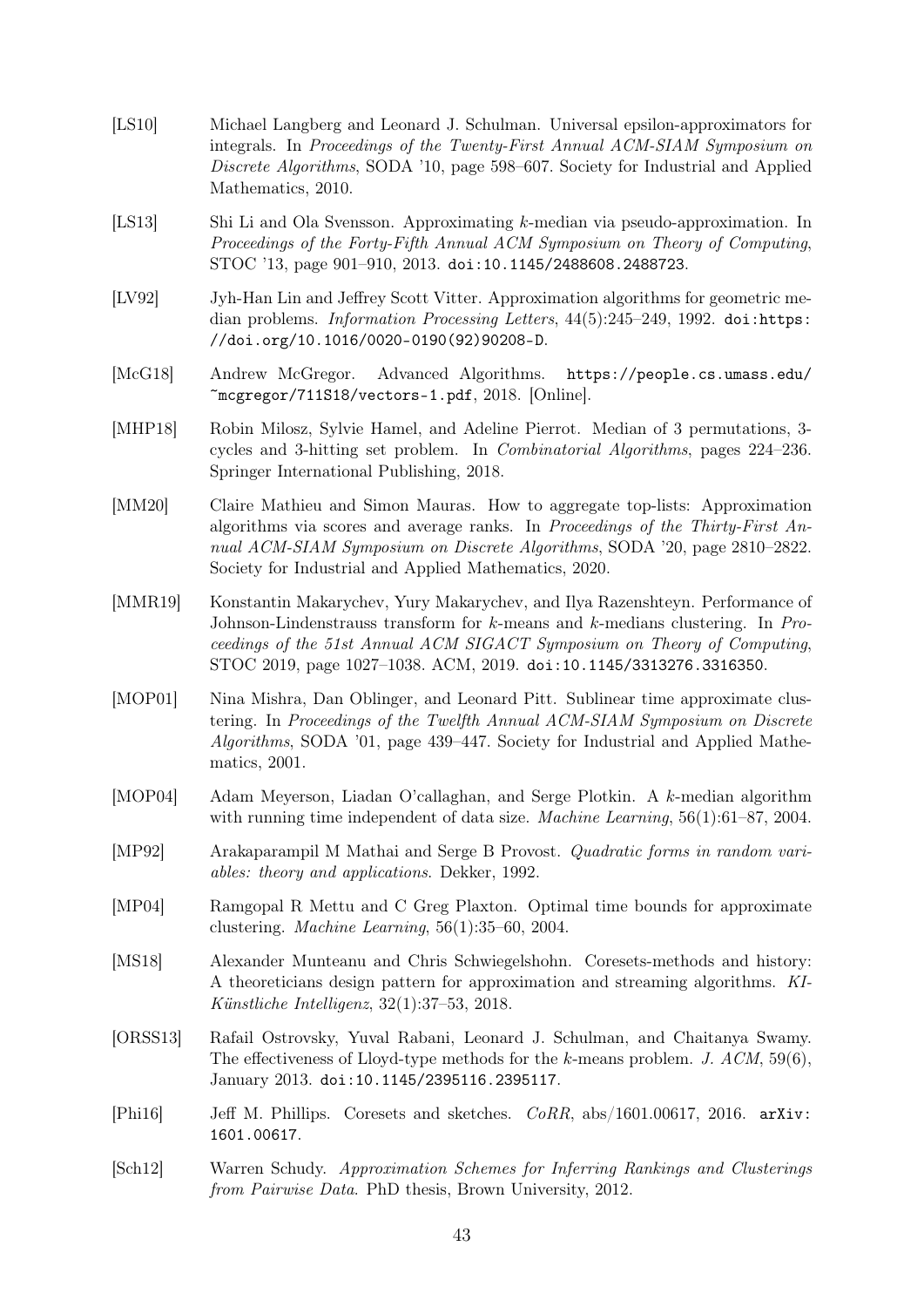- <span id="page-45-3"></span>[LS10] Michael Langberg and Leonard J. Schulman. Universal epsilon-approximators for integrals. In Proceedings of the Twenty-First Annual ACM-SIAM Symposium on Discrete Algorithms, SODA '10, page 598–607. Society for Industrial and Applied Mathematics, 2010.
- <span id="page-45-10"></span>[LS13] Shi Li and Ola Svensson. Approximating k-median via pseudo-approximation. In Proceedings of the Forty-Fifth Annual ACM Symposium on Theory of Computing, STOC '13, page 901–910, 2013. [doi:10.1145/2488608.2488723](https://doi.org/10.1145/2488608.2488723).
- <span id="page-45-8"></span>[LV92] Jyh-Han Lin and Jeffrey Scott Vitter. Approximation algorithms for geometric median problems. *Information Processing Letters*,  $44(5):245-249$ , 1992. [doi:https:](https://doi.org/https://doi.org/10.1016/0020-0190(92)90208-D) [//doi.org/10.1016/0020-0190\(92\)90208-D](https://doi.org/https://doi.org/10.1016/0020-0190(92)90208-D).
- <span id="page-45-6"></span>[McG18] Andrew McGregor. Advanced Algorithms. [https://people.cs.umass.edu/](https://people.cs.umass.edu/~mcgregor/711S18/vectors-1.pdf)  $\text{``merge}$ gor/711S18/vectors-1.pdf,  $2018.$  [Online].
- <span id="page-45-12"></span>[MHP18] Robin Milosz, Sylvie Hamel, and Adeline Pierrot. Median of 3 permutations, 3 cycles and 3-hitting set problem. In Combinatorial Algorithms, pages 224–236. Springer International Publishing, 2018.
- <span id="page-45-13"></span>[MM20] Claire Mathieu and Simon Mauras. How to aggregate top-lists: Approximation algorithms via scores and average ranks. In Proceedings of the Thirty-First Annual ACM-SIAM Symposium on Discrete Algorithms, SODA '20, page 2810–2822. Society for Industrial and Applied Mathematics, 2020.
- <span id="page-45-7"></span>[MMR19] Konstantin Makarychev, Yury Makarychev, and Ilya Razenshteyn. Performance of Johnson-Lindenstrauss transform for k-means and k-medians clustering. In Proceedings of the 51st Annual ACM SIGACT Symposium on Theory of Computing, STOC 2019, page 1027–1038. ACM, 2019. [doi:10.1145/3313276.3316350](https://doi.org/10.1145/3313276.3316350).
- <span id="page-45-4"></span>[MOP01] Nina Mishra, Dan Oblinger, and Leonard Pitt. Sublinear time approximate clustering. In Proceedings of the Twelfth Annual ACM-SIAM Symposium on Discrete Algorithms, SODA '01, page 439–447. Society for Industrial and Applied Mathematics, 2001.
- <span id="page-45-1"></span>[MOP04] Adam Meyerson, Liadan O'callaghan, and Serge Plotkin. A k-median algorithm with running time independent of data size. *Machine Learning*, 56(1):61–87, 2004.
- <span id="page-45-14"></span>[MP92] Arakaparampil M Mathai and Serge B Provost. Quadratic forms in random variables: theory and applications. Dekker, 1992.
- <span id="page-45-9"></span>[MP04] Ramgopal R Mettu and C Greg Plaxton. Optimal time bounds for approximate clustering. Machine Learning, 56(1):35–60, 2004.
- <span id="page-45-0"></span>[MS18] Alexander Munteanu and Chris Schwiegelshohn. Coresets-methods and history: A theoreticians design pattern for approximation and streaming algorithms. KI-Künstliche Intelligenz, 32(1):37–53, 2018.
- <span id="page-45-11"></span>[ORSS13] Rafail Ostrovsky, Yuval Rabani, Leonard J. Schulman, and Chaitanya Swamy. The effectiveness of Lloyd-type methods for the k-means problem. J.  $ACM$ , 59(6), January 2013. [doi:10.1145/2395116.2395117](https://doi.org/10.1145/2395116.2395117).
- <span id="page-45-2"></span>[Phi16] Jeff M. Phillips. Coresets and sketches. CoRR, abs/1601.00617, 2016. [arXiv:](http://arxiv.org/abs/1601.00617) [1601.00617](http://arxiv.org/abs/1601.00617).
- <span id="page-45-5"></span>[Sch12] Warren Schudy. Approximation Schemes for Inferring Rankings and Clusterings from Pairwise Data. PhD thesis, Brown University, 2012.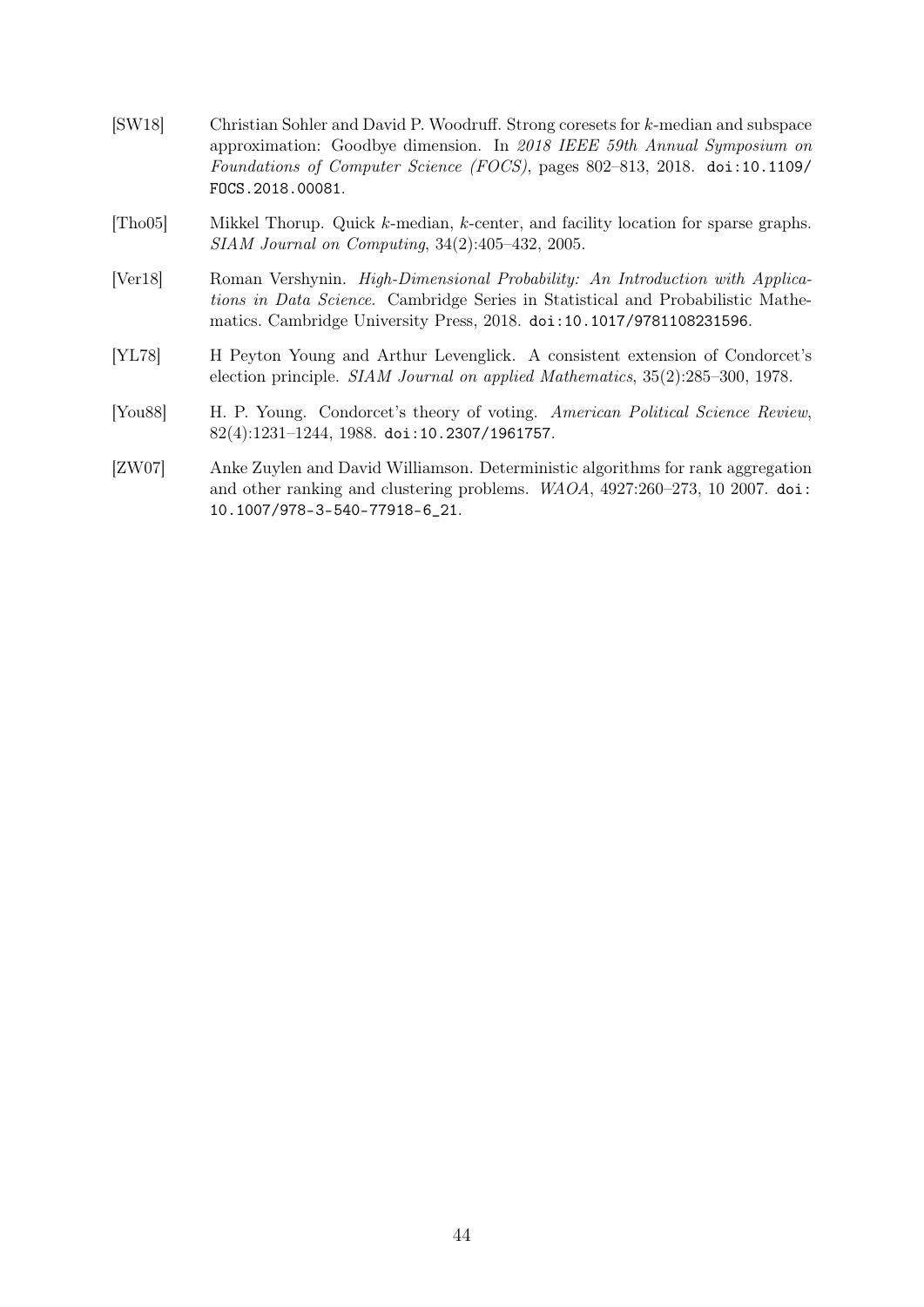- <span id="page-46-0"></span>[SW18] Christian Sohler and David P. Woodruff. Strong coresets for k-median and subspace approximation: Goodbye dimension. In 2018 IEEE 59th Annual Symposium on Foundations of Computer Science (FOCS), pages 802–813, 2018. [doi:10.1109/](https://doi.org/10.1109/FOCS.2018.00081) [FOCS.2018.00081](https://doi.org/10.1109/FOCS.2018.00081).
- <span id="page-46-1"></span>[Tho05] Mikkel Thorup. Quick k-median, k-center, and facility location for sparse graphs. SIAM Journal on Computing, 34(2):405–432, 2005.
- <span id="page-46-5"></span>[Ver18] Roman Vershynin. High-Dimensional Probability: An Introduction with Applications in Data Science. Cambridge Series in Statistical and Probabilistic Mathematics. Cambridge University Press, 2018. [doi:10.1017/9781108231596](https://doi.org/10.1017/9781108231596).
- <span id="page-46-2"></span>[YL78] H Peyton Young and Arthur Levenglick. A consistent extension of Condorcet's election principle. SIAM Journal on applied Mathematics, 35(2):285–300, 1978.
- <span id="page-46-3"></span>[You88] H. P. Young. Condorcet's theory of voting. American Political Science Review, 82(4):1231–1244, 1988. [doi:10.2307/1961757](https://doi.org/10.2307/1961757).
- <span id="page-46-4"></span>[ZW07] Anke Zuylen and David Williamson. Deterministic algorithms for rank aggregation and other ranking and clustering problems. WAOA, 4927:260–273, 10 2007. [doi:](https://doi.org/10.1007/978-3-540-77918-6_21) [10.1007/978-3-540-77918-6\\_21](https://doi.org/10.1007/978-3-540-77918-6_21).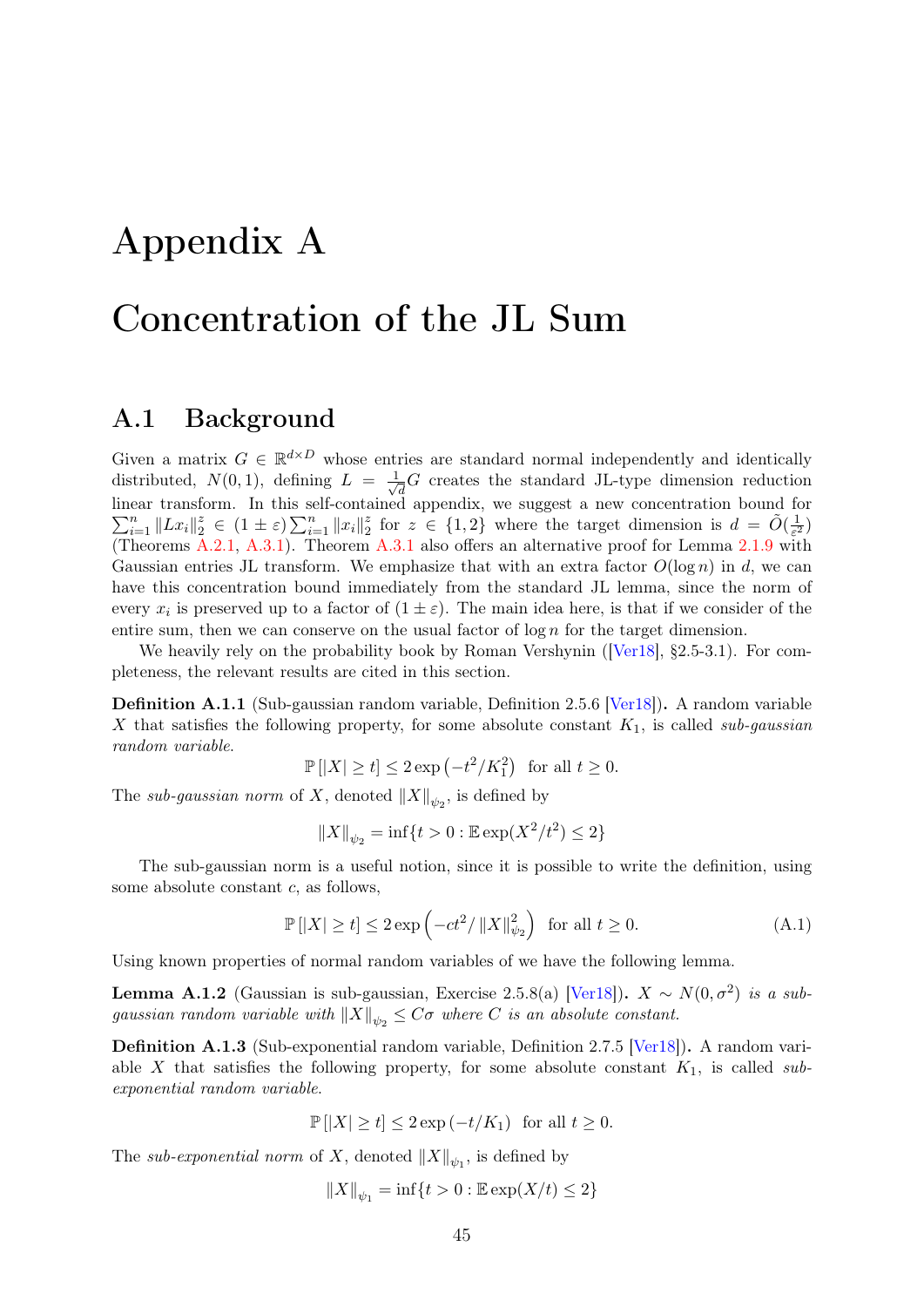# <span id="page-47-0"></span>Appendix A

# Concentration of the JL Sum

### <span id="page-47-1"></span>A.1 Background

Given a matrix  $G \in \mathbb{R}^{d \times D}$  whose entries are standard normal independently and identically distributed,  $N(0,1)$ , defining  $L = \frac{1}{\sqrt{2}}$  $\bar{d}^G_{\overline{d}}G$  creates the standard JL-type dimension reduction linear transform. In this self-contained appendix, we suggest a new concentration bound for  $\sum_{i=1}^n \|Lx_i\|_2^z \in (1 \pm \varepsilon) \sum_{i=1}^n \|x_i\|_2^z$  $\frac{z}{2}$  for  $z \in \{1,2\}$  where the target dimension is  $d = \tilde{O}(\frac{1}{\varepsilon^2})$  $\frac{1}{\varepsilon^2}$ (Theorems [A.2.1,](#page-48-1) [A.3.1\)](#page-50-1). Theorem [A.3.1](#page-50-1) also offers an alternative proof for Lemma [2.1.9](#page-15-3) with Gaussian entries JL transform. We emphasize that with an extra factor  $O(\log n)$  in d, we can have this concentration bound immediately from the standard JL lemma, since the norm of every  $x_i$  is preserved up to a factor of  $(1 \pm \varepsilon)$ . The main idea here, is that if we consider of the entire sum, then we can conserve on the usual factor of  $\log n$  for the target dimension.

We heavily rely on the probability book by Roman Vershynin ([\[Ver18\]](#page-46-5), §2.5-3.1). For completeness, the relevant results are cited in this section.

Definition A.1.1 (Sub-gaussian random variable, Definition 2.5.6 [\[Ver18\]](#page-46-5)). A random variable X that satisfies the following property, for some absolute constant  $K_1$ , is called sub-gaussian random variable.

 $\mathbb{P}[|X| \ge t] \le 2 \exp\left(-t^2/K_1^2\right)$  for all  $t \ge 0$ .

The sub-gaussian norm of X, denoted  $||X||_{\psi_2}$ , is defined by

<span id="page-47-3"></span>
$$
||X||_{\psi_2} = \inf\{t > 0 : \mathbb{E}\exp(X^2/t^2) \le 2\}
$$

The sub-gaussian norm is a useful notion, since it is possible to write the definition, using some absolute constant c, as follows,

$$
\mathbb{P}\left[\left|X\right| \ge t\right] \le 2\exp\left(-ct^2/\left\|X\right\|_{\psi_2}^2\right) \text{ for all } t \ge 0. \tag{A.1}
$$

Using known properties of normal random variables of we have the following lemma.

<span id="page-47-2"></span>**Lemma A.1.2** (Gaussian is sub-gaussian, Exercise 2.5.8(a) [\[Ver18\]](#page-46-5)).  $X \sim N(0, \sigma^2)$  is a subgaussian random variable with  $||X||_{\psi_2} \leq C\sigma$  where C is an absolute constant.

Definition A.1.3 (Sub-exponential random variable, Definition 2.7.5 [\[Ver18\]](#page-46-5)). A random variable X that satisfies the following property, for some absolute constant  $K_1$ , is called subexponential random variable.

$$
\mathbb{P}\left[|X|\geq t\right]\leq 2\exp\left(-t/K_1\right)\ \ \text{for all}\ t\geq 0.
$$

The *sub-exponential norm* of X, denoted  $||X||_{\psi_1}$ , is defined by

$$
||X||_{\psi_1} = \inf\{t > 0 : \mathbb{E}\exp(X/t) \le 2\}
$$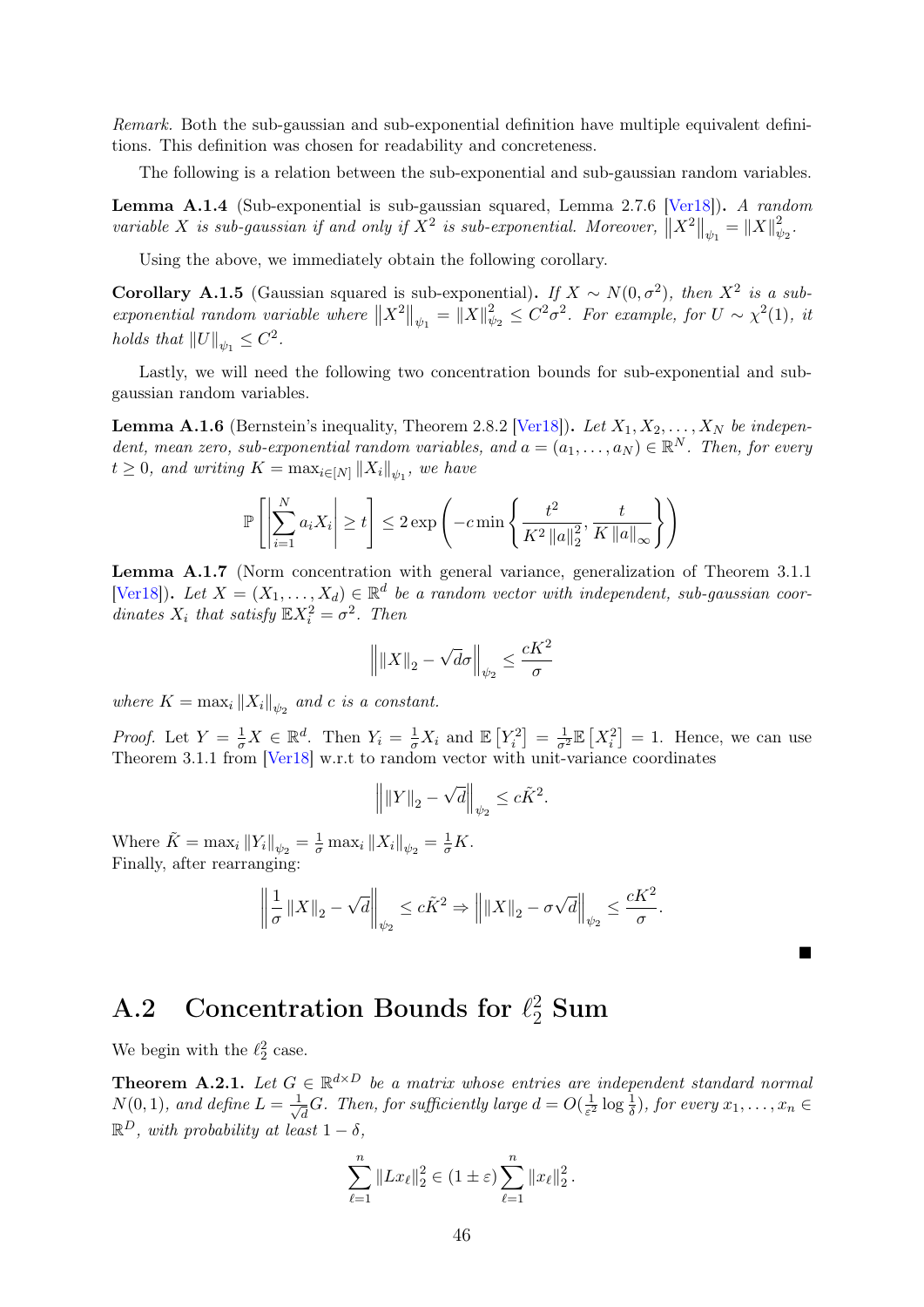Remark. Both the sub-gaussian and sub-exponential definition have multiple equivalent definitions. This definition was chosen for readability and concreteness.

The following is a relation between the sub-exponential and sub-gaussian random variables.

Lemma A.1.4 (Sub-exponential is sub-gaussian squared, Lemma 2.7.6 [\[Ver18\]](#page-46-5)). A random variable X is sub-gaussian if and only if  $X^2$  is sub-exponential. Moreover,  $||X^2||_{\psi_1} = ||X||_{\psi_1}^2$  $\frac{2}{\psi_2}.$ 

Using the above, we immediately obtain the following corollary.

<span id="page-48-2"></span>Corollary A.1.5 (Gaussian squared is sub-exponential). If  $X \sim N(0, \sigma^2)$ , then  $X^2$  is a subexponential random variable where  $||X^2||_{\psi_1} = ||X||_{\psi_1}^2$  $\frac{2}{\psi_2} \leq C^2 \sigma^2$ . For example, for  $U \sim \chi^2(1)$ , it holds that  $||U||_{\psi_1} \leq C^2$ .

Lastly, we will need the following two concentration bounds for sub-exponential and subgaussian random variables.

<span id="page-48-3"></span>**Lemma A.1.6** (Bernstein's inequality, Theorem 2.8.2 [\[Ver18\]](#page-46-5)). Let  $X_1, X_2, \ldots, X_N$  be independent, mean zero, sub-exponential random variables, and  $a = (a_1, \ldots, a_N) \in \mathbb{R}^N$ . Then, for every  $t \geq 0$ , and writing  $K = \max_{i \in [N]} ||X_i||_{\psi_1}$ , we have

$$
\mathbb{P}\left[\left|\sum_{i=1}^{N} a_i X_i\right| \geq t\right] \leq 2 \exp\left(-c \min\left\{\frac{t^2}{K^2 \left\|a\right\|_2^2}, \frac{t}{K \left\|a\right\|_{\infty}}\right\}\right)
$$

<span id="page-48-4"></span>Lemma A.1.7 (Norm concentration with general variance, generalization of Theorem 3.1.1 [\[Ver18\]](#page-46-5)). Let  $X = (X_1, \ldots, X_d) \in \mathbb{R}^d$  be a random vector with independent, sub-gaussian coordinates  $X_i$  that satisfy  $\mathbb{E}X_i^2 = \sigma^2$ . Then

$$
\left\| \|X\|_2 - \sqrt{d}\sigma \right\|_{\psi_2} \le \frac{cK^2}{\sigma}
$$

where  $K = \max_i \|X_i\|_{\psi_2}$  and c is a constant.

*Proof.* Let  $Y = \frac{1}{\sigma} X \in \mathbb{R}^d$ . Then  $Y_i = \frac{1}{\sigma} X_i$  and  $\mathbb{E}[Y_i^2] = \frac{1}{\sigma^2} \mathbb{E}[X_i^2] = 1$ . Hence, we can use Theorem 3.1.1 from [\[Ver18\]](#page-46-5) w.r.t to random vector with unit-variance coordinates

$$
\left\| \|Y\|_2 - \sqrt{d} \right\|_{\psi_2} \leq c \tilde{K}^2.
$$

Where  $\tilde{K} = \max_{i} ||Y_i||_{\psi_2} = \frac{1}{\sigma} \max_{i} ||X_i||_{\psi_2} = \frac{1}{\sigma} K.$ Finally, after rearranging:

$$
\left\|\frac{1}{\sigma}||X||_2 - \sqrt{d}\right\|_{\psi_2} \leq c\tilde{K}^2 \Rightarrow \left\|||X||_2 - \sigma\sqrt{d}\right\|_{\psi_2} \leq \frac{cK^2}{\sigma}.
$$

 $\blacksquare$ 

## <span id="page-48-0"></span>A.2 Concentration Bounds for  $\ell_2^2$  Sum

We begin with the  $\ell_2^2$  case.

<span id="page-48-1"></span>**Theorem A.2.1.** Let  $G \in \mathbb{R}^{d \times D}$  be a matrix whose entries are independent standard normal  $N(0,1)$ , and define  $L=\frac{1}{\sqrt{2}}$  $\frac{1}{d}G$ . Then, for sufficiently large  $d=O(\frac{1}{\varepsilon^2})$  $\frac{1}{\varepsilon^2} \log \frac{1}{\delta}$ , for every  $x_1, \ldots, x_n \in$  $\mathbb{R}^D$ , with probability at least  $1-\delta$ ,

$$
\sum_{\ell=1}^n \|Lx_{\ell}\|_2^2 \in (1 \pm \varepsilon) \sum_{\ell=1}^n \|x_{\ell}\|_2^2.
$$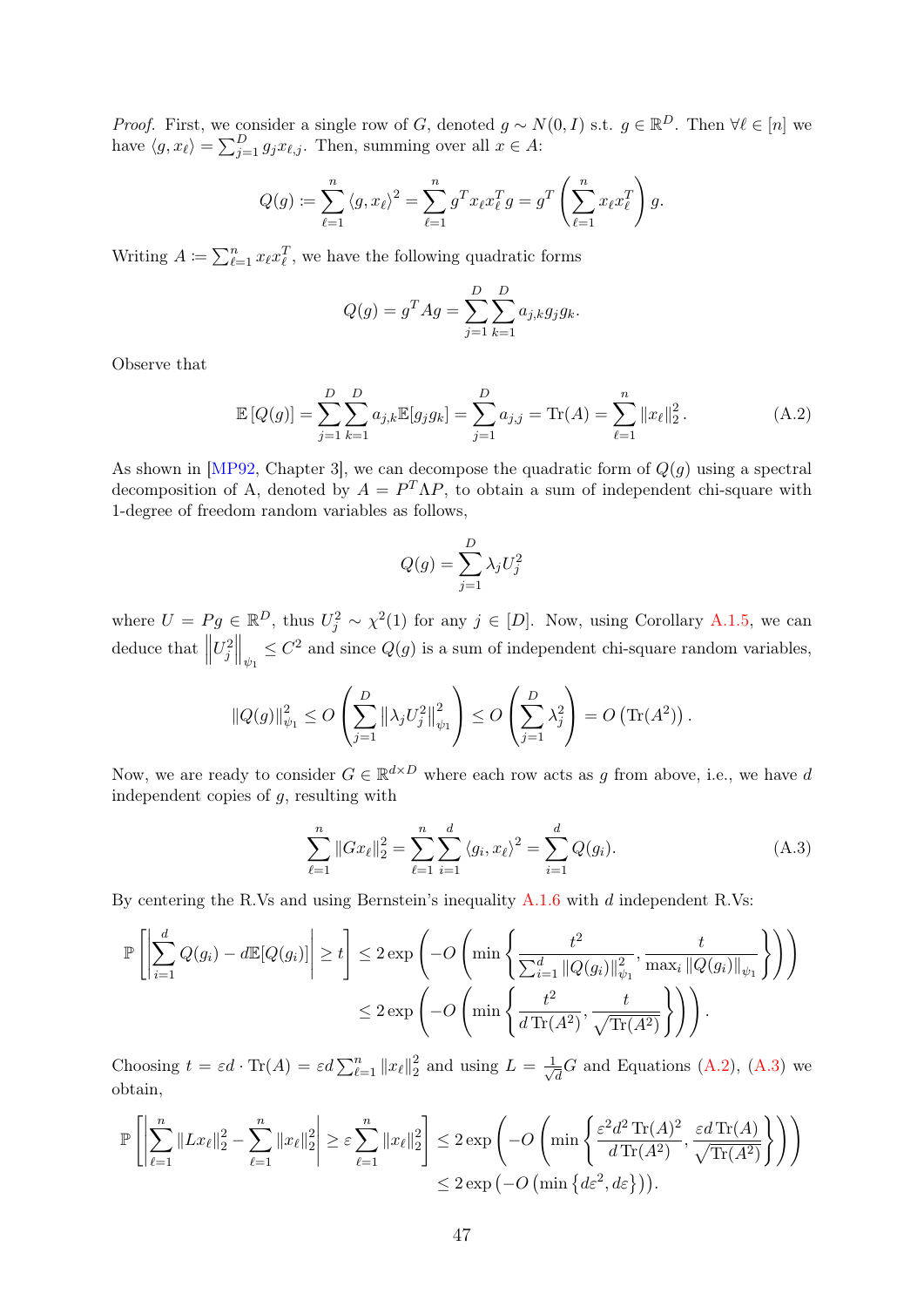*Proof.* First, we consider a single row of G, denoted  $g \sim N(0, I)$  s.t.  $g \in \mathbb{R}^D$ . Then  $\forall \ell \in [n]$  we have  $\langle g, x_{\ell} \rangle = \sum_{j=1}^{D} g_j x_{\ell,j}$ . Then, summing over all  $x \in A$ :

$$
Q(g) := \sum_{\ell=1}^n \langle g, x_\ell \rangle^2 = \sum_{\ell=1}^n g^T x_\ell x_\ell^T g = g^T \left( \sum_{\ell=1}^n x_\ell x_\ell^T \right) g.
$$

Writing  $A \coloneqq \sum_{\ell=1}^n x_\ell x_\ell^T$ , we have the following quadratic forms

$$
Q(g) = g^T A g = \sum_{j=1}^{D} \sum_{k=1}^{D} a_{j,k} g_j g_k.
$$

Observe that

$$
\mathbb{E}\left[Q(g)\right] = \sum_{j=1}^{D} \sum_{k=1}^{D} a_{j,k} \mathbb{E}[g_j g_k] = \sum_{j=1}^{D} a_{j,j} = \text{Tr}(A) = \sum_{\ell=1}^{n} ||x_{\ell}||_2^2.
$$
 (A.2)

As shown in [\[MP92,](#page-45-14) Chapter 3], we can decompose the quadratic form of  $Q(g)$  using a spectral decomposition of A, denoted by  $A = P^T \Lambda P$ , to obtain a sum of independent chi-square with 1-degree of freedom random variables as follows,

<span id="page-49-0"></span>
$$
Q(g) = \sum_{j=1}^{D} \lambda_j U_j^2
$$

where  $U = Pg \in \mathbb{R}^D$ , thus  $U_j^2 \sim \chi^2(1)$  for any  $j \in [D]$ . Now, using Corollary [A.1.5,](#page-48-2) we can deduce that  $\parallel$  $U_j^2\Big\|_{\psi_1} \leq C^2$  and since  $Q(g)$  is a sum of independent chi-square random variables,

$$
||Q(g)||_{\psi_1}^2 \le O\left(\sum_{j=1}^D ||\lambda_j U_j^2||_{\psi_1}^2\right) \le O\left(\sum_{j=1}^D \lambda_j^2\right) = O\left(\text{Tr}(A^2)\right).
$$

Now, we are ready to consider  $G \in \mathbb{R}^{d \times D}$  where each row acts as g from above, i.e., we have d independent copies of  $g$ , resulting with

<span id="page-49-1"></span>
$$
\sum_{\ell=1}^{n} \|Gx_{\ell}\|_{2}^{2} = \sum_{\ell=1}^{n} \sum_{i=1}^{d} \langle g_{i}, x_{\ell} \rangle^{2} = \sum_{i=1}^{d} Q(g_{i}). \tag{A.3}
$$

By centering the R.Vs and using Bernstein's inequality [A.1.6](#page-48-3) with d independent R.Vs:

$$
\mathbb{P}\left[\left|\sum_{i=1}^{d} Q(g_i) - d\mathbb{E}[Q(g_i)]\right| \ge t\right] \le 2 \exp\left(-O\left(\min\left\{\frac{t^2}{\sum_{i=1}^{d} ||Q(g_i)||_{\psi_1}^2}, \frac{t}{\max_i ||Q(g_i)||_{\psi_1}}\right\}\right)\right)
$$

$$
\le 2 \exp\left(-O\left(\min\left\{\frac{t^2}{d \operatorname{Tr}(A^2)}, \frac{t}{\sqrt{\operatorname{Tr}(A^2)}}\right\}\right)\right).
$$

Choosing  $t = \varepsilon d \cdot \text{Tr}(A) = \varepsilon d \sum_{\ell=1}^n ||x_\ell||_2^2$  $\frac{2}{2}$  and using  $L = \frac{1}{\sqrt{2}}$  $\frac{1}{d}G$  and Equations [\(A.2\)](#page-49-0), [\(A.3\)](#page-49-1) we obtain,

$$
\mathbb{P}\left[\left|\sum_{\ell=1}^n \|Lx_{\ell}\|_2^2 - \sum_{\ell=1}^n \|x_{\ell}\|_2^2\right| \ge \varepsilon \sum_{\ell=1}^n \|x_{\ell}\|_2^2\right] \le 2 \exp\left(-O\left(\min\left\{\frac{\varepsilon^2 d^2 \operatorname{Tr}(A)^2}{d \operatorname{Tr}(A^2)}, \frac{\varepsilon d \operatorname{Tr}(A)}{\sqrt{\operatorname{Tr}(A^2)}}\right\}\right)\right)
$$
  

$$
\le 2 \exp\left(-O\left(\min\left\{d\varepsilon^2, d\varepsilon\right\}\right)\right).
$$